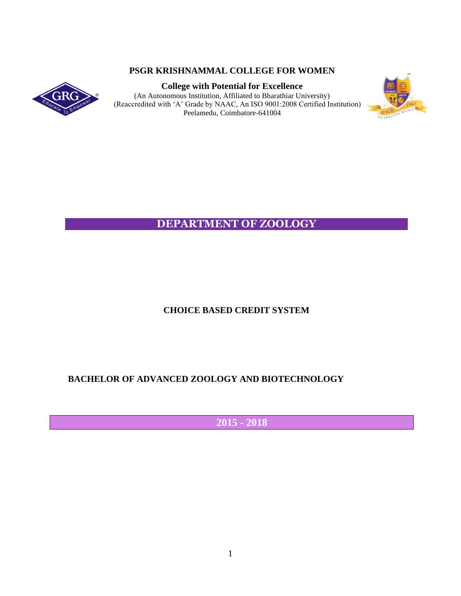## **PSGR KRISHNAMMAL COLLEGE FOR WOMEN**



**College with Potential for Excellence** (An Autonomous Institution, Affiliated to Bharathiar University) (Reaccredited with 'A' Grade by NAAC, An ISO 9001:2008 Certified Institution) Peelamedu, Coimbatore-641004



# **DEPARTMENT OF ZOOLOGY**

## **CHOICE BASED CREDIT SYSTEM**

## **BACHELOR OF ADVANCED ZOOLOGY AND BIOTECHNOLOGY**

 **2015 - 2018**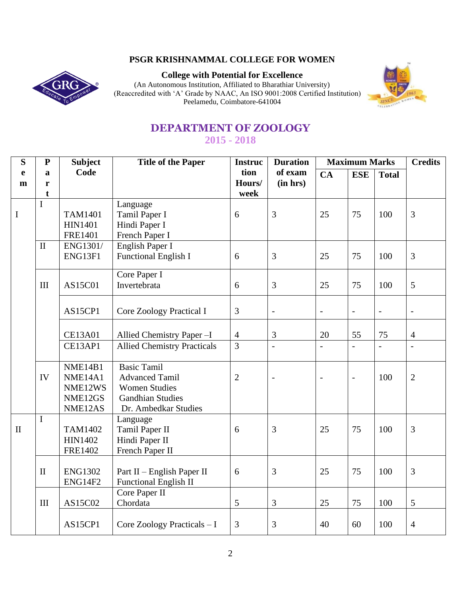## **PSGR KRISHNAMMAL COLLEGE FOR WOMEN**



**College with Potential for Excellence**

(An Autonomous Institution, Affiliated to Bharathiar University) (Reaccredited with 'A' Grade by NAAC, An ISO 9001:2008 Certified Institution) Peelamedu, Coimbatore-641004



# **DEPARTMENT OF ZOOLOGY 2015 - 2018**

| S            | ${\bf P}$    | <b>Subject</b>                   | <b>Title of the Paper</b>          | <b>Instruc</b>                   | <b>Duration</b> | <b>Maximum Marks</b> |                | <b>Credits</b> |                |
|--------------|--------------|----------------------------------|------------------------------------|----------------------------------|-----------------|----------------------|----------------|----------------|----------------|
| e            | a            | Code                             |                                    | tion                             | of exam         | CA                   | <b>ESE</b>     | <b>Total</b>   |                |
| m            | r            |                                  |                                    | Hours/                           | (in hrs)        |                      |                |                |                |
|              | t            |                                  |                                    | week                             |                 |                      |                |                |                |
|              | I            |                                  | Language                           |                                  |                 |                      |                |                |                |
| $\bf I$      |              | <b>TAM1401</b>                   | Tamil Paper I                      | 6                                | 3               | 25                   | 75             | 100            | $\overline{3}$ |
|              |              | <b>HIN1401</b><br><b>FRE1401</b> | Hindi Paper I                      |                                  |                 |                      |                |                |                |
|              | $\mathbf{I}$ | ENG1301/                         | French Paper I<br>English Paper I  |                                  |                 |                      |                |                |                |
|              |              | ENG13F1                          | Functional English I               | 6                                | 3               | 25                   | 75             | 100            | $\overline{3}$ |
|              |              |                                  |                                    |                                  |                 |                      |                |                |                |
|              |              |                                  | Core Paper I                       |                                  |                 |                      |                |                |                |
|              | III          | AS15C01                          | Invertebrata                       | 6                                | 3               | 25                   | 75             | 100            | 5              |
|              |              |                                  |                                    |                                  |                 |                      |                |                |                |
|              |              | AS15CP1                          | Core Zoology Practical I           | 3                                | $\overline{a}$  | $\equiv$             | $\overline{a}$ | $\overline{a}$ | $\Box$         |
|              |              |                                  |                                    |                                  |                 |                      |                |                |                |
|              |              |                                  |                                    |                                  |                 |                      |                |                |                |
|              |              | <b>CE13A01</b>                   | Allied Chemistry Paper - I         | $\overline{4}$<br>$\overline{3}$ | 3               | 20                   | 55             | 75             | $\overline{4}$ |
|              |              | CE13AP1                          | <b>Allied Chemistry Practicals</b> |                                  | $\overline{a}$  |                      | $\overline{a}$ | $\overline{a}$ | $\overline{a}$ |
|              |              | NME14B1                          | <b>Basic Tamil</b>                 |                                  |                 |                      |                |                |                |
|              | IV           | NME14A1                          | <b>Advanced Tamil</b>              | $\overline{2}$                   | $\overline{a}$  |                      | $\overline{a}$ | 100            | $\overline{2}$ |
|              |              | NME12WS                          | <b>Women Studies</b>               |                                  |                 |                      |                |                |                |
|              |              | NME12GS                          | <b>Gandhian Studies</b>            |                                  |                 |                      |                |                |                |
|              |              | NME12AS                          | Dr. Ambedkar Studies               |                                  |                 |                      |                |                |                |
|              | $\mathbf I$  |                                  | Language                           |                                  |                 |                      |                |                |                |
| $\mathbf{I}$ |              | <b>TAM1402</b>                   | Tamil Paper II                     | 6                                | 3               | 25                   | 75             | 100            | 3              |
|              |              | <b>HIN1402</b>                   | Hindi Paper II                     |                                  |                 |                      |                |                |                |
|              |              | <b>FRE1402</b>                   | French Paper II                    |                                  |                 |                      |                |                |                |
|              |              |                                  |                                    |                                  |                 |                      |                |                |                |
|              | $\mathbf{I}$ | <b>ENG1302</b>                   | Part II - English Paper II         | 6                                | 3               | 25                   | 75             | 100            | $\overline{3}$ |
|              |              | ENG14F2                          | <b>Functional English II</b>       |                                  |                 |                      |                |                |                |
|              |              |                                  | Core Paper II                      |                                  |                 |                      |                |                |                |
|              | III          | AS15C02                          | Chordata                           | 5                                | 3               | 25                   | 75             | 100            | $\mathfrak{S}$ |
|              |              |                                  |                                    |                                  |                 |                      |                |                |                |
|              |              | AS15CP1                          | Core Zoology Practicals - I        | 3                                | 3               | 40                   | 60             | 100            | $\overline{4}$ |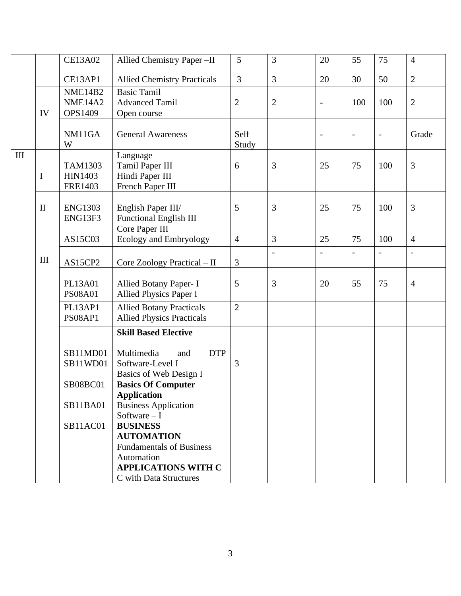|                    |              | <b>CE13A02</b>                                                         | Allied Chemistry Paper -II                                                                                                                                                                                                                                                                                                                                       | 5              | 3              | 20                       | 55                       | 75             | $\overline{4}$           |
|--------------------|--------------|------------------------------------------------------------------------|------------------------------------------------------------------------------------------------------------------------------------------------------------------------------------------------------------------------------------------------------------------------------------------------------------------------------------------------------------------|----------------|----------------|--------------------------|--------------------------|----------------|--------------------------|
|                    |              | CE13AP1                                                                | <b>Allied Chemistry Practicals</b>                                                                                                                                                                                                                                                                                                                               | $\overline{3}$ | 3              | 20                       | 30                       | 50             | $\overline{2}$           |
|                    | IV           | <b>NME14B2</b><br>NME14A2<br>OPS1409                                   | <b>Basic Tamil</b><br><b>Advanced Tamil</b><br>Open course                                                                                                                                                                                                                                                                                                       | $\overline{2}$ | $\overline{2}$ | $\overline{\phantom{a}}$ | 100                      | 100            | $\overline{2}$           |
|                    |              | NM11GA<br>W                                                            | <b>General Awareness</b>                                                                                                                                                                                                                                                                                                                                         | Self<br>Study  |                |                          | $\overline{\phantom{a}}$ | -              | Grade                    |
| $\mathop{\rm III}$ | I            | TAM1303<br><b>HIN1403</b><br><b>FRE1403</b>                            | Language<br>Tamil Paper III<br>Hindi Paper III<br>French Paper III                                                                                                                                                                                                                                                                                               | 6              | 3              | 25                       | 75                       | 100            | 3                        |
|                    | $\mathbf{I}$ | <b>ENG1303</b><br>ENG13F3                                              | English Paper III/<br>Functional English III                                                                                                                                                                                                                                                                                                                     | 5              | 3              | 25                       | 75                       | 100            | 3                        |
|                    |              | AS15C03                                                                | Core Paper III<br><b>Ecology and Embryology</b>                                                                                                                                                                                                                                                                                                                  | $\overline{4}$ | $\mathfrak{Z}$ | 25                       | 75                       | 100            | $\overline{4}$           |
|                    | $\rm III$    | AS15CP2                                                                | Core Zoology Practical - II                                                                                                                                                                                                                                                                                                                                      | 3              |                | $\blacksquare$           | $\sim$                   | $\overline{a}$ | $\overline{\phantom{0}}$ |
|                    |              | PL13A01<br><b>PS08A01</b>                                              | Allied Botany Paper- I<br>Allied Physics Paper I                                                                                                                                                                                                                                                                                                                 | 5              | 3              | 20                       | 55                       | 75             | $\overline{4}$           |
|                    |              | PL13AP1<br>PS08AP1                                                     | <b>Allied Botany Practicals</b><br><b>Allied Physics Practicals</b>                                                                                                                                                                                                                                                                                              | $\overline{2}$ |                |                          |                          |                |                          |
|                    |              | SB11MD01<br>SB11WD01<br><b>SB08BC01</b><br><b>SB11BA01</b><br>SB11AC01 | <b>Skill Based Elective</b><br>Multimedia<br><b>DTP</b><br>and<br>Software-Level I<br>Basics of Web Design I<br><b>Basics Of Computer</b><br><b>Application</b><br><b>Business Application</b><br>Software $-I$<br><b>BUSINESS</b><br><b>AUTOMATION</b><br><b>Fundamentals of Business</b><br>Automation<br><b>APPLICATIONS WITH C</b><br>C with Data Structures | 3              |                |                          |                          |                |                          |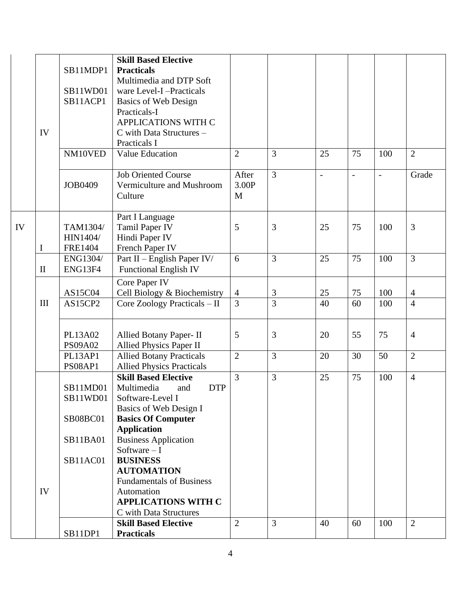|    |                                         | Practicals-I                                                                                                                                                                                                                                                   |                                                                                                                                                                                                                                                                                                                                                                                                                                                                                                                                                                                                                                                                                                                                                                                                                                                     |                                                                                                                 |                                                                                               |                                                                          |                                                                |                                                               |
|----|-----------------------------------------|----------------------------------------------------------------------------------------------------------------------------------------------------------------------------------------------------------------------------------------------------------------|-----------------------------------------------------------------------------------------------------------------------------------------------------------------------------------------------------------------------------------------------------------------------------------------------------------------------------------------------------------------------------------------------------------------------------------------------------------------------------------------------------------------------------------------------------------------------------------------------------------------------------------------------------------------------------------------------------------------------------------------------------------------------------------------------------------------------------------------------------|-----------------------------------------------------------------------------------------------------------------|-----------------------------------------------------------------------------------------------|--------------------------------------------------------------------------|----------------------------------------------------------------|---------------------------------------------------------------|
|    |                                         | APPLICATIONS WITH C                                                                                                                                                                                                                                            |                                                                                                                                                                                                                                                                                                                                                                                                                                                                                                                                                                                                                                                                                                                                                                                                                                                     |                                                                                                                 |                                                                                               |                                                                          |                                                                |                                                               |
| IV |                                         |                                                                                                                                                                                                                                                                |                                                                                                                                                                                                                                                                                                                                                                                                                                                                                                                                                                                                                                                                                                                                                                                                                                                     |                                                                                                                 |                                                                                               |                                                                          |                                                                |                                                               |
|    |                                         |                                                                                                                                                                                                                                                                |                                                                                                                                                                                                                                                                                                                                                                                                                                                                                                                                                                                                                                                                                                                                                                                                                                                     |                                                                                                                 |                                                                                               |                                                                          |                                                                |                                                               |
|    |                                         |                                                                                                                                                                                                                                                                |                                                                                                                                                                                                                                                                                                                                                                                                                                                                                                                                                                                                                                                                                                                                                                                                                                                     |                                                                                                                 |                                                                                               |                                                                          |                                                                | $\overline{2}$                                                |
|    |                                         |                                                                                                                                                                                                                                                                |                                                                                                                                                                                                                                                                                                                                                                                                                                                                                                                                                                                                                                                                                                                                                                                                                                                     |                                                                                                                 |                                                                                               |                                                                          |                                                                |                                                               |
|    |                                         |                                                                                                                                                                                                                                                                |                                                                                                                                                                                                                                                                                                                                                                                                                                                                                                                                                                                                                                                                                                                                                                                                                                                     |                                                                                                                 |                                                                                               |                                                                          |                                                                | Grade                                                         |
|    |                                         |                                                                                                                                                                                                                                                                |                                                                                                                                                                                                                                                                                                                                                                                                                                                                                                                                                                                                                                                                                                                                                                                                                                                     |                                                                                                                 |                                                                                               |                                                                          |                                                                |                                                               |
|    |                                         |                                                                                                                                                                                                                                                                |                                                                                                                                                                                                                                                                                                                                                                                                                                                                                                                                                                                                                                                                                                                                                                                                                                                     |                                                                                                                 |                                                                                               |                                                                          |                                                                |                                                               |
|    |                                         |                                                                                                                                                                                                                                                                |                                                                                                                                                                                                                                                                                                                                                                                                                                                                                                                                                                                                                                                                                                                                                                                                                                                     |                                                                                                                 |                                                                                               |                                                                          |                                                                |                                                               |
|    |                                         |                                                                                                                                                                                                                                                                |                                                                                                                                                                                                                                                                                                                                                                                                                                                                                                                                                                                                                                                                                                                                                                                                                                                     |                                                                                                                 |                                                                                               |                                                                          |                                                                |                                                               |
|    |                                         |                                                                                                                                                                                                                                                                |                                                                                                                                                                                                                                                                                                                                                                                                                                                                                                                                                                                                                                                                                                                                                                                                                                                     |                                                                                                                 |                                                                                               |                                                                          |                                                                |                                                               |
|    |                                         |                                                                                                                                                                                                                                                                |                                                                                                                                                                                                                                                                                                                                                                                                                                                                                                                                                                                                                                                                                                                                                                                                                                                     |                                                                                                                 |                                                                                               |                                                                          |                                                                | 3                                                             |
|    |                                         |                                                                                                                                                                                                                                                                |                                                                                                                                                                                                                                                                                                                                                                                                                                                                                                                                                                                                                                                                                                                                                                                                                                                     |                                                                                                                 |                                                                                               |                                                                          |                                                                |                                                               |
|    |                                         |                                                                                                                                                                                                                                                                |                                                                                                                                                                                                                                                                                                                                                                                                                                                                                                                                                                                                                                                                                                                                                                                                                                                     |                                                                                                                 |                                                                                               |                                                                          |                                                                |                                                               |
|    |                                         |                                                                                                                                                                                                                                                                |                                                                                                                                                                                                                                                                                                                                                                                                                                                                                                                                                                                                                                                                                                                                                                                                                                                     |                                                                                                                 |                                                                                               |                                                                          |                                                                | $\overline{3}$                                                |
|    |                                         |                                                                                                                                                                                                                                                                |                                                                                                                                                                                                                                                                                                                                                                                                                                                                                                                                                                                                                                                                                                                                                                                                                                                     |                                                                                                                 |                                                                                               |                                                                          |                                                                |                                                               |
|    |                                         |                                                                                                                                                                                                                                                                |                                                                                                                                                                                                                                                                                                                                                                                                                                                                                                                                                                                                                                                                                                                                                                                                                                                     |                                                                                                                 |                                                                                               |                                                                          |                                                                |                                                               |
|    |                                         |                                                                                                                                                                                                                                                                |                                                                                                                                                                                                                                                                                                                                                                                                                                                                                                                                                                                                                                                                                                                                                                                                                                                     |                                                                                                                 |                                                                                               |                                                                          | 100                                                            | $\overline{4}$                                                |
|    |                                         |                                                                                                                                                                                                                                                                |                                                                                                                                                                                                                                                                                                                                                                                                                                                                                                                                                                                                                                                                                                                                                                                                                                                     |                                                                                                                 |                                                                                               |                                                                          |                                                                | $\overline{4}$                                                |
|    |                                         |                                                                                                                                                                                                                                                                |                                                                                                                                                                                                                                                                                                                                                                                                                                                                                                                                                                                                                                                                                                                                                                                                                                                     |                                                                                                                 |                                                                                               |                                                                          |                                                                |                                                               |
|    |                                         |                                                                                                                                                                                                                                                                |                                                                                                                                                                                                                                                                                                                                                                                                                                                                                                                                                                                                                                                                                                                                                                                                                                                     |                                                                                                                 |                                                                                               |                                                                          |                                                                |                                                               |
|    |                                         |                                                                                                                                                                                                                                                                |                                                                                                                                                                                                                                                                                                                                                                                                                                                                                                                                                                                                                                                                                                                                                                                                                                                     |                                                                                                                 |                                                                                               |                                                                          |                                                                | $\overline{4}$                                                |
|    |                                         |                                                                                                                                                                                                                                                                |                                                                                                                                                                                                                                                                                                                                                                                                                                                                                                                                                                                                                                                                                                                                                                                                                                                     |                                                                                                                 |                                                                                               |                                                                          |                                                                |                                                               |
|    |                                         |                                                                                                                                                                                                                                                                |                                                                                                                                                                                                                                                                                                                                                                                                                                                                                                                                                                                                                                                                                                                                                                                                                                                     |                                                                                                                 |                                                                                               |                                                                          |                                                                | $\overline{2}$                                                |
|    |                                         |                                                                                                                                                                                                                                                                |                                                                                                                                                                                                                                                                                                                                                                                                                                                                                                                                                                                                                                                                                                                                                                                                                                                     |                                                                                                                 |                                                                                               |                                                                          |                                                                |                                                               |
|    |                                         |                                                                                                                                                                                                                                                                |                                                                                                                                                                                                                                                                                                                                                                                                                                                                                                                                                                                                                                                                                                                                                                                                                                                     |                                                                                                                 |                                                                                               |                                                                          |                                                                | $\overline{4}$                                                |
|    |                                         |                                                                                                                                                                                                                                                                |                                                                                                                                                                                                                                                                                                                                                                                                                                                                                                                                                                                                                                                                                                                                                                                                                                                     |                                                                                                                 |                                                                                               |                                                                          |                                                                |                                                               |
|    |                                         |                                                                                                                                                                                                                                                                |                                                                                                                                                                                                                                                                                                                                                                                                                                                                                                                                                                                                                                                                                                                                                                                                                                                     |                                                                                                                 |                                                                                               |                                                                          |                                                                |                                                               |
|    |                                         |                                                                                                                                                                                                                                                                |                                                                                                                                                                                                                                                                                                                                                                                                                                                                                                                                                                                                                                                                                                                                                                                                                                                     |                                                                                                                 |                                                                                               |                                                                          |                                                                |                                                               |
|    |                                         |                                                                                                                                                                                                                                                                |                                                                                                                                                                                                                                                                                                                                                                                                                                                                                                                                                                                                                                                                                                                                                                                                                                                     |                                                                                                                 |                                                                                               |                                                                          |                                                                |                                                               |
|    |                                         |                                                                                                                                                                                                                                                                |                                                                                                                                                                                                                                                                                                                                                                                                                                                                                                                                                                                                                                                                                                                                                                                                                                                     |                                                                                                                 |                                                                                               |                                                                          |                                                                |                                                               |
|    |                                         |                                                                                                                                                                                                                                                                |                                                                                                                                                                                                                                                                                                                                                                                                                                                                                                                                                                                                                                                                                                                                                                                                                                                     |                                                                                                                 |                                                                                               |                                                                          |                                                                |                                                               |
|    |                                         |                                                                                                                                                                                                                                                                |                                                                                                                                                                                                                                                                                                                                                                                                                                                                                                                                                                                                                                                                                                                                                                                                                                                     |                                                                                                                 |                                                                                               |                                                                          |                                                                |                                                               |
|    |                                         |                                                                                                                                                                                                                                                                |                                                                                                                                                                                                                                                                                                                                                                                                                                                                                                                                                                                                                                                                                                                                                                                                                                                     |                                                                                                                 |                                                                                               |                                                                          |                                                                |                                                               |
|    | SB11AC01                                | <b>BUSINESS</b>                                                                                                                                                                                                                                                |                                                                                                                                                                                                                                                                                                                                                                                                                                                                                                                                                                                                                                                                                                                                                                                                                                                     |                                                                                                                 |                                                                                               |                                                                          |                                                                |                                                               |
|    |                                         | <b>AUTOMATION</b>                                                                                                                                                                                                                                              |                                                                                                                                                                                                                                                                                                                                                                                                                                                                                                                                                                                                                                                                                                                                                                                                                                                     |                                                                                                                 |                                                                                               |                                                                          |                                                                |                                                               |
|    |                                         | <b>Fundamentals of Business</b>                                                                                                                                                                                                                                |                                                                                                                                                                                                                                                                                                                                                                                                                                                                                                                                                                                                                                                                                                                                                                                                                                                     |                                                                                                                 |                                                                                               |                                                                          |                                                                |                                                               |
| IV |                                         | Automation                                                                                                                                                                                                                                                     |                                                                                                                                                                                                                                                                                                                                                                                                                                                                                                                                                                                                                                                                                                                                                                                                                                                     |                                                                                                                 |                                                                                               |                                                                          |                                                                |                                                               |
|    |                                         | <b>APPLICATIONS WITH C</b>                                                                                                                                                                                                                                     |                                                                                                                                                                                                                                                                                                                                                                                                                                                                                                                                                                                                                                                                                                                                                                                                                                                     |                                                                                                                 |                                                                                               |                                                                          |                                                                |                                                               |
|    |                                         | C with Data Structures                                                                                                                                                                                                                                         |                                                                                                                                                                                                                                                                                                                                                                                                                                                                                                                                                                                                                                                                                                                                                                                                                                                     |                                                                                                                 |                                                                                               |                                                                          |                                                                |                                                               |
|    |                                         | <b>Skill Based Elective</b>                                                                                                                                                                                                                                    | $\overline{2}$                                                                                                                                                                                                                                                                                                                                                                                                                                                                                                                                                                                                                                                                                                                                                                                                                                      | 3                                                                                                               | 40                                                                                            | 60                                                                       | 100                                                            | $\overline{2}$                                                |
|    |                                         | <b>Practicals</b>                                                                                                                                                                                                                                              |                                                                                                                                                                                                                                                                                                                                                                                                                                                                                                                                                                                                                                                                                                                                                                                                                                                     |                                                                                                                 |                                                                                               |                                                                          |                                                                |                                                               |
|    | I<br>$\mathbf{I}$<br>$\mathop{\rm III}$ | SB11MDP1<br>SB11WD01<br>SB11ACP1<br>NM10VED<br><b>JOB0409</b><br>TAM1304/<br>HIN1404/<br><b>FRE1404</b><br>ENG1304/<br>ENG13F4<br>AS15C04<br>AS15CP2<br>PL13A02<br><b>PS09A02</b><br>PL13AP1<br>PS08AP1<br>SB11MD01<br>SB11WD01<br>SB08BC01<br><b>SB11BA01</b> | <b>Skill Based Elective</b><br><b>Practicals</b><br>Multimedia and DTP Soft<br>ware Level-I-Practicals<br><b>Basics of Web Design</b><br>C with Data Structures -<br>Practicals I<br>Value Education<br><b>Job Oriented Course</b><br>Vermiculture and Mushroom<br>Culture<br>Part I Language<br>Tamil Paper IV<br>Hindi Paper IV<br>French Paper IV<br>Part II - English Paper IV/<br><b>Functional English IV</b><br>Core Paper IV<br>Cell Biology & Biochemistry<br>Core Zoology Practicals - II<br>Allied Botany Paper- II<br>Allied Physics Paper II<br><b>Allied Botany Practicals</b><br><b>Allied Physics Practicals</b><br><b>Skill Based Elective</b><br><b>DTP</b><br>Multimedia<br>and<br>Software-Level I<br>Basics of Web Design I<br><b>Basics Of Computer</b><br><b>Application</b><br><b>Business Application</b><br>Software $-I$ | $\overline{2}$<br>After<br>3.00P<br>M<br>5<br>6<br>$\overline{4}$<br>3<br>5<br>$\overline{2}$<br>$\overline{3}$ | $\overline{3}$<br>$\overline{3}$<br>3<br>3<br>3<br>$\overline{3}$<br>3<br>$\overline{3}$<br>3 | 25<br>$\overline{\phantom{a}}$<br>25<br>25<br>25<br>40<br>20<br>20<br>25 | 75<br>$\overline{a}$<br>75<br>75<br>75<br>60<br>55<br>30<br>75 | 100<br>$\overline{a}$<br>100<br>100<br>100<br>75<br>50<br>100 |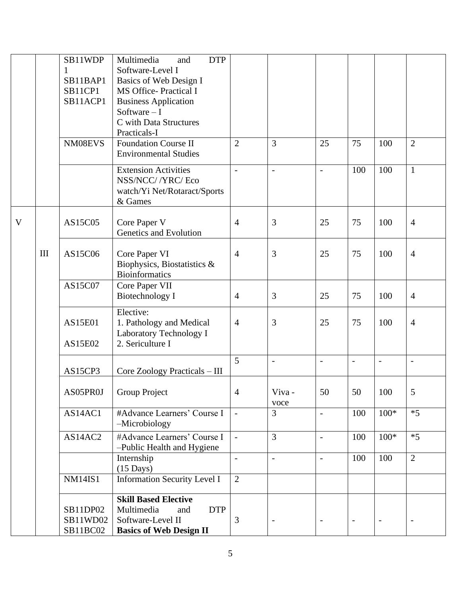|   |     | SB11WDP        | Multimedia<br><b>DTP</b><br>and     |                     |                          |                |                |                          |                          |
|---|-----|----------------|-------------------------------------|---------------------|--------------------------|----------------|----------------|--------------------------|--------------------------|
|   |     | $\mathbf{1}$   | Software-Level I                    |                     |                          |                |                |                          |                          |
|   |     | SB11BAP1       | Basics of Web Design I              |                     |                          |                |                |                          |                          |
|   |     | SB11CP1        | <b>MS Office-Practical I</b>        |                     |                          |                |                |                          |                          |
|   |     | SB11ACP1       | <b>Business Application</b>         |                     |                          |                |                |                          |                          |
|   |     |                | Software $-I$                       |                     |                          |                |                |                          |                          |
|   |     |                | C with Data Structures              |                     |                          |                |                |                          |                          |
|   |     |                | Practicals-I                        |                     |                          |                |                |                          |                          |
|   |     | NM08EVS        | <b>Foundation Course II</b>         | $\overline{2}$      | $\overline{3}$           | 25             | 75             | 100                      | $\overline{2}$           |
|   |     |                | <b>Environmental Studies</b>        |                     |                          |                |                |                          |                          |
|   |     |                | <b>Extension Activities</b>         | $\overline{a}$      | $\blacksquare$           | $\blacksquare$ | 100            | 100                      | $\mathbf{1}$             |
|   |     |                | NSS/NCC/ /YRC/ Eco                  |                     |                          |                |                |                          |                          |
|   |     |                | watch/Yi Net/Rotaract/Sports        |                     |                          |                |                |                          |                          |
|   |     |                | & Games                             |                     |                          |                |                |                          |                          |
|   |     |                |                                     |                     |                          |                |                |                          |                          |
| V |     | AS15C05        | Core Paper V                        | $\overline{4}$      | 3                        | 25             | 75             | 100                      | $\overline{4}$           |
|   |     |                | Genetics and Evolution              |                     |                          |                |                |                          |                          |
|   | III | AS15C06        | Core Paper VI                       | $\overline{4}$      | 3                        | 25             | 75             | 100                      | $\overline{4}$           |
|   |     |                | Biophysics, Biostatistics &         |                     |                          |                |                |                          |                          |
|   |     |                | <b>Bioinformatics</b>               |                     |                          |                |                |                          |                          |
|   |     | AS15C07        | Core Paper VII                      |                     |                          |                |                |                          |                          |
|   |     |                | <b>Biotechnology I</b>              | $\overline{4}$      | 3                        | 25             | 75             | 100                      | $\overline{4}$           |
|   |     |                |                                     |                     |                          |                |                |                          |                          |
|   |     |                | Elective:                           |                     |                          |                |                |                          |                          |
|   |     | <b>AS15E01</b> | 1. Pathology and Medical            | $\overline{4}$      | 3                        | 25             | 75             | 100                      | $\overline{4}$           |
|   |     |                | Laboratory Technology I             |                     |                          |                |                |                          |                          |
|   |     | AS15E02        | 2. Sericulture I                    |                     |                          |                |                |                          |                          |
|   |     |                |                                     | 5                   | $\blacksquare$           | $\overline{a}$ | $\overline{a}$ | $\overline{a}$           | $\overline{a}$           |
|   |     | AS15CP3        | Core Zoology Practicals - III       |                     |                          |                |                |                          |                          |
|   |     |                |                                     |                     |                          |                |                |                          |                          |
|   |     |                | AS05PR0J   Group Project            | $\overline{4}$      | Viva-                    | 50             | 50             | 100                      | $\mathcal{D}$            |
|   |     |                |                                     |                     | voce                     |                |                |                          |                          |
|   |     | AS14AC1        | #Advance Learners' Course I         | $\bar{\phantom{a}}$ | $\overline{3}$           | $\overline{a}$ | 100            | $100*$                   | $*5$                     |
|   |     |                | -Microbiology                       |                     |                          |                |                |                          |                          |
|   |     | AS14AC2        | #Advance Learners' Course I         | $\blacksquare$      | $\overline{3}$           | $\equiv$       | 100            | $100*$                   | $*5$                     |
|   |     |                | -Public Health and Hygiene          |                     |                          |                |                |                          |                          |
|   |     |                | Internship                          | $\overline{a}$      | $\blacksquare$           | $\overline{a}$ | 100            | 100                      | $\overline{2}$           |
|   |     |                | $(15 \text{ Days})$                 |                     |                          |                |                |                          |                          |
|   |     | <b>NM14IS1</b> | <b>Information Security Level I</b> | 2                   |                          |                |                |                          |                          |
|   |     |                |                                     |                     |                          |                |                |                          |                          |
|   |     |                | <b>Skill Based Elective</b>         |                     |                          |                |                |                          |                          |
|   |     | SB11DP02       | Multimedia<br><b>DTP</b><br>and     |                     |                          |                |                |                          |                          |
|   |     | SB11WD02       | Software-Level II                   | 3                   | $\overline{\phantom{a}}$ | $\blacksquare$ | $\blacksquare$ | $\overline{\phantom{a}}$ | $\overline{\phantom{a}}$ |
|   |     | SB11BC02       | <b>Basics of Web Design II</b>      |                     |                          |                |                |                          |                          |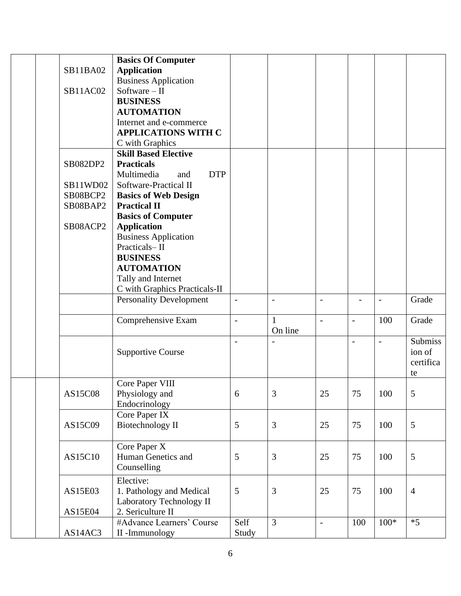|          | <b>Basics Of Computer</b>       |                          |                          |                          |                          |        |                |
|----------|---------------------------------|--------------------------|--------------------------|--------------------------|--------------------------|--------|----------------|
| SB11BA02 | <b>Application</b>              |                          |                          |                          |                          |        |                |
|          | <b>Business Application</b>     |                          |                          |                          |                          |        |                |
| SB11AC02 | Software $-$ II                 |                          |                          |                          |                          |        |                |
|          | <b>BUSINESS</b>                 |                          |                          |                          |                          |        |                |
|          | <b>AUTOMATION</b>               |                          |                          |                          |                          |        |                |
|          | Internet and e-commerce         |                          |                          |                          |                          |        |                |
|          | <b>APPLICATIONS WITH C</b>      |                          |                          |                          |                          |        |                |
|          | C with Graphics                 |                          |                          |                          |                          |        |                |
|          | <b>Skill Based Elective</b>     |                          |                          |                          |                          |        |                |
| SB082DP2 | <b>Practicals</b>               |                          |                          |                          |                          |        |                |
|          | Multimedia<br><b>DTP</b><br>and |                          |                          |                          |                          |        |                |
| SB11WD02 | Software-Practical II           |                          |                          |                          |                          |        |                |
|          |                                 |                          |                          |                          |                          |        |                |
| SB08BCP2 | <b>Basics of Web Design</b>     |                          |                          |                          |                          |        |                |
| SB08BAP2 | <b>Practical II</b>             |                          |                          |                          |                          |        |                |
|          | <b>Basics of Computer</b>       |                          |                          |                          |                          |        |                |
| SB08ACP2 | <b>Application</b>              |                          |                          |                          |                          |        |                |
|          | <b>Business Application</b>     |                          |                          |                          |                          |        |                |
|          | Practicals-II                   |                          |                          |                          |                          |        |                |
|          | <b>BUSINESS</b>                 |                          |                          |                          |                          |        |                |
|          | <b>AUTOMATION</b>               |                          |                          |                          |                          |        |                |
|          | Tally and Internet              |                          |                          |                          |                          |        |                |
|          | C with Graphics Practicals-II   |                          |                          |                          |                          |        |                |
|          | <b>Personality Development</b>  | $\overline{\phantom{a}}$ | $\overline{\phantom{a}}$ | $\overline{\phantom{0}}$ |                          |        | Grade          |
|          |                                 |                          |                          |                          |                          |        |                |
|          | Comprehensive Exam              | $\frac{1}{2}$            | $\mathbf{1}$             | $\blacksquare$           | $\overline{\phantom{a}}$ | 100    | Grade          |
|          |                                 |                          | On line                  |                          |                          |        |                |
|          |                                 | $\overline{a}$           |                          |                          | $\overline{\phantom{0}}$ |        | Submiss        |
|          | <b>Supportive Course</b>        |                          |                          |                          |                          |        | ion of         |
|          |                                 |                          |                          |                          |                          |        | certifica      |
|          |                                 |                          |                          |                          |                          |        | te             |
|          | Core Paper VIII                 |                          |                          |                          |                          |        |                |
| AS15C08  | Physiology and                  | 6                        | 3                        | 25                       | 75                       | 100    | 5              |
|          | Endocrinology                   |                          |                          |                          |                          |        |                |
|          | Core Paper IX                   |                          |                          |                          |                          |        |                |
| AS15C09  | Biotechnology II                | 5                        | 3                        | 25                       | 75                       | 100    | 5              |
|          |                                 |                          |                          |                          |                          |        |                |
|          | Core Paper X                    |                          |                          |                          |                          |        |                |
| AS15C10  | Human Genetics and              | $\mathfrak{S}$           | 3                        | 25                       | 75                       | 100    | 5              |
|          | Counselling                     |                          |                          |                          |                          |        |                |
|          | Elective:                       |                          |                          |                          |                          |        |                |
|          |                                 | $\mathfrak{S}$           | 3                        |                          | 75                       |        | $\overline{4}$ |
| AS15E03  | 1. Pathology and Medical        |                          |                          | 25                       |                          | 100    |                |
|          | Laboratory Technology II        |                          |                          |                          |                          |        |                |
| AS15E04  | 2. Sericulture II               |                          |                          |                          |                          |        |                |
|          | #Advance Learners' Course       | Self                     | $\overline{3}$           | $\overline{\phantom{a}}$ | 100                      | $100*$ | $*5$           |
| AS14AC3  | II-Immunology                   | Study                    |                          |                          |                          |        |                |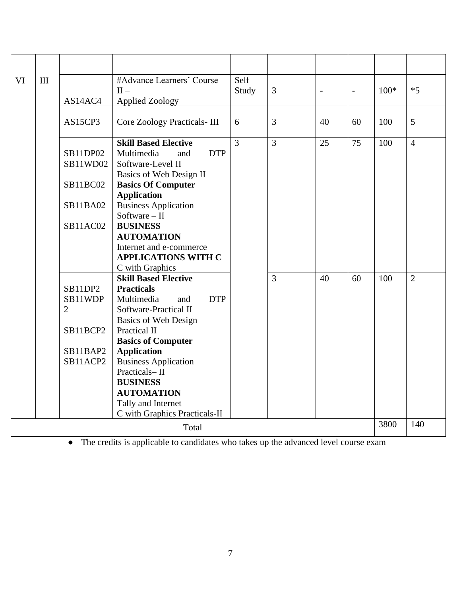| VI | III                                    |                 | #Advance Learners' Course<br>$II -$            | Self<br>Study  | 3              | $\frac{1}{2}$ | $\overline{\phantom{a}}$ | $100*$ | $*5$           |
|----|----------------------------------------|-----------------|------------------------------------------------|----------------|----------------|---------------|--------------------------|--------|----------------|
|    | <b>Applied Zoology</b><br>AS14AC4      |                 |                                                |                |                |               |                          |        |                |
|    | AS15CP3<br>Core Zoology Practicals-III |                 | 6                                              | 3              | 40             | 60            | 100                      | 5      |                |
|    |                                        |                 | <b>Skill Based Elective</b>                    | $\overline{3}$ | $\overline{3}$ | 25            | 75                       | 100    | $\overline{4}$ |
|    |                                        | SB11DP02        | Multimedia<br><b>DTP</b><br>and                |                |                |               |                          |        |                |
|    |                                        | SB11WD02        | Software-Level II                              |                |                |               |                          |        |                |
|    |                                        |                 | Basics of Web Design II                        |                |                |               |                          |        |                |
|    |                                        | <b>SB11BC02</b> | <b>Basics Of Computer</b>                      |                |                |               |                          |        |                |
|    |                                        |                 | <b>Application</b>                             |                |                |               |                          |        |                |
|    |                                        | SB11BA02        | <b>Business Application</b>                    |                |                |               |                          |        |                |
|    |                                        |                 | Software $-$ II                                |                |                |               |                          |        |                |
|    |                                        | <b>SB11AC02</b> | <b>BUSINESS</b>                                |                |                |               |                          |        |                |
|    |                                        |                 | <b>AUTOMATION</b>                              |                |                |               |                          |        |                |
|    |                                        |                 | Internet and e-commerce                        |                |                |               |                          |        |                |
|    |                                        |                 | <b>APPLICATIONS WITH C</b>                     |                |                |               |                          |        |                |
|    |                                        |                 | C with Graphics<br><b>Skill Based Elective</b> |                | $\overline{3}$ | 40            | 60                       | 100    | $\overline{2}$ |
|    |                                        | SB11DP2         | <b>Practicals</b>                              |                |                |               |                          |        |                |
|    |                                        | SB11WDP         | Multimedia<br><b>DTP</b><br>and                |                |                |               |                          |        |                |
|    |                                        | $\overline{2}$  | Software-Practical II                          |                |                |               |                          |        |                |
|    |                                        |                 | <b>Basics of Web Design</b>                    |                |                |               |                          |        |                |
|    |                                        | SB11BCP2        | Practical II                                   |                |                |               |                          |        |                |
|    |                                        |                 | <b>Basics of Computer</b>                      |                |                |               |                          |        |                |
|    |                                        | SB11BAP2        | <b>Application</b>                             |                |                |               |                          |        |                |
|    |                                        | SB11ACP2        | <b>Business Application</b>                    |                |                |               |                          |        |                |
|    |                                        |                 | Practicals-II                                  |                |                |               |                          |        |                |
|    |                                        |                 | <b>BUSINESS</b>                                |                |                |               |                          |        |                |
|    |                                        |                 | <b>AUTOMATION</b>                              |                |                |               |                          |        |                |
|    |                                        |                 | Tally and Internet                             |                |                |               |                          |        |                |
|    |                                        |                 | C with Graphics Practicals-II                  |                |                |               |                          |        |                |
|    |                                        |                 | Total                                          |                |                |               |                          | 3800   | 140            |

● The credits is applicable to candidates who takes up the advanced level course exam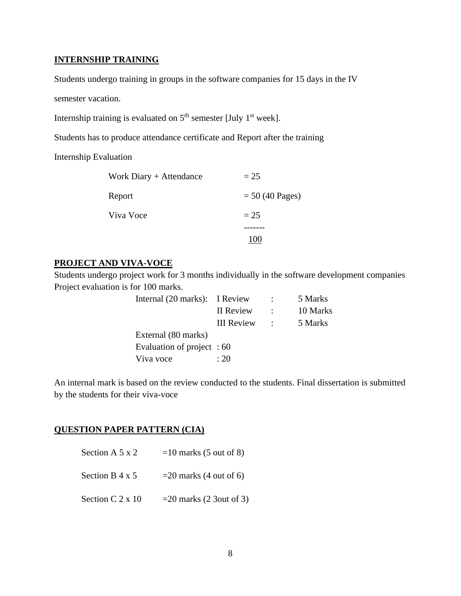### **INTERNSHIP TRAINING**

Students undergo training in groups in the software companies for 15 days in the IV

semester vacation.

Internship training is evaluated on  $5<sup>th</sup>$  semester [July 1<sup>st</sup> week].

Students has to produce attendance certificate and Report after the training

Internship Evaluation

| Work Diary + Attendance | $= 25$                    |
|-------------------------|---------------------------|
| Report                  | $= 50 (40 \text{ Pages})$ |
| Viva Voce               | $= 25$                    |
|                         |                           |
|                         | 100                       |

## **PROJECT AND VIVA-VOCE**

Students undergo project work for 3 months individually in the software development companies Project evaluation is for 100 marks.

| Internal (20 marks): I Review |                   | $\ddot{\phantom{0}}$ | 5 Marks  |
|-------------------------------|-------------------|----------------------|----------|
|                               | II Review         |                      | 10 Marks |
|                               | <b>III</b> Review | $\cdot$              | 5 Marks  |
| External (80 marks)           |                   |                      |          |
| Evaluation of project : 60    |                   |                      |          |
| Viva voce                     | $\cdot$ 20        |                      |          |

An internal mark is based on the review conducted to the students. Final dissertation is submitted by the students for their viva-voce

## **QUESTION PAPER PATTERN (CIA)**

| Section A $5 \times 2$  | $=10$ marks (5 out of 8)    |
|-------------------------|-----------------------------|
| Section B $4 \times 5$  | $=$ 20 marks (4 out of 6)   |
| Section C $2 \times 10$ | $=$ 20 marks (2 3 out of 3) |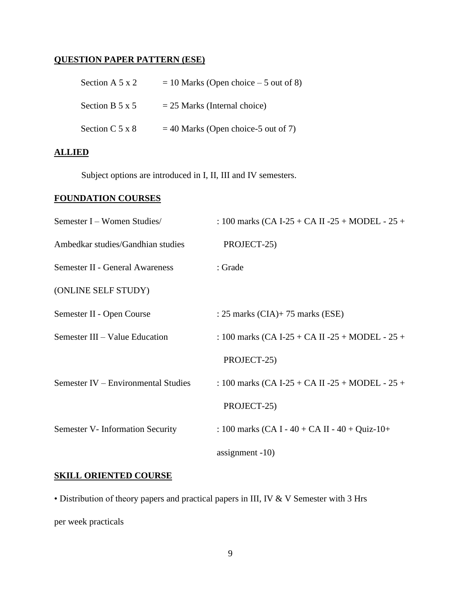## **QUESTION PAPER PATTERN (ESE)**

| Section A $5 \times 2$ | $= 10$ Marks (Open choice $-5$ out of 8) |
|------------------------|------------------------------------------|
| Section B $5 \times 5$ | $= 25$ Marks (Internal choice)           |
| Section $C$ 5 x 8      | $=$ 40 Marks (Open choice-5 out of 7)    |

## **ALLIED**

Subject options are introduced in I, II, III and IV semesters.

## **FOUNDATION COURSES**

| Semester I – Women Studies/            | : 100 marks (CA I-25 + CA II -25 + MODEL - 25 +   |
|----------------------------------------|---------------------------------------------------|
| Ambedkar studies/Gandhian studies      | PROJECT-25)                                       |
| <b>Semester II - General Awareness</b> | : Grade                                           |
| (ONLINE SELF STUDY)                    |                                                   |
| Semester II - Open Course              | : 25 marks $(CIA)$ + 75 marks $(ESE)$             |
| Semester III – Value Education         | : 100 marks (CA I-25 + CA II -25 + MODEL - $25 +$ |
|                                        | PROJECT-25)                                       |
| Semester IV – Environmental Studies    | : 100 marks (CA I-25 + CA II -25 + MODEL - $25 +$ |
|                                        | PROJECT-25)                                       |
| Semester V- Information Security       | : 100 marks (CA I - 40 + CA II - 40 + Quiz-10+    |
|                                        | assignment $-10$ )                                |

## **SKILL ORIENTED COURSE**

• Distribution of theory papers and practical papers in III, IV & V Semester with 3 Hrs per week practicals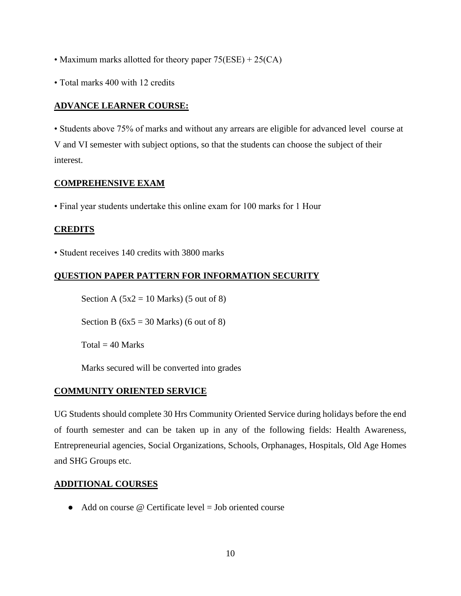- Maximum marks allotted for theory paper  $75(ESE) + 25(CA)$
- Total marks 400 with 12 credits

### **ADVANCE LEARNER COURSE:**

• Students above 75% of marks and without any arrears are eligible for advanced level course at V and VI semester with subject options, so that the students can choose the subject of their interest.

### **COMPREHENSIVE EXAM**

• Final year students undertake this online exam for 100 marks for 1 Hour

### **CREDITS**

• Student receives 140 credits with 3800 marks

### **QUESTION PAPER PATTERN FOR INFORMATION SECURITY**

Section A  $(5x2 = 10$  Marks)  $(5$  out of 8)

Section B ( $6x5 = 30$  Marks) (6 out of 8)

 $Total = 40$  Marks

Marks secured will be converted into grades

### **COMMUNITY ORIENTED SERVICE**

UG Students should complete 30 Hrs Community Oriented Service during holidays before the end of fourth semester and can be taken up in any of the following fields: Health Awareness, Entrepreneurial agencies, Social Organizations, Schools, Orphanages, Hospitals, Old Age Homes and SHG Groups etc.

#### **ADDITIONAL COURSES**

 $\bullet$  Add on course @ Certificate level = Job oriented course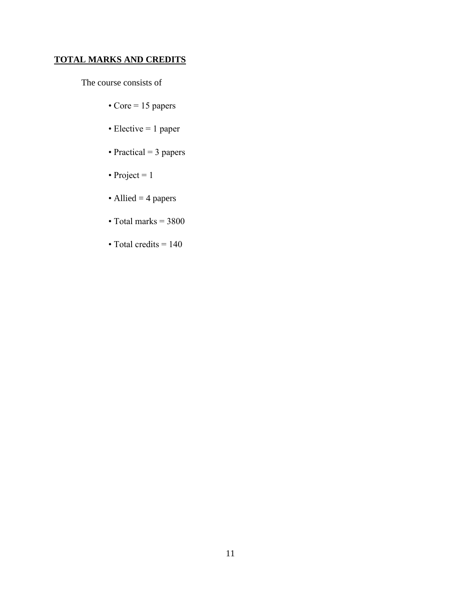## **TOTAL MARKS AND CREDITS**

The course consists of

- Core =  $15$  papers
- Elective = 1 paper
- Practical = 3 papers
- Project =  $1$
- Allied = 4 papers
- Total marks  $= 3800$
- Total credits  $= 140$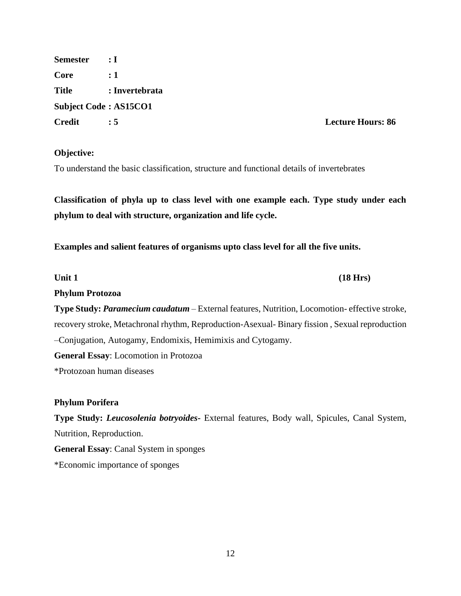**Semester : I Core : 1 Title : Invertebrata Subject Code : AS15CO1 Credit : 5 Lecture Hours: 86**

### **Objective:**

To understand the basic classification, structure and functional details of invertebrates

**Classification of phyla up to class level with one example each. Type study under each phylum to deal with structure, organization and life cycle.**

**Examples and salient features of organisms upto class level for all the five units.**

Unit 1 (18 Hrs)

**Phylum Protozoa**

**Type Study:** *Paramecium caudatum* – External features, Nutrition, Locomotion- effective stroke, recovery stroke, Metachronal rhythm, Reproduction-Asexual- Binary fission , Sexual reproduction –Conjugation, Autogamy, Endomixis, Hemimixis and Cytogamy.

**General Essay**: Locomotion in Protozoa

\*Protozoan human diseases

### **Phylum Porifera**

**Type Study:** *Leucosolenia botryoides***-** External features, Body wall, Spicules, Canal System, Nutrition, Reproduction.

**General Essay**: Canal System in sponges

\*Economic importance of sponges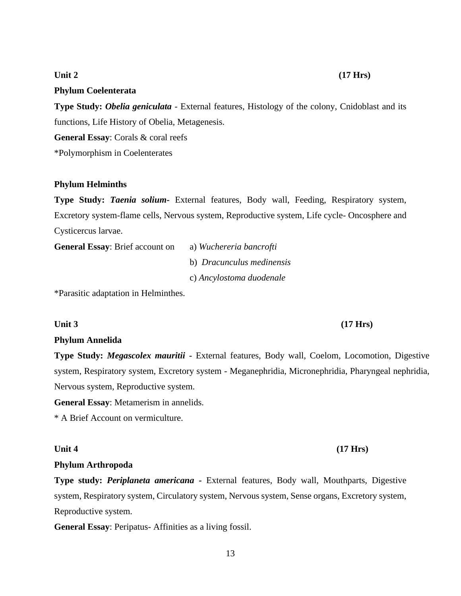## 13

## Unit 2 (17 **Hrs**)

## **Phylum Coelenterata**

**Type Study:** *Obelia geniculata* - External features, Histology of the colony, Cnidoblast and its functions, Life History of Obelia, Metagenesis.

**General Essay**: Corals & coral reefs

\*Polymorphism in Coelenterates

## **Phylum Helminths**

**Type Study:** *Taenia solium***-** External features, Body wall, Feeding, Respiratory system, Excretory system-flame cells, Nervous system, Reproductive system, Life cycle- Oncosphere and Cysticercus larvae.

**General Essay**: Brief account on a) *Wuchereria bancrofti*

b) *Dracunculus medinensis*

c) *Ancylostoma duodenale*

\*Parasitic adaptation in Helminthes.

## **Phylum Annelida**

**Type Study:** *Megascolex mauritii* **-** External features, Body wall, Coelom, Locomotion, Digestive system, Respiratory system, Excretory system - Meganephridia, Micronephridia, Pharyngeal nephridia, Nervous system, Reproductive system.

**General Essay**: Metamerism in annelids.

\* A Brief Account on vermiculture.

## **Phylum Arthropoda**

**Type study:** *Periplaneta americana -* External features, Body wall, Mouthparts, Digestive system, Respiratory system, Circulatory system, Nervous system, Sense organs, Excretory system, Reproductive system.

**General Essay**: Peripatus- Affinities as a living fossil.

## Unit 3 (17 Hrs)

# Unit 4 (17 Hrs)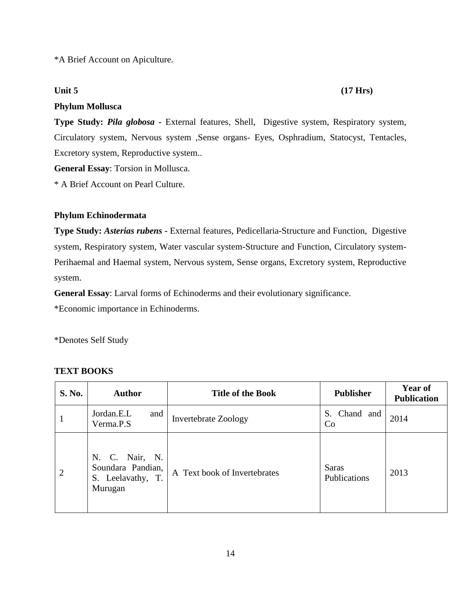\*A Brief Account on Apiculture.

## **Phylum Mollusca**

**Type Study:** *Pila globosa -* External features, Shell, Digestive system, Respiratory system, Circulatory system, Nervous system ,Sense organs- Eyes, Osphradium, Statocyst, Tentacles, Excretory system, Reproductive system..

**General Essay**: Torsion in Mollusca.

\* A Brief Account on Pearl Culture.

## **Phylum Echinodermata**

**Type Study:** *Asterias rubens* **-** External features, Pedicellaria-Structure and Function, Digestive system, Respiratory system, Water vascular system-Structure and Function, Circulatory system-Perihaemal and Haemal system, Nervous system, Sense organs, Excretory system, Reproductive system.

**General Essay**: Larval forms of Echinoderms and their evolutionary significance.

\*Economic importance in Echinoderms.

\*Denotes Self Study

## **TEXT BOOKS**

| <b>S. No.</b>  | <b>Author</b>                                                       | <b>Title of the Book</b>     | <b>Publisher</b>             | <b>Year of</b><br><b>Publication</b> |
|----------------|---------------------------------------------------------------------|------------------------------|------------------------------|--------------------------------------|
| 1              | Jordan.E.L<br>and<br>Verma.P.S                                      | <b>Invertebrate Zoology</b>  | Chand and<br>S.<br>Co        | 2014                                 |
| $\overline{2}$ | N. C. Nair, N.<br>Soundara Pandian,<br>S. Leelavathy, T.<br>Murugan | A Text book of Invertebrates | <b>Saras</b><br>Publications | 2013                                 |

## Unit 5 (17 Hrs)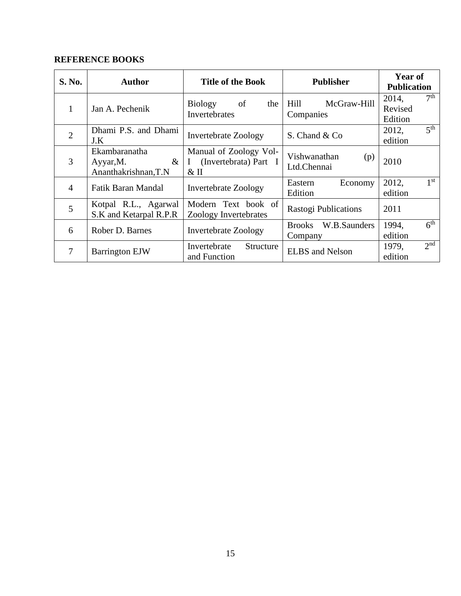| S. No.         | <b>Author</b>                                              | <b>Title of the Book</b>                                               | <b>Publisher</b>                   | Year of<br><b>Publication</b>       |
|----------------|------------------------------------------------------------|------------------------------------------------------------------------|------------------------------------|-------------------------------------|
| 1              | Jan A. Pechenik                                            | Biology<br>- of<br>the<br>Invertebrates                                | Hill<br>McGraw-Hill<br>Companies   | 7 <sup>th</sup><br>2014,<br>Revised |
|                |                                                            |                                                                        |                                    | Edition                             |
| $\overline{2}$ | Dhami P.S. and Dhami                                       | <b>Invertebrate Zoology</b>                                            | S. Chand & Co.                     | 5 <sup>th</sup><br>2012,            |
|                | J.K                                                        |                                                                        |                                    | edition                             |
| 3              | Ekambaranatha<br>$\&$<br>Ayyar, M.<br>Ananthakrishnan, T.N | Manual of Zoology Vol-<br>(Invertebrata) Part I<br>$\bf{I}$<br>$\&$ II | Vishwanathan<br>(p)<br>Ltd.Chennai | 2010                                |
| $\overline{4}$ | Fatik Baran Mandal                                         | <b>Invertebrate Zoology</b>                                            | Economy<br>Eastern<br>Edition      | 1 <sup>st</sup><br>2012,<br>edition |
| 5              | Kotpal R.L., Agarwal<br>S.K and Ketarpal R.P.R             | Modern Text book of<br>Zoology Invertebrates                           | Rastogi Publications               | 2011                                |
|                |                                                            |                                                                        | W.B.Saunders<br><b>Brooks</b>      | 6 <sup>th</sup><br>1994,            |
| 6              | Rober D. Barnes                                            | <b>Invertebrate Zoology</b>                                            | Company                            | edition                             |
| 7              |                                                            | Invertebrate<br>Structure                                              | <b>ELBS</b> and Nelson             | 2 <sub>nd</sub><br>1979,            |
|                | <b>Barrington EJW</b>                                      | and Function                                                           |                                    | edition                             |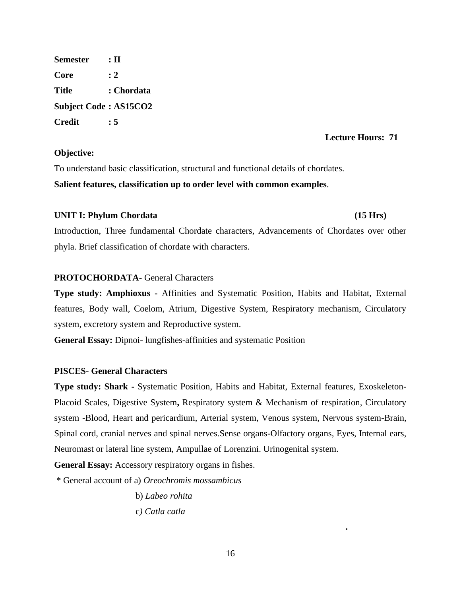**Semester : II Core : 2 Title : Chordata Subject Code : AS15CO2 Credit : 5**

### **Lecture Hours: 71**

## **Objective:**

To understand basic classification, structural and functional details of chordates. **Salient features, classification up to order level with common examples**.

### **UNIT I: Phylum Chordata (15 Hrs)**

**.** 

Introduction, Three fundamental Chordate characters, Advancements of Chordates over other phyla. Brief classification of chordate with characters.

## **PROTOCHORDATA-** General Characters

**Type study: Amphioxus -** Affinities and Systematic Position, Habits and Habitat, External features, Body wall, Coelom, Atrium, Digestive System, Respiratory mechanism, Circulatory system, excretory system and Reproductive system.

**General Essay:** Dipnoi- lungfishes-affinities and systematic Position

### **PISCES- General Characters**

**Type study: Shark -** Systematic Position, Habits and Habitat, External features, Exoskeleton-Placoid Scales, Digestive System**,** Respiratory system & Mechanism of respiration, Circulatory system -Blood, Heart and pericardium, Arterial system, Venous system, Nervous system-Brain, Spinal cord, cranial nerves and spinal nerves.Sense organs-Olfactory organs, Eyes, Internal ears, Neuromast or lateral line system, Ampullae of Lorenzini. Urinogenital system.

**General Essay:** Accessory respiratory organs in fishes.

\* General account of a) *Oreochromis mossambicus*

b) *Labeo rohita* c*) Catla catla*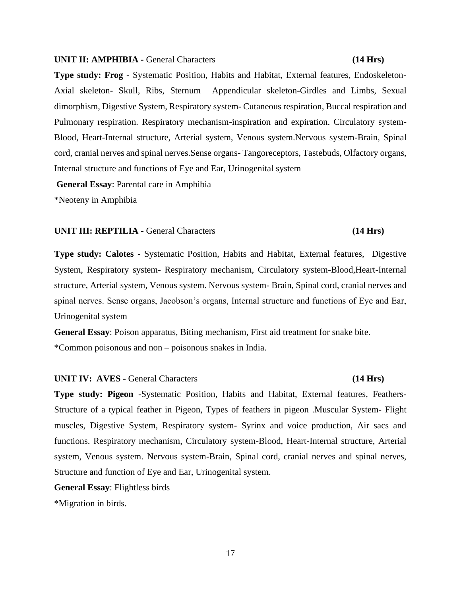#### **UNIT II: AMPHIBIA -** General Characters **(14 Hrs)**

**Type study: Frog -** Systematic Position, Habits and Habitat, External features, Endoskeleton-Axial skeleton- Skull, Ribs, Sternum Appendicular skeleton-Girdles and Limbs, Sexual dimorphism, Digestive System, Respiratory system- Cutaneous respiration, Buccal respiration and Pulmonary respiration. Respiratory mechanism-inspiration and expiration. Circulatory system-Blood, Heart-Internal structure, Arterial system, Venous system.Nervous system-Brain, Spinal cord, cranial nerves and spinal nerves.Sense organs- Tangoreceptors, Tastebuds, Olfactory organs, Internal structure and functions of Eye and Ear, Urinogenital system

**General Essay**: Parental care in Amphibia

\*Neoteny in Amphibia

#### **UNIT III: REPTILIA -** General Characters **(14 Hrs)**

# **Type study: Calotes** - Systematic Position, Habits and Habitat, External features, Digestive System, Respiratory system- Respiratory mechanism, Circulatory system-Blood,Heart-Internal structure, Arterial system, Venous system. Nervous system- Brain, Spinal cord, cranial nerves and spinal nerves. Sense organs, Jacobson's organs, Internal structure and functions of Eye and Ear, Urinogenital system

**General Essay**: Poison apparatus, Biting mechanism, First aid treatment for snake bite. \*Common poisonous and non – poisonous snakes in India.

#### **UNIT IV: AVES -** General Characters **(14 Hrs)**

**Type study: Pigeon** -Systematic Position, Habits and Habitat, External features, Feathers-Structure of a typical feather in Pigeon, Types of feathers in pigeon .Muscular System- Flight muscles, Digestive System, Respiratory system- Syrinx and voice production, Air sacs and functions. Respiratory mechanism, Circulatory system-Blood, Heart-Internal structure, Arterial system, Venous system. Nervous system-Brain, Spinal cord, cranial nerves and spinal nerves, Structure and function of Eye and Ear, Urinogenital system.

**General Essay**: Flightless birds

\*Migration in birds.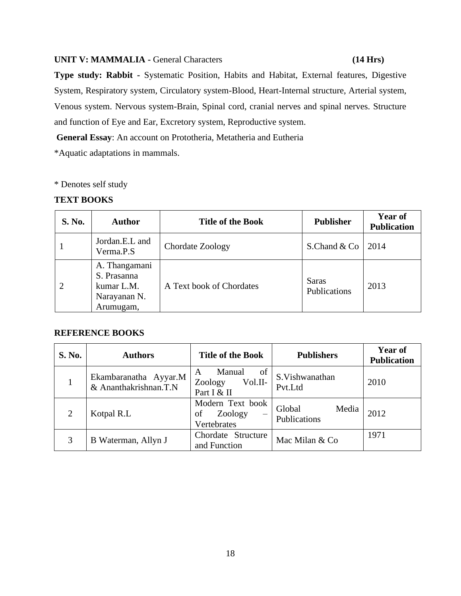### **UNIT V: MAMMALIA -** General Characters **(14 Hrs)**

**Type study: Rabbit -** Systematic Position, Habits and Habitat, External features, Digestive System, Respiratory system, Circulatory system-Blood, Heart-Internal structure, Arterial system, Venous system. Nervous system-Brain, Spinal cord, cranial nerves and spinal nerves. Structure and function of Eye and Ear, Excretory system, Reproductive system.

**General Essay**: An account on Prototheria, Metatheria and Eutheria

\*Aquatic adaptations in mammals.

## \* Denotes self study

## **TEXT BOOKS**

| <b>S. No.</b> | <b>Author</b>                                                           | <b>Title of the Book</b> | <b>Publisher</b>             | Year of<br><b>Publication</b> |
|---------------|-------------------------------------------------------------------------|--------------------------|------------------------------|-------------------------------|
|               | Jordan.E.L and<br>Verma.P.S                                             | Chordate Zoology         | S.Chand $&Co$                | 2014                          |
|               | A. Thangamani<br>S. Prasanna<br>kumar L.M.<br>Narayanan N.<br>Arumugam, | A Text book of Chordates | <b>Saras</b><br>Publications | 2013                          |

| S. No.         | <b>Authors</b>                                 | <b>Title of the Book</b>                               | <b>Publishers</b>               | Year of<br><b>Publication</b> |
|----------------|------------------------------------------------|--------------------------------------------------------|---------------------------------|-------------------------------|
|                | Ekambaranatha Ayyar.M<br>& Ananthakrishnan.T.N | Manual<br>of<br>A<br>Zoology<br>Vol.II-<br>Part I & II | S.Vishwanathan<br>Pvt.Ltd       | 2010                          |
| $\overline{2}$ | Kotpal R.L                                     | Modern Text book<br>Zoology<br>of<br>Vertebrates       | Global<br>Media<br>Publications | 2012                          |
| 3              | B Waterman, Allyn J                            | Chordate Structure<br>and Function                     | Mac Milan & Co                  | 1971                          |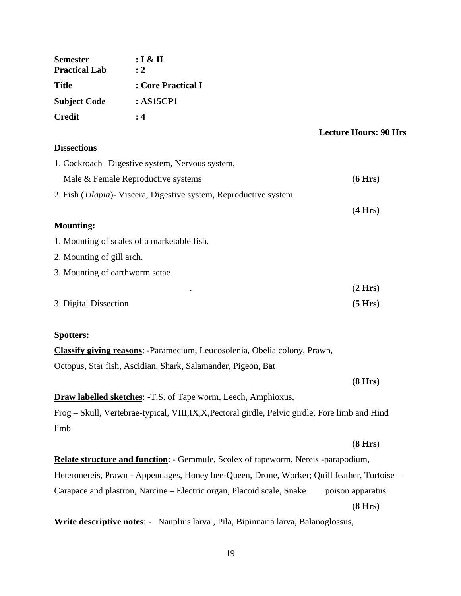| <b>Semester</b>      | : I & II           |
|----------------------|--------------------|
| <b>Practical Lab</b> | $\div 2$           |
| <b>Title</b>         | : Core Practical I |
| <b>Subject Code</b>  | : AS15CP1          |
| <b>Credit</b>        | $\cdot$ 4          |

#### **Lecture Hours: 90 Hrs**

## **Dissections**

| 1. Cockroach Digestive system, Nervous system,                            |         |
|---------------------------------------------------------------------------|---------|
| Male & Female Reproductive systems                                        | (6 Hrs) |
| 2. Fish ( <i>Tilapia</i> ) Viscera, Digestive system, Reproductive system |         |
|                                                                           | (4 Hrs) |
| <b>Mounting:</b>                                                          |         |
| 1. Mounting of scales of a marketable fish.                               |         |
| 2. Mounting of gill arch.                                                 |         |
| 3. Mounting of earthworm setae                                            |         |

. (**2 Hrs)**  3. Digital Dissection **(5 Hrs)**

### **Spotters:**

| <b>Classify giving reasons:</b> -Paramecium, Leucosolenia, Obelia colony, Prawn, |  |
|----------------------------------------------------------------------------------|--|
| Octopus, Star fish, Ascidian, Shark, Salamander, Pigeon, Bat                     |  |

(**8 Hrs)**

**Draw labelled sketches**: -T.S. of Tape worm, Leech, Amphioxus,

Frog – Skull, Vertebrae-typical, VIII,IX,X,Pectoral girdle, Pelvic girdle, Fore limb and Hind limb

## (**8 Hrs**)

**Relate structure and function**: - Gemmule, Scolex of tapeworm, Nereis -parapodium, Heteronereis, Prawn - Appendages, Honey bee-Queen, Drone, Worker; Quill feather, Tortoise – Carapace and plastron, Narcine – Electric organ, Placoid scale, Snake poison apparatus. (**8 Hrs)**

**Write descriptive notes**: - Nauplius larva , Pila, Bipinnaria larva, Balanoglossus,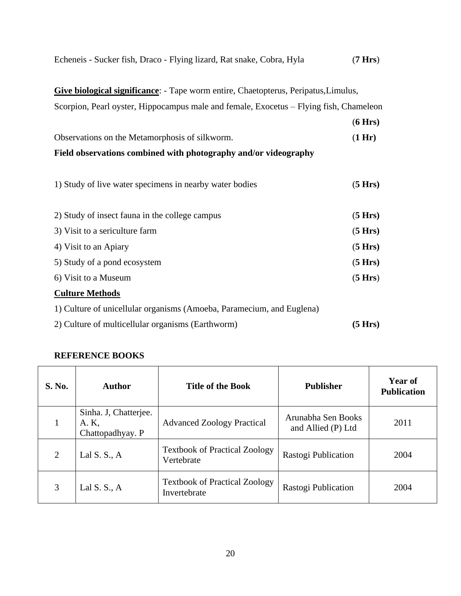| Echeneis - Sucker fish, Draco - Flying lizard, Rat snake, Cobra, Hyla | (7 Hrs) |
|-----------------------------------------------------------------------|---------|
|-----------------------------------------------------------------------|---------|

**Give biological significance**: - Tape worm entire, Chaetopterus, Peripatus,Limulus, Scorpion, Pearl oyster, Hippocampus male and female, Exocetus – Flying fish, Chameleon

|                                                                 | (6 Hrs) |
|-----------------------------------------------------------------|---------|
| Observations on the Metamorphosis of silkworm.                  | (1 Hr)  |
| Field observations combined with photography and/or videography |         |

| 1) Study of live water specimens in nearby water bodies               | (5 Hrs) |
|-----------------------------------------------------------------------|---------|
| 2) Study of insect fauna in the college campus                        | (5 Hrs) |
| 3) Visit to a sericulture farm                                        | (5 Hrs) |
| 4) Visit to an Apiary                                                 | (5 Hrs) |
| 5) Study of a pond ecosystem                                          | (5 Hrs) |
| 6) Visit to a Museum                                                  | (5 Hrs) |
| <b>Culture Methods</b>                                                |         |
| 1) Culture of unicellular organisms (Amoeba, Paramecium, and Euglena) |         |
| 2) Culture of multicellular organisms (Earthworm)                     | (5 Hrs) |

| <b>S. No.</b> | Author                                             | <b>Title of the Book</b>                             | <b>Publisher</b>                         | Year of<br><b>Publication</b> |
|---------------|----------------------------------------------------|------------------------------------------------------|------------------------------------------|-------------------------------|
|               | Sinha. J, Chatterjee.<br>A. K,<br>Chattopadhyay. P | <b>Advanced Zoology Practical</b>                    | Arunabha Sen Books<br>and Allied (P) Ltd | 2011                          |
| 2             | Lal $S. S., A$                                     | <b>Textbook of Practical Zoology</b><br>Vertebrate   | Rastogi Publication                      | 2004                          |
| 3             | Lal S. S., $A$                                     | <b>Textbook of Practical Zoology</b><br>Invertebrate | Rastogi Publication                      | 2004                          |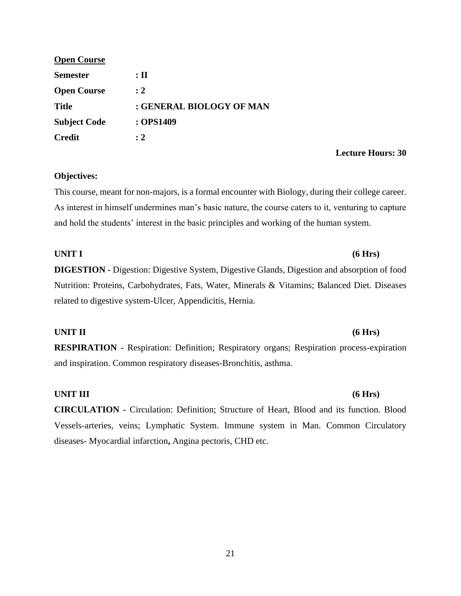| <b>Open Course</b>  |                          |
|---------------------|--------------------------|
| <b>Semester</b>     | $:$ II                   |
| <b>Open Course</b>  | $\cdot$ 2                |
| <b>Title</b>        | : GENERAL BIOLOGY OF MAN |
| <b>Subject Code</b> | : OPS1409                |
| <b>Credit</b>       | $\cdot$ 2                |

#### **Lecture Hours: 30**

### **Objectives:**

This course, meant for non-majors, is a formal encounter with Biology, during their college career. As interest in himself undermines man's basic nature, the course caters to it, venturing to capture and hold the students' interest in the basic principles and working of the human system.

## **UNIT I (6 Hrs)**

**DIGESTION -** Digestion: Digestive System, Digestive Glands, Digestion and absorption of food Nutrition: Proteins, Carbohydrates, Fats, Water, Minerals & Vitamins; Balanced Diet. Diseases related to digestive system-Ulcer, Appendicitis, Hernia.

### **UNIT II (6 Hrs)**

**RESPIRATION -** Respiration: Definition; Respiratory organs; Respiration process-expiration and inspiration. Common respiratory diseases-Bronchitis, asthma.

#### **UNIT III (6 Hrs)**

**CIRCULATION -** Circulation: Definition; Structure of Heart, Blood and its function. Blood Vessels-arteries, veins; Lymphatic System. Immune system in Man. Common Circulatory diseases- Myocardial infarction**,** Angina pectoris, CHD etc.

#### 21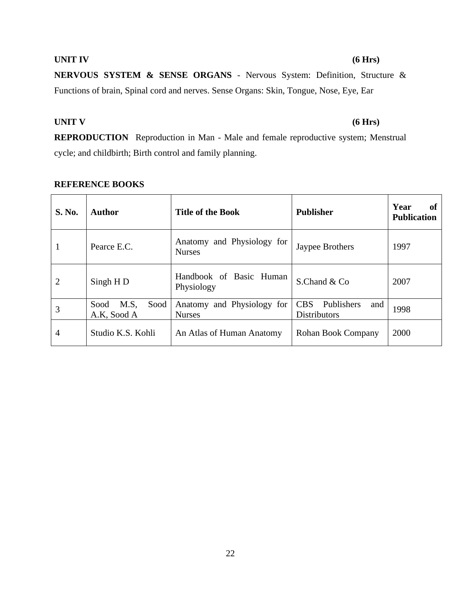## 22

# **UNIT IV (6 Hrs) NERVOUS SYSTEM & SENSE ORGANS** - Nervous System: Definition, Structure & Functions of brain, Spinal cord and nerves. Sense Organs: Skin, Tongue, Nose, Eye, Ear

## **UNIT V (6 Hrs)**

**REPRODUCTION** Reproduction in Man - Male and female reproductive system; Menstrual cycle; and childbirth; Birth control and family planning.

## **S. No.**  $\begin{array}{|c|c|c|c|c|}\n\hline\n\textbf{x} & \textbf{y} & \textbf{y} \\
\hline\n\textbf{y} & \textbf{z} & \textbf{y} \\
\hline\n\textbf{y} & \textbf{y} & \textbf{y} \\
\hline\n\textbf{y} & \textbf{y} & \textbf{y}\n\end{array}$ **Publication** 1 Pearce E.C. Anatomy and Physiology for Nurses and Thysiology 101 Jaypee Brothers 1997 2  $\Big|$  Singh H D  $\Big|$  Handbook of Basic Human Physiology  $S$ Chand & Co 2007 3 Sood M.S, Sood A.K, Sood A Anatomy and Physiology for Nurses CBS Publishers and Distributors and 1998 4 Studio K.S. Kohli An Atlas of Human Anatomy Rohan Book Company 2000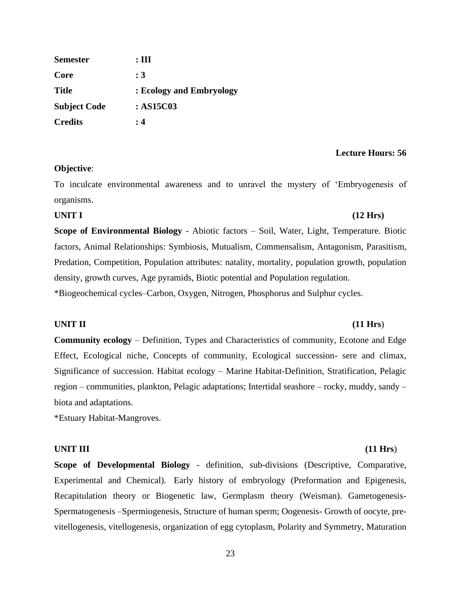| <b>Semester</b>     | $:\mathbf{III}:$         |
|---------------------|--------------------------|
| Core                | : 3                      |
| <b>Title</b>        | : Ecology and Embryology |
| <b>Subject Code</b> | :AS15C03                 |
| <b>Credits</b>      | : 4                      |

#### **Lecture Hours: 56**

#### **Objective**:

To inculcate environmental awareness and to unravel the mystery of 'Embryogenesis of organisms.

# **UNIT I (12 Hrs) Scope of Environmental Biology** - Abiotic factors – Soil, Water, Light, Temperature. Biotic

factors, Animal Relationships: Symbiosis, Mutualism, Commensalism, Antagonism, Parasitism, Predation, Competition, Population attributes: natality, mortality, population growth, population density, growth curves, Age pyramids, Biotic potential and Population regulation.

\*Biogeochemical cycles–Carbon, Oxygen, Nitrogen, Phosphorus and Sulphur cycles.

#### **UNIT II (11 Hrs**)

**Community ecology** – Definition, Types and Characteristics of community, Ecotone and Edge Effect, Ecological niche, Concepts of community, Ecological succession- sere and climax, Significance of succession. Habitat ecology – Marine Habitat-Definition, Stratification, Pelagic region – communities, plankton, Pelagic adaptations; Intertidal seashore – rocky, muddy, sandy – biota and adaptations.

\*Estuary Habitat-Mangroves.

#### **UNIT III (11 Hrs**)

**Scope of Developmental Biology** - definition, sub-divisions (Descriptive, Comparative, Experimental and Chemical). Early history of embryology (Preformation and Epigenesis, Recapitulation theory or Biogenetic law, Germplasm theory (Weisman). Gametogenesis-Spermatogenesis –Spermiogenesis, Structure of human sperm; Oogenesis- Growth of oocyte, previtellogenesis, vitellogenesis, organization of egg cytoplasm, Polarity and Symmetry, Maturation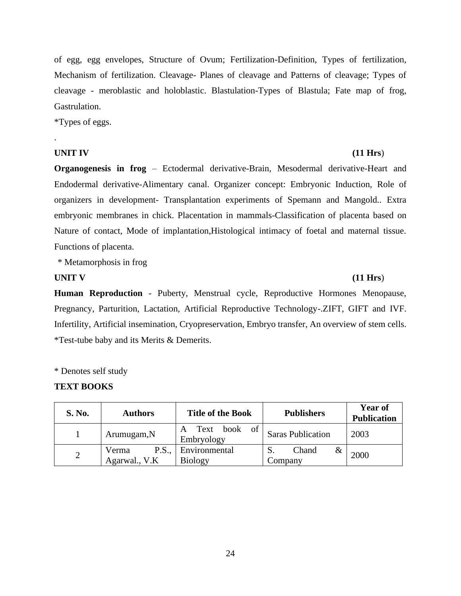of egg, egg envelopes, Structure of Ovum; Fertilization-Definition, Types of fertilization, Mechanism of fertilization. Cleavage- Planes of cleavage and Patterns of cleavage; Types of cleavage - meroblastic and holoblastic. Blastulation-Types of Blastula; Fate map of frog, Gastrulation.

\*Types of eggs.

## **UNIT IV (11 Hrs**)

.

**Organogenesis in frog** – Ectodermal derivative-Brain, Mesodermal derivative-Heart and Endodermal derivative-Alimentary canal. Organizer concept: Embryonic Induction, Role of organizers in development- Transplantation experiments of Spemann and Mangold.. Extra embryonic membranes in chick. Placentation in mammals-Classification of placenta based on Nature of contact, Mode of implantation,Histological intimacy of foetal and maternal tissue. Functions of placenta.

\* Metamorphosis in frog

**Human Reproduction** - Puberty, Menstrual cycle, Reproductive Hormones Menopause, Pregnancy, Parturition, Lactation, Artificial Reproductive Technology-.ZIFT, GIFT and IVF. Infertility, Artificial insemination, Cryopreservation, Embryo transfer, An overview of stem cells. \*Test-tube baby and its Merits & Demerits.

\* Denotes self study

### **TEXT BOOKS**

| <b>S. No.</b> | <b>Authors</b>                         | <b>Title of the Book</b>           | <b>Publishers</b>        | <b>Year of</b><br><b>Publication</b> |
|---------------|----------------------------------------|------------------------------------|--------------------------|--------------------------------------|
|               | Arumugam, N                            | book of<br>Text<br>A<br>Embryology | <b>Saras Publication</b> | 2003                                 |
| ∠             | <b>P.S.,</b><br>Verma<br>Agarwal., V.K | Environmental<br><b>Biology</b>    | Chand<br>Company         | 2000                                 |

## **UNIT V (11 Hrs**)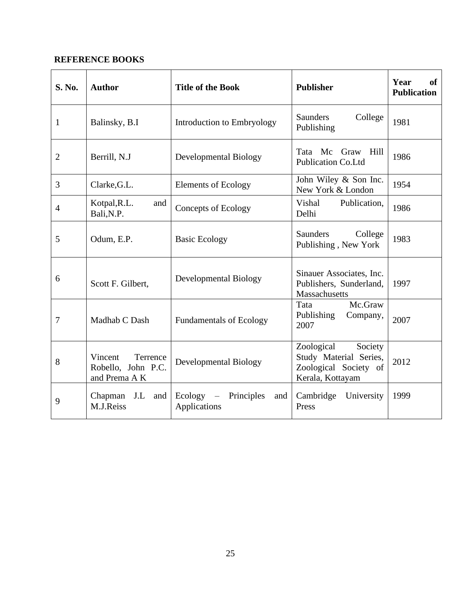| <b>S. No.</b> | <b>Author</b>                                              | <b>Title of the Book</b>                                 | <b>Publisher</b>                                                                             | Year<br>of<br><b>Publication</b> |
|---------------|------------------------------------------------------------|----------------------------------------------------------|----------------------------------------------------------------------------------------------|----------------------------------|
| 1             | Balinsky, B.I                                              | Introduction to Embryology                               | <b>Saunders</b><br>College<br>Publishing                                                     | 1981                             |
| 2             | Berrill, N.J                                               | <b>Developmental Biology</b>                             | Tata Mc Graw Hill<br><b>Publication Co.Ltd</b>                                               | 1986                             |
| 3             | Clarke, G.L.                                               | <b>Elements of Ecology</b>                               | John Wiley & Son Inc.<br>New York & London                                                   | 1954                             |
| 4             | Kotpal, R.L.<br>and<br>Bali, N.P.                          | <b>Concepts of Ecology</b>                               | Vishal<br>Publication,<br>Delhi                                                              | 1986                             |
| 5             | Odum, E.P.                                                 | <b>Basic Ecology</b>                                     | Saunders<br>College<br>Publishing, New York                                                  | 1983                             |
| 6             | Scott F. Gilbert,                                          | <b>Developmental Biology</b>                             | Sinauer Associates, Inc.<br>Publishers, Sunderland,<br>Massachusetts                         | 1997                             |
| 7             | Madhab C Dash                                              | <b>Fundamentals of Ecology</b>                           | Mc.Graw<br>Tata<br>Publishing<br>Company,<br>2007                                            | 2007                             |
| 8             | Terrence<br>Vincent<br>Robello, John P.C.<br>and Prema A K | <b>Developmental Biology</b>                             | Zoological<br>Society<br>Study Material Series,<br>Zoological Society of<br>Kerala, Kottayam | 2012                             |
| 9             | J.L<br>Chapman<br>and<br>M.J.Reiss                         | Ecology<br>Principles<br>$\equiv$<br>and<br>Applications | Cambridge<br>University<br>Press                                                             | 1999                             |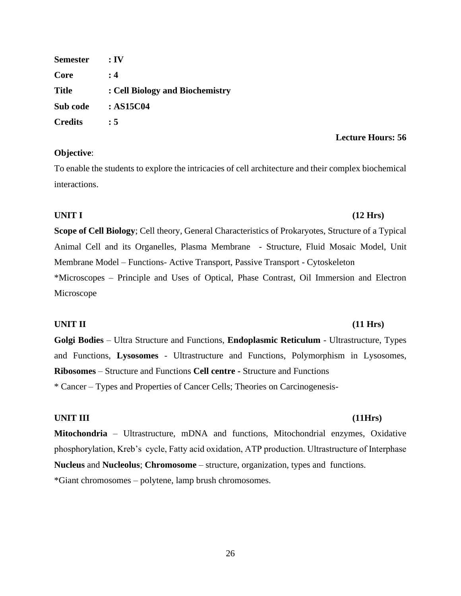**Semester : IV Core : 4 Title : Cell Biology and Biochemistry Sub code : AS15C04 Credits : 5**

## **Objective**:

To enable the students to explore the intricacies of cell architecture and their complex biochemical interactions.

## **UNIT I (12 Hrs)**

**Scope of Cell Biology**; Cell theory, General Characteristics of Prokaryotes, Structure of a Typical Animal Cell and its Organelles, Plasma Membrane - Structure, Fluid Mosaic Model, Unit Membrane Model – Functions- Active Transport, Passive Transport - Cytoskeleton \*Microscopes – Principle and Uses of Optical, Phase Contrast, Oil Immersion and Electron Microscope

## **UNIT II (11 Hrs)**

**Golgi Bodies** – Ultra Structure and Functions, **Endoplasmic Reticulum** - Ultrastructure, Types and Functions, **Lysosomes** - Ultrastructure and Functions, Polymorphism in Lysosomes, **Ribosomes** – Structure and Functions **Cell centre -** Structure and Functions

\* Cancer – Types and Properties of Cancer Cells; Theories on Carcinogenesis-

## **UNIT III (11Hrs)**

**Mitochondria** – Ultrastructure, mDNA and functions, Mitochondrial enzymes, Oxidative phosphorylation, Kreb's cycle, Fatty acid oxidation, ATP production. Ultrastructure of Interphase **Nucleus** and **Nucleolus**; **Chromosome** – structure, organization, types and functions. \*Giant chromosomes – polytene, lamp brush chromosomes.

# **Lecture Hours: 56**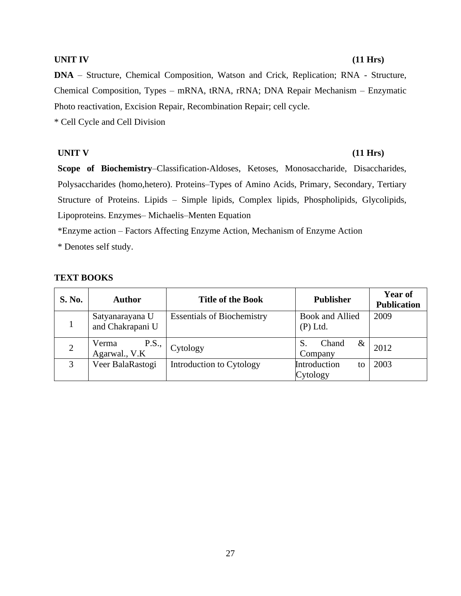#### **UNIT IV (11 Hrs)**

**DNA** – Structure, Chemical Composition, Watson and Crick, Replication; RNA - Structure, Chemical Composition, Types – mRNA, tRNA, rRNA; DNA Repair Mechanism – Enzymatic Photo reactivation, Excision Repair, Recombination Repair; cell cycle.

\* Cell Cycle and Cell Division

## **UNIT V (11 Hrs)**

**Scope of Biochemistry**–Classification-Aldoses, Ketoses, Monosaccharide, Disaccharides, Polysaccharides (homo,hetero). Proteins–Types of Amino Acids, Primary, Secondary, Tertiary Structure of Proteins. Lipids – Simple lipids, Complex lipids, Phospholipids, Glycolipids, Lipoproteins. Enzymes– Michaelis–Menten Equation

\*Enzyme action – Factors Affecting Enzyme Action, Mechanism of Enzyme Action

\* Denotes self study.

## **TEXT BOOKS**

| <b>S. No.</b>  | <b>Author</b>                          | <b>Title of the Book</b>          | <b>Publisher</b>               | <b>Year of</b><br><b>Publication</b> |
|----------------|----------------------------------------|-----------------------------------|--------------------------------|--------------------------------------|
|                | Satyanarayana U<br>and Chakrapani U    | <b>Essentials of Biochemistry</b> | Book and Allied<br>$(P)$ Ltd.  | 2009                                 |
| $\overline{2}$ | <b>P.S.,</b><br>Verma<br>Agarwal., V.K | Cytology                          | Chand<br>$\&$<br>Company       | 2012                                 |
| 3              | Veer BalaRastogi                       | Introduction to Cytology          | Introduction<br>to<br>Cytology | 2003                                 |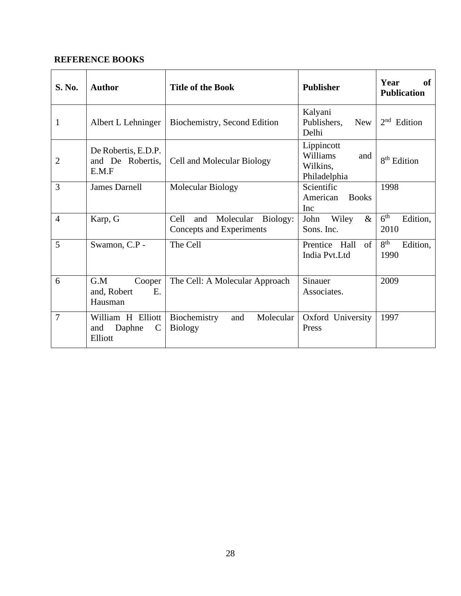| S. No.         | <b>Author</b>                                                  | <b>Title of the Book</b>                                         | <b>Publisher</b>                                          | Year<br>of<br><b>Publication</b>    |
|----------------|----------------------------------------------------------------|------------------------------------------------------------------|-----------------------------------------------------------|-------------------------------------|
| 1              | Albert L Lehninger                                             | Biochemistry, Second Edition                                     | Kalyani<br>Publishers,<br><b>New</b><br>Delhi             | 2 <sub>nd</sub><br>Edition          |
| 2              | De Robertis, E.D.P.<br>and De Robertis,<br>E.M.F               | Cell and Molecular Biology                                       | Lippincott<br>Williams<br>and<br>Wilkins,<br>Philadelphia | 8 <sup>th</sup> Edition             |
| 3              | <b>James Darnell</b>                                           | Molecular Biology                                                | Scientific<br>American<br><b>Books</b><br><b>Inc</b>      | 1998                                |
| $\overline{4}$ | Karp, G                                                        | Cell<br>Molecular<br>Biology:<br>and<br>Concepts and Experiments | $\&$<br>John<br>Wiley<br>Sons. Inc.                       | 6 <sup>th</sup><br>Edition,<br>2010 |
| 5              | Swamon, C.P -                                                  | The Cell                                                         | of<br>Prentice Hall<br>India Pvt.Ltd                      | 8 <sup>th</sup><br>Edition,<br>1990 |
| 6              | G.M<br>Cooper<br>E.<br>and, Robert<br>Hausman                  | The Cell: A Molecular Approach                                   | Sinauer<br>Associates.                                    | 2009                                |
| $\overline{7}$ | William H Elliott<br>Daphne<br>and<br>$\mathcal{C}$<br>Elliott | Molecular<br>Biochemistry<br>and<br><b>Biology</b>               | Oxford University<br>Press                                | 1997                                |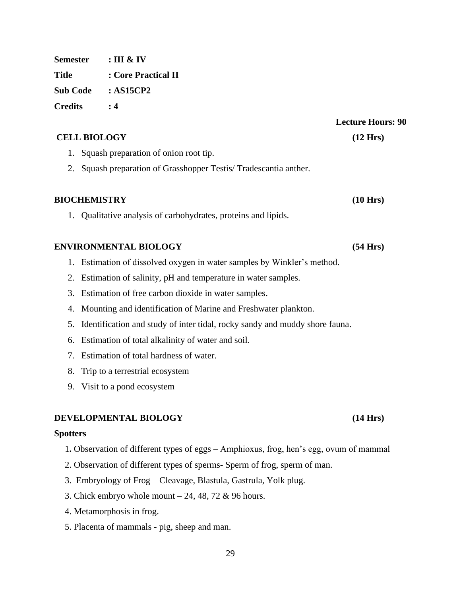**Semester : III & IV Title : Core Practical II Sub Code : AS15CP2 Credits : 4**

### **CELL BIOLOGY (12 Hrs)**

- 1. Squash preparation of onion root tip.
- 2. Squash preparation of Grasshopper Testis/ Tradescantia anther.

### **BIOCHEMISTRY (10 Hrs)**

1. Qualitative analysis of carbohydrates, proteins and lipids.

### **ENVIRONMENTAL BIOLOGY (54 Hrs)**

- 1. Estimation of dissolved oxygen in water samples by Winkler's method.
- 2. Estimation of salinity, pH and temperature in water samples.
- 3. Estimation of free carbon dioxide in water samples.
- 4. Mounting and identification of Marine and Freshwater plankton.
- 5. Identification and study of inter tidal, rocky sandy and muddy shore fauna.
- 6. Estimation of total alkalinity of water and soil.
- 7. Estimation of total hardness of water.
- 8. Trip to a terrestrial ecosystem
- 9. Visit to a pond ecosystem

### **DEVELOPMENTAL BIOLOGY (14 Hrs)**

#### **Spotters**

- 1**.** Observation of different types of eggs Amphioxus, frog, hen's egg, ovum of mammal
- 2. Observation of different types of sperms- Sperm of frog, sperm of man.
- 3. Embryology of Frog Cleavage, Blastula, Gastrula, Yolk plug.
- 3. Chick embryo whole mount  $-24$ , 48, 72 & 96 hours.
- 4. Metamorphosis in frog.
- 5. Placenta of mammals pig, sheep and man.

## **Lecture Hours: 90**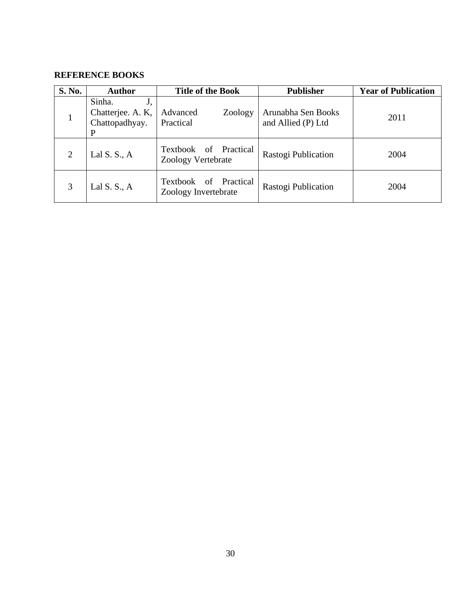| S. No. | <b>Author</b>                                            | <b>Title of the Book</b>                         | <b>Publisher</b>                         | <b>Year of Publication</b> |
|--------|----------------------------------------------------------|--------------------------------------------------|------------------------------------------|----------------------------|
| 1      | Sinha.<br>J,<br>Chatterjee. A. K,<br>Chattopadhyay.<br>P | Advanced<br>Zoology<br>Practical                 | Arunabha Sen Books<br>and Allied (P) Ltd | 2011                       |
| 2      | Lal S. S., $A$                                           | of Practical<br>Textbook<br>Zoology Vertebrate   | Rastogi Publication                      | 2004                       |
| 3      | Lal $S. S., A$                                           | of Practical<br>Textbook<br>Zoology Invertebrate | Rastogi Publication                      | 2004                       |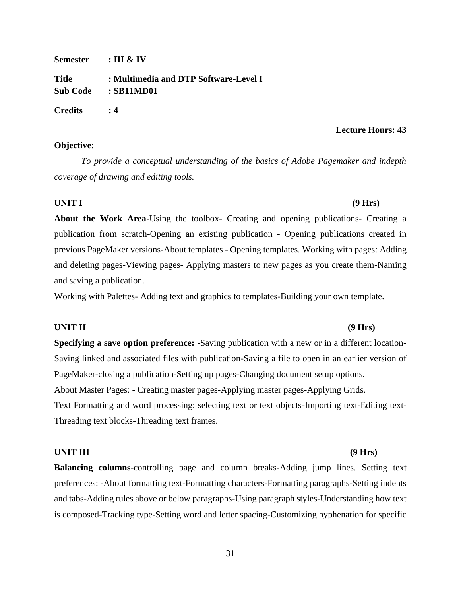**Semester : III & IV Title : Multimedia and DTP Software-Level I Sub Code : SB11MD01 Credits : 4**

### **Objective:**

*To provide a conceptual understanding of the basics of Adobe Pagemaker and indepth coverage of drawing and editing tools.*

## **UNIT I (9 Hrs)**

**About the Work Area**-Using the toolbox- Creating and opening publications- Creating a publication from scratch-Opening an existing publication - Opening publications created in previous PageMaker versions-About templates - Opening templates. Working with pages: Adding and deleting pages-Viewing pages- Applying masters to new pages as you create them-Naming and saving a publication.

Working with Palettes- Adding text and graphics to templates-Building your own template.

## **UNIT II (9 Hrs)**

**Specifying a save option preference:** -Saving publication with a new or in a different location-Saving linked and associated files with publication-Saving a file to open in an earlier version of PageMaker-closing a publication-Setting up pages-Changing document setup options. About Master Pages: - Creating master pages-Applying master pages-Applying Grids. Text Formatting and word processing: selecting text or text objects-Importing text-Editing text-Threading text blocks-Threading text frames.

## **UNIT III (9 Hrs)**

**Balancing columns**-controlling page and column breaks-Adding jump lines. Setting text preferences: -About formatting text-Formatting characters-Formatting paragraphs-Setting indents and tabs-Adding rules above or below paragraphs-Using paragraph styles-Understanding how text is composed-Tracking type-Setting word and letter spacing-Customizing hyphenation for specific

## **Lecture Hours: 43**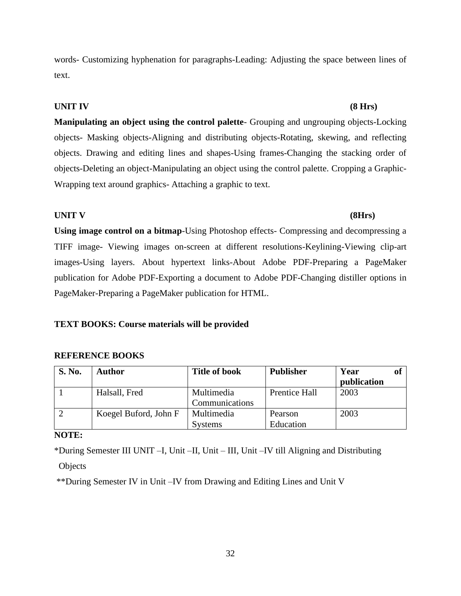32

words- Customizing hyphenation for paragraphs-Leading: Adjusting the space between lines of text.

## **UNIT IV (8 Hrs)**

**Manipulating an object using the control palette**- Grouping and ungrouping objects-Locking objects- Masking objects-Aligning and distributing objects-Rotating, skewing, and reflecting objects. Drawing and editing lines and shapes-Using frames-Changing the stacking order of objects-Deleting an object-Manipulating an object using the control palette. Cropping a Graphic-Wrapping text around graphics- Attaching a graphic to text.

## **UNIT V (8Hrs)**

**Using image control on a bitmap**-Using Photoshop effects- Compressing and decompressing a TIFF image- Viewing images on-screen at different resolutions-Keylining-Viewing clip-art images-Using layers. About hypertext links-About Adobe PDF-Preparing a PageMaker publication for Adobe PDF-Exporting a document to Adobe PDF-Changing distiller options in PageMaker-Preparing a PageMaker publication for HTML.

## **TEXT BOOKS: Course materials will be provided**

## **REFERENCE BOOKS**

| <b>S. No.</b> | <b>Author</b>         | <b>Title of book</b>         | <b>Publisher</b>     | Year<br>publication |  |
|---------------|-----------------------|------------------------------|----------------------|---------------------|--|
|               | Halsall, Fred         | Multimedia<br>Communications | <b>Prentice Hall</b> | 2003                |  |
|               | Koegel Buford, John F | Multimedia<br><b>Systems</b> | Pearson<br>Education | 2003                |  |

**NOTE:** 

\*During Semester III UNIT –I, Unit –II, Unit – III, Unit –IV till Aligning and Distributing **Objects** 

\*\*During Semester IV in Unit –IV from Drawing and Editing Lines and Unit V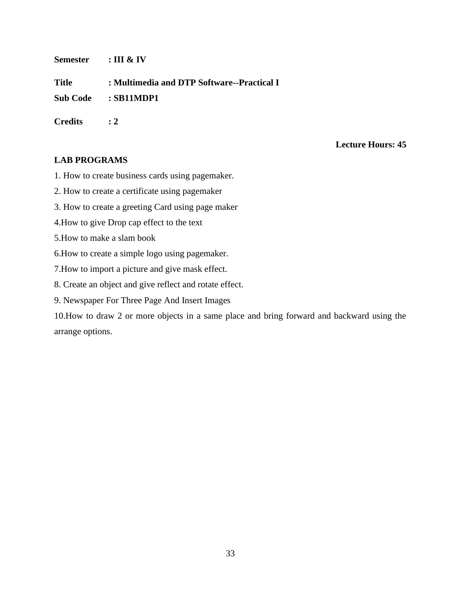**Semester : III & IV**

**Title : Multimedia and DTP Software--Practical I**

**Sub Code : SB11MDP1**

**Credits : 2**

## **Lecture Hours: 45**

## **LAB PROGRAMS**

- 1. How to create business cards using pagemaker.
- 2. How to create a certificate using pagemaker
- 3. How to create a greeting Card using page maker
- 4.How to give Drop cap effect to the text
- 5.How to make a slam book
- 6.How to create a simple logo using pagemaker.
- 7.How to import a picture and give mask effect.
- 8. Create an object and give reflect and rotate effect.
- 9. Newspaper For Three Page And Insert Images

10.How to draw 2 or more objects in a same place and bring forward and backward using the arrange options.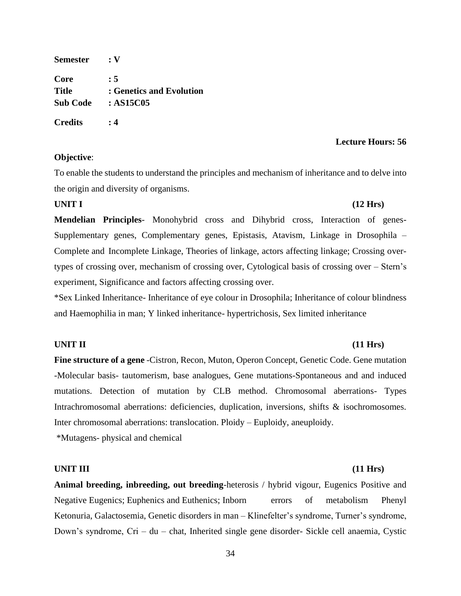**Semester : V Core : 5 Title : Genetics and Evolution Sub Code : AS15C05 Credits : 4**

## **Objective**:

### **Lecture Hours: 56**

To enable the students to understand the principles and mechanism of inheritance and to delve into the origin and diversity of organisms.

#### **UNIT I (12 Hrs)**

**Mendelian Principles**- Monohybrid cross and Dihybrid cross, Interaction of genes-Supplementary genes, Complementary genes, Epistasis, Atavism, Linkage in Drosophila – Complete and Incomplete Linkage, Theories of linkage, actors affecting linkage; Crossing overtypes of crossing over, mechanism of crossing over, Cytological basis of crossing over – Stern's experiment, Significance and factors affecting crossing over.

\*Sex Linked Inheritance- Inheritance of eye colour in Drosophila; Inheritance of colour blindness and Haemophilia in man; Y linked inheritance- hypertrichosis, Sex limited inheritance

### **UNIT II (11 Hrs)**

**Fine structure of a gene** -Cistron, Recon, Muton, Operon Concept, Genetic Code. Gene mutation -Molecular basis- tautomerism, base analogues, Gene mutations-Spontaneous and and induced mutations. Detection of mutation by CLB method. Chromosomal aberrations- Types Intrachromosomal aberrations: deficiencies, duplication, inversions, shifts & isochromosomes. Inter chromosomal aberrations: translocation. Ploidy – Euploidy, aneuploidy.

\*Mutagens- physical and chemical

### **UNIT III (11 Hrs)**

**Animal breeding, inbreeding, out breeding**-heterosis / hybrid vigour, Eugenics Positive and Negative Eugenics; Euphenics and Euthenics; Inborn errors of metabolism Phenyl Ketonuria, Galactosemia, Genetic disorders in man – Klinefelter's syndrome, Turner's syndrome, Down's syndrome, Cri – du – chat, Inherited single gene disorder- Sickle cell anaemia, Cystic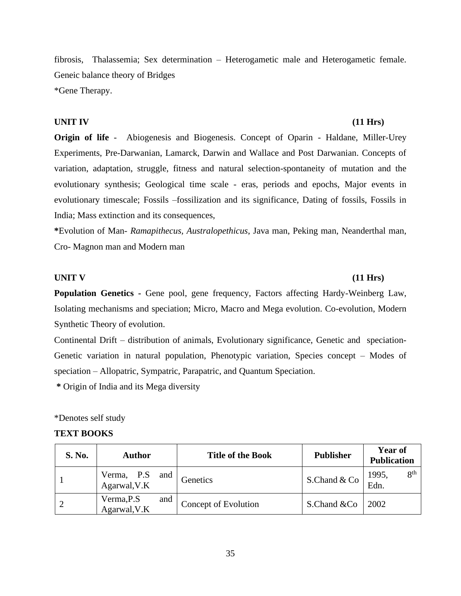fibrosis, Thalassemia; Sex determination – Heterogametic male and Heterogametic female. Geneic balance theory of Bridges \*Gene Therapy.

## **UNIT IV (11 Hrs)**

# **Origin of life** - Abiogenesis and Biogenesis. Concept of Oparin - Haldane, Miller-Urey Experiments, Pre-Darwanian, Lamarck, Darwin and Wallace and Post Darwanian. Concepts of variation, adaptation, struggle, fitness and natural selection-spontaneity of mutation and the evolutionary synthesis; Geological time scale - eras, periods and epochs, Major events in evolutionary timescale; Fossils –fossilization and its significance, Dating of fossils, Fossils in India; Mass extinction and its consequences,

**\***Evolution of Man- *Ramapithecus, Australopethicus*, Java man, Peking man, Neanderthal man, Cro- Magnon man and Modern man

## **UNIT V (11 Hrs)**

# **Population Genetics -** Gene pool, gene frequency, Factors affecting Hardy-Weinberg Law, Isolating mechanisms and speciation; Micro, Macro and Mega evolution. Co-evolution, Modern Synthetic Theory of evolution.

Continental Drift – distribution of animals, Evolutionary significance, Genetic and speciation-Genetic variation in natural population, Phenotypic variation, Species concept – Modes of speciation – Allopatric, Sympatric, Parapatric, and Quantum Speciation.

**\*** Origin of India and its Mega diversity

### \*Denotes self study

### **TEXT BOOKS**

| <b>S. No.</b> | <b>Author</b>                     | <b>Title of the Book</b> | <b>Publisher</b> | Year of<br><b>Publication</b>    |
|---------------|-----------------------------------|--------------------------|------------------|----------------------------------|
|               | Verma, P.S<br>Agarwal, V.K<br>and | Genetics                 | S.Chand & Co     | 8 <sup>th</sup><br>1995,<br>Edn. |
|               | Verma, P.S<br>and<br>Agarwal, V.K | Concept of Evolution     | S.Chand &Co      | 2002                             |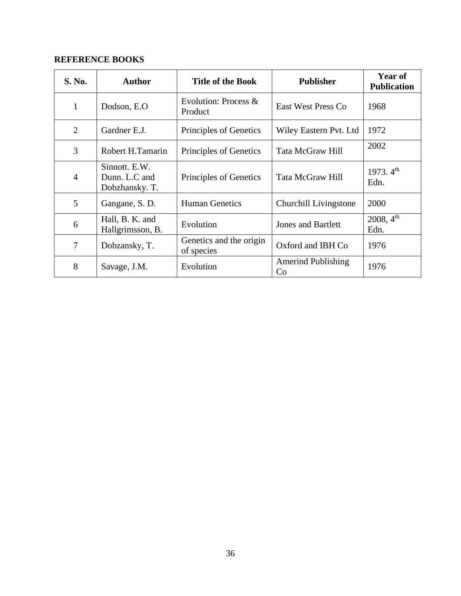| S. No.         | <b>Author</b>                                    | <b>Title of the Book</b>              | <b>Publisher</b>                | <b>Year of</b><br><b>Publication</b> |
|----------------|--------------------------------------------------|---------------------------------------|---------------------------------|--------------------------------------|
| $\mathbf{1}$   | Dodson, E.O.                                     | Evolution: Process $&$<br>Product     | <b>East West Press Co</b>       | 1968                                 |
| $\overline{2}$ | Gardner E.J.                                     | Principles of Genetics                | Wiley Eastern Pvt. Ltd          | 1972                                 |
| 3              | Robert H.Tamarin                                 | Principles of Genetics                | Tata McGraw Hill                | 2002                                 |
| $\overline{4}$ | Sinnott. E.W.<br>Dunn. L.C and<br>Dobzhansky. T. | Principles of Genetics                | <b>Tata McGraw Hill</b>         | 1973. $4^{th}$<br>Edn.               |
| 5              | Gangane, S. D.                                   | <b>Human Genetics</b>                 | Churchill Livingstone           | 2000                                 |
| 6              | Hall, B. K. and<br>Hallgrimsson, B.              | Evolution                             | <b>Jones and Bartlett</b>       | 2008, 4 <sup>th</sup><br>Edn.        |
| 7              | Dobzansky, T.                                    | Genetics and the origin<br>of species | Oxford and IBH Co               | 1976                                 |
| 8              | Savage, J.M.                                     | Evolution                             | <b>Amerind Publishing</b><br>Co | 1976                                 |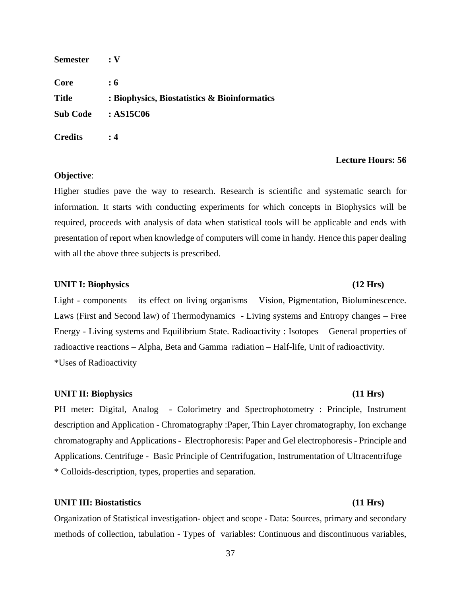| <b>Semester</b> | :V                                           |
|-----------------|----------------------------------------------|
| Core            | :6                                           |
| <b>Title</b>    | : Biophysics, Biostatistics & Bioinformatics |
| <b>Sub Code</b> | :AS15C06                                     |
| <b>Credits</b>  | : 4                                          |

## **Objective**:

Higher studies pave the way to research. Research is scientific and systematic search for information. It starts with conducting experiments for which concepts in Biophysics will be required, proceeds with analysis of data when statistical tools will be applicable and ends with presentation of report when knowledge of computers will come in handy. Hence this paper dealing with all the above three subjects is prescribed.

## UNIT I: Biophysics (12 Hrs)

# Light - components – its effect on living organisms – Vision, Pigmentation, Bioluminescence. Laws (First and Second law) of Thermodynamics - Living systems and Entropy changes – Free Energy - Living systems and Equilibrium State. Radioactivity : Isotopes – General properties of radioactive reactions – Alpha, Beta and Gamma radiation – Half-life, Unit of radioactivity. \*Uses of Radioactivity

### **UNIT II: Biophysics (11 Hrs)**

PH meter: Digital, Analog - Colorimetry and Spectrophotometry : Principle, Instrument description and Application - Chromatography :Paper, Thin Layer chromatography, Ion exchange chromatography and Applications - Electrophoresis: Paper and Gel electrophoresis - Principle and Applications. Centrifuge - Basic Principle of Centrifugation, Instrumentation of Ultracentrifuge \* Colloids-description, types, properties and separation.

## **UNIT III: Biostatistics (11 Hrs)**

Organization of Statistical investigation- object and scope - Data: Sources, primary and secondary methods of collection, tabulation - Types of variables: Continuous and discontinuous variables,

### 37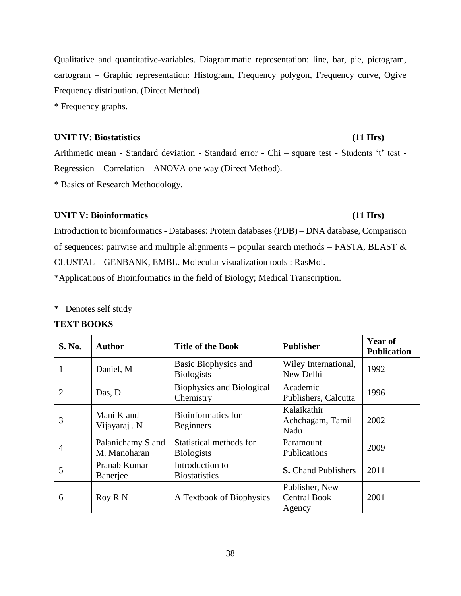38

Qualitative and quantitative-variables. Diagrammatic representation: line, bar, pie, pictogram, cartogram – Graphic representation: Histogram, Frequency polygon, Frequency curve, Ogive Frequency distribution. (Direct Method)

\* Frequency graphs.

## **UNIT IV: Biostatistics (11 Hrs)**

Arithmetic mean - Standard deviation - Standard error - Chi – square test - Students 't' test - Regression – Correlation – ANOVA one way (Direct Method).

\* Basics of Research Methodology.

## **UNIT V: Bioinformatics (11 Hrs)**

Introduction to bioinformatics - Databases: Protein databases (PDB) – DNA database, Comparison of sequences: pairwise and multiple alignments – popular search methods – FASTA, BLAST  $\&$ CLUSTAL – GENBANK, EMBL. Molecular visualization tools : RasMol. \*Applications of Bioinformatics in the field of Biology; Medical Transcription.

**\*** Denotes self study

## **TEXT BOOKS**

| S. No.         | <b>Author</b>                     | <b>Title of the Book</b>                      | <b>Publisher</b>                                | <b>Year of</b><br><b>Publication</b> |
|----------------|-----------------------------------|-----------------------------------------------|-------------------------------------------------|--------------------------------------|
|                | Daniel, M                         | Basic Biophysics and<br><b>Biologists</b>     | Wiley International,<br>New Delhi               | 1992                                 |
| $\overline{2}$ | Das, D                            | <b>Biophysics and Biological</b><br>Chemistry | Academic<br>Publishers, Calcutta                | 1996                                 |
| 3              | Mani K and<br>Vijayaraj . N       | Bioinformatics for<br><b>Beginners</b>        | Kalaikathir<br>Achchagam, Tamil<br>Nadu         | 2002                                 |
| $\overline{4}$ | Palanichamy S and<br>M. Manoharan | Statistical methods for<br><b>Biologists</b>  | Paramount<br>Publications                       | 2009                                 |
| 5              | Pranab Kumar<br>Banerjee          | Introduction to<br><b>Biostatistics</b>       | <b>S.</b> Chand Publishers                      | 2011                                 |
| 6              | Roy R N                           | A Textbook of Biophysics                      | Publisher, New<br><b>Central Book</b><br>Agency | 2001                                 |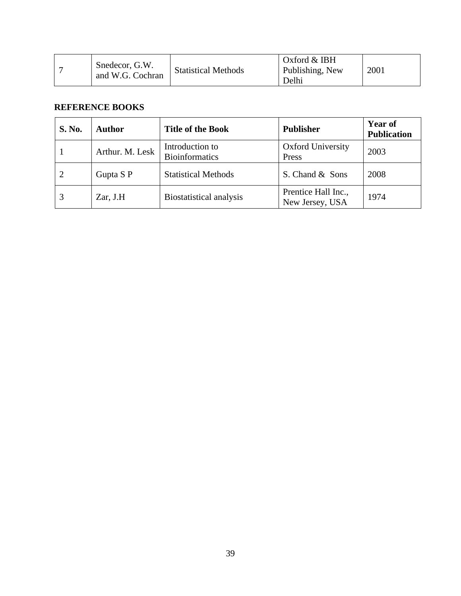| Snedecor, G.W.<br>and W.G. Cochran | <b>Statistical Methods</b> | Oxford $&$ IBH<br>Publishing, New | 2001 |
|------------------------------------|----------------------------|-----------------------------------|------|
|                                    |                            | Delhi                             |      |

| <b>S. No.</b> | <b>Author</b>   | <b>Title of the Book</b>                 | <b>Publisher</b>                       | <b>Year of</b><br><b>Publication</b> |
|---------------|-----------------|------------------------------------------|----------------------------------------|--------------------------------------|
|               | Arthur. M. Lesk | Introduction to<br><b>Bioinformatics</b> | <b>Oxford University</b><br>Press      | 2003                                 |
| 2             | Gupta S P       | <b>Statistical Methods</b>               | S. Chand & Sons                        | 2008                                 |
|               | Zar, J.H        | <b>Biostatistical analysis</b>           | Prentice Hall Inc.,<br>New Jersey, USA | 1974                                 |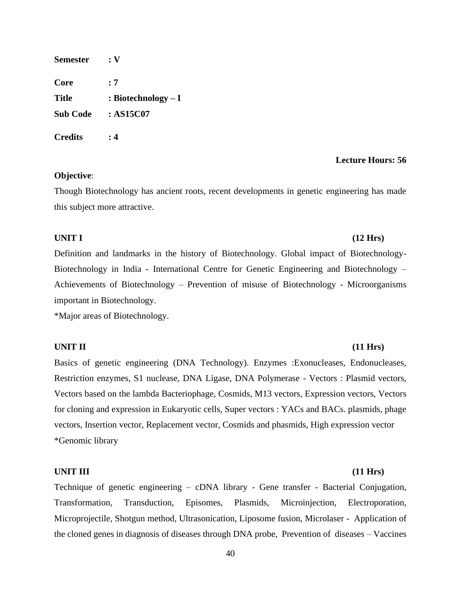| <b>Semester</b> | $: \mathbf{V}$       |
|-----------------|----------------------|
| Core            | : 7                  |
| <b>Title</b>    | : Biotechnology $-I$ |
| <b>Sub Code</b> | :AS15C07             |
| <b>Credits</b>  | : 4                  |

## **Objective**:

Though Biotechnology has ancient roots, recent developments in genetic engineering has made this subject more attractive.

## **UNIT I (12 Hrs)**

Definition and landmarks in the history of Biotechnology. Global impact of Biotechnology-Biotechnology in India - International Centre for Genetic Engineering and Biotechnology – Achievements of Biotechnology – Prevention of misuse of Biotechnology - Microorganisms important in Biotechnology.

\*Major areas of Biotechnology.

### **UNIT II (11 Hrs)**

Basics of genetic engineering (DNA Technology). Enzymes :Exonucleases, Endonucleases, Restriction enzymes, S1 nuclease, DNA Ligase, DNA Polymerase - Vectors : Plasmid vectors, Vectors based on the lambda Bacteriophage, Cosmids, M13 vectors, Expression vectors, Vectors for cloning and expression in Eukaryotic cells, Super vectors : YACs and BACs. plasmids, phage vectors, Insertion vector, Replacement vector, Cosmids and phasmids, High expression vector \*Genomic library

### **UNIT III (11 Hrs)**

Technique of genetic engineering – cDNA library - Gene transfer - Bacterial Conjugation, Transformation, Transduction, Episomes, Plasmids, Microinjection, Electroporation, Microprojectile, Shotgun method, Ultrasonication, Liposome fusion, Microlaser - Application of the cloned genes in diagnosis of diseases through DNA probe, Prevention of diseases – Vaccines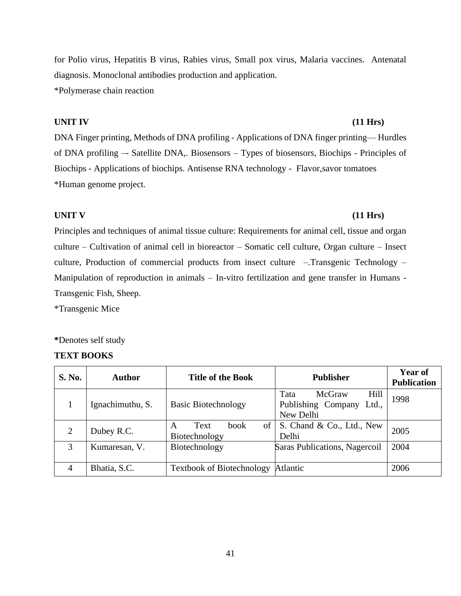for Polio virus, Hepatitis B virus, Rabies virus, Small pox virus, Malaria vaccines. Antenatal diagnosis. Monoclonal antibodies production and application.

\*Polymerase chain reaction

## **UNIT IV (11 Hrs)**

DNA Finger printing, Methods of DNA profiling - Applications of DNA finger printing–– Hurdles of DNA profiling –- Satellite DNA,. Biosensors – Types of biosensors, Biochips - Principles of Biochips - Applications of biochips. Antisense RNA technology - Flavor,savor tomatoes \*Human genome project.

## **UNIT V (11 Hrs)**

Principles and techniques of animal tissue culture: Requirements for animal cell, tissue and organ culture – Cultivation of animal cell in bioreactor – Somatic cell culture, Organ culture – Insect culture, Production of commercial products from insect culture –.Transgenic Technology – Manipulation of reproduction in animals – In-vitro fertilization and gene transfer in Humans - Transgenic Fish, Sheep.

\*Transgenic Mice

**\***Denotes self study

## **TEXT BOOKS**

| <b>S. No.</b> | <b>Author</b>    | <b>Title of the Book</b>                              | <b>Publisher</b>                                                   | <b>Year of</b><br><b>Publication</b> |
|---------------|------------------|-------------------------------------------------------|--------------------------------------------------------------------|--------------------------------------|
|               | Ignachimuthu, S. | <b>Basic Biotechnology</b>                            | McGraw<br>Hill<br>Tata<br>Publishing Company<br>Ltd.,<br>New Delhi | 1998                                 |
| 2             | Dubey R.C.       | of <sub>1</sub><br>book<br>Text<br>A<br>Biotechnology | S. Chand & Co., Ltd., New<br>Delhi                                 | 2005                                 |
| 3             | Kumaresan, V.    | Biotechnology                                         | Saras Publications, Nagercoil                                      | 2004                                 |
| 4             | Bhatia, S.C.     | <b>Textbook of Biotechnology</b>                      | <b>Atlantic</b>                                                    | 2006                                 |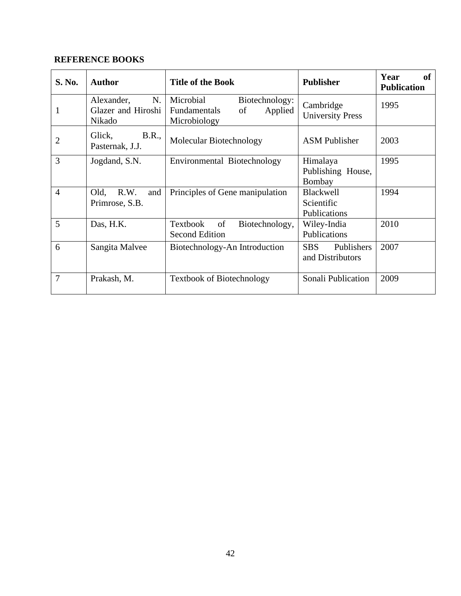| S. No.         | <b>Author</b>                                    | <b>Title of the Book</b>                                                     | <b>Publisher</b>                               | Year<br><b>of</b><br><b>Publication</b> |
|----------------|--------------------------------------------------|------------------------------------------------------------------------------|------------------------------------------------|-----------------------------------------|
| 1              | N.<br>Alexander,<br>Glazer and Hiroshi<br>Nikado | Microbial<br>Biotechnology:<br>Applied<br>Fundamentals<br>of<br>Microbiology | Cambridge<br><b>University Press</b>           | 1995                                    |
| $\overline{2}$ | <b>B.R.,</b><br>Glick,<br>Pasternak, J.J.        | Molecular Biotechnology                                                      | <b>ASM</b> Publisher                           | 2003                                    |
| 3              | Jogdand, S.N.                                    | Environmental Biotechnology                                                  | Himalaya<br>Publishing House,<br>Bombay        | 1995                                    |
| $\overline{4}$ | R.W.<br>Old,<br>and<br>Primrose, S.B.            | Principles of Gene manipulation                                              | <b>Blackwell</b><br>Scientific<br>Publications | 1994                                    |
| 5              | Das, H.K.                                        | of<br>Textbook<br>Biotechnology,<br><b>Second Edition</b>                    | Wiley-India<br>Publications                    | 2010                                    |
| 6              | Sangita Malvee                                   | Biotechnology-An Introduction                                                | <b>SBS</b><br>Publishers<br>and Distributors   | 2007                                    |
| 7              | Prakash, M.                                      | <b>Textbook of Biotechnology</b>                                             | Sonali Publication                             | 2009                                    |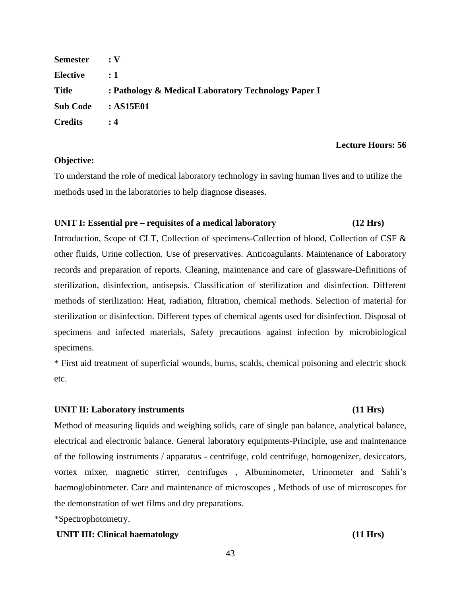| <b>Semester</b> | $\cdot$ V                                           |
|-----------------|-----------------------------------------------------|
| <b>Elective</b> | $\div 1$                                            |
| <b>Title</b>    | : Pathology & Medical Laboratory Technology Paper I |
| <b>Sub Code</b> | : AS15E01                                           |
| <b>Credits</b>  | :4                                                  |

## **Objective:**

To understand the role of medical laboratory technology in saving human lives and to utilize the methods used in the laboratories to help diagnose diseases.

## **UNIT I: Essential pre – requisites of a medical laboratory (12 Hrs)**

Introduction, Scope of CLT, Collection of specimens-Collection of blood, Collection of CSF & other fluids, Urine collection. Use of preservatives. Anticoagulants. Maintenance of Laboratory records and preparation of reports. Cleaning, maintenance and care of glassware-Definitions of sterilization, disinfection, antisepsis. Classification of sterilization and disinfection. Different methods of sterilization: Heat, radiation, filtration, chemical methods. Selection of material for sterilization or disinfection. Different types of chemical agents used for disinfection. Disposal of specimens and infected materials, Safety precautions against infection by microbiological specimens.

\* First aid treatment of superficial wounds, burns, scalds, chemical poisoning and electric shock etc.

## **UNIT II: Laboratory instruments (11 Hrs)**

Method of measuring liquids and weighing solids, care of single pan balance, analytical balance, electrical and electronic balance. General laboratory equipments-Principle, use and maintenance of the following instruments / apparatus - centrifuge, cold centrifuge, homogenizer, desiccators, vortex mixer, magnetic stirrer, centrifuges , Albuminometer, Urinometer and Sahli's haemoglobinometer. Care and maintenance of microscopes , Methods of use of microscopes for the demonstration of wet films and dry preparations.

\*Spectrophotometry.

## **UNIT III: Clinical haematology (11 Hrs)**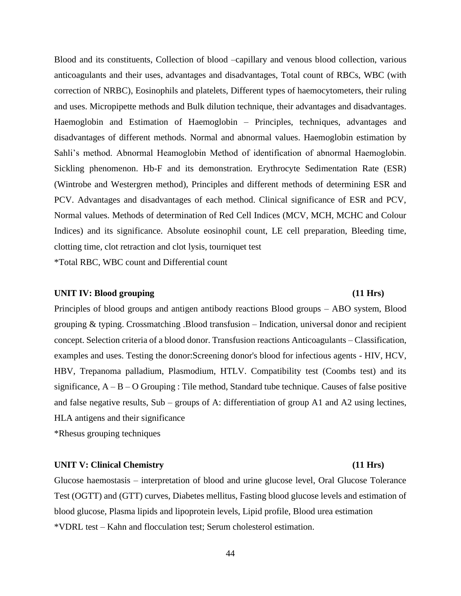Blood and its constituents, Collection of blood –capillary and venous blood collection, various anticoagulants and their uses, advantages and disadvantages, Total count of RBCs, WBC (with correction of NRBC), Eosinophils and platelets, Different types of haemocytometers, their ruling and uses. Micropipette methods and Bulk dilution technique, their advantages and disadvantages. Haemoglobin and Estimation of Haemoglobin – Principles, techniques, advantages and disadvantages of different methods. Normal and abnormal values. Haemoglobin estimation by Sahli's method. Abnormal Heamoglobin Method of identification of abnormal Haemoglobin. Sickling phenomenon. Hb-F and its demonstration. Erythrocyte Sedimentation Rate (ESR) (Wintrobe and Westergren method), Principles and different methods of determining ESR and PCV. Advantages and disadvantages of each method. Clinical significance of ESR and PCV, Normal values. Methods of determination of Red Cell Indices (MCV, MCH, MCHC and Colour Indices) and its significance. Absolute eosinophil count, LE cell preparation, Bleeding time, clotting time, clot retraction and clot lysis, tourniquet test

\*Total RBC, WBC count and Differential count

## **UNIT IV: Blood grouping (11 Hrs)**

Principles of blood groups and antigen antibody reactions Blood groups – ABO system, Blood grouping & typing. Crossmatching .Blood transfusion – Indication, universal donor and recipient concept. Selection criteria of a blood donor. Transfusion reactions Anticoagulants – Classification, examples and uses. Testing the donor:Screening donor's blood for infectious agents - HIV, HCV, HBV, Trepanoma palladium, Plasmodium, HTLV. Compatibility test (Coombs test) and its significance,  $A - B - O$  Grouping : Tile method, Standard tube technique. Causes of false positive and false negative results, Sub – groups of A: differentiation of group A1 and A2 using lectines, HLA antigens and their significance

\*Rhesus grouping techniques

## **UNIT V: Clinical Chemistry (11 Hrs)**

# Glucose haemostasis – interpretation of blood and urine glucose level, Oral Glucose Tolerance Test (OGTT) and (GTT) curves, Diabetes mellitus, Fasting blood glucose levels and estimation of blood glucose, Plasma lipids and lipoprotein levels, Lipid profile, Blood urea estimation \*VDRL test – Kahn and flocculation test; Serum cholesterol estimation.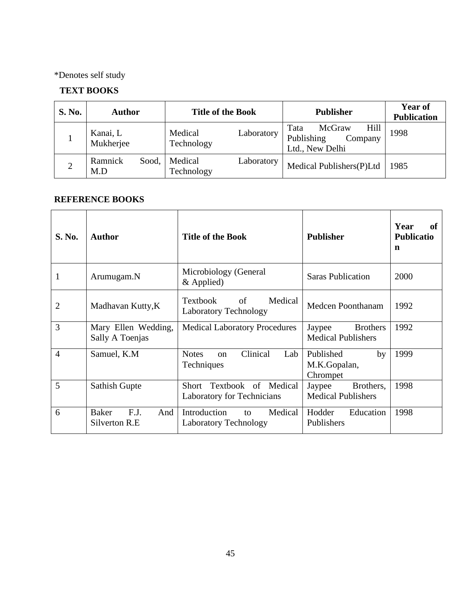\*Denotes self study

# **TEXT BOOKS**

| <b>S. No.</b>  | <b>Author</b>           | <b>Title of the Book</b>            | <b>Publisher</b>                                                   | Year of<br><b>Publication</b> |
|----------------|-------------------------|-------------------------------------|--------------------------------------------------------------------|-------------------------------|
|                | Kanai, L<br>Mukherjee   | Medical<br>Laboratory<br>Technology | Hill<br>McGraw<br>Tata<br>Publishing<br>Company<br>Ltd., New Delhi | 1998                          |
| $\overline{2}$ | Ramnick<br>Sood,<br>M.D | Medical<br>Laboratory<br>Technology | Medical Publishers(P)Ltd                                           | 1985                          |

| <b>S. No.</b>  | <b>Author</b>                                | <b>Title of the Book</b>                                         | <b>Publisher</b>                                       | Year<br>оf<br><b>Publicatio</b><br>n |
|----------------|----------------------------------------------|------------------------------------------------------------------|--------------------------------------------------------|--------------------------------------|
| 1              | Arumugam.N                                   | Microbiology (General<br>$&$ Applied)                            | <b>Saras Publication</b>                               | 2000                                 |
| $\overline{2}$ | Madhavan Kutty, K                            | <b>Textbook</b><br>of<br>Medical<br><b>Laboratory Technology</b> | Medcen Poonthanam                                      | 1992                                 |
| 3              | Mary Ellen Wedding,<br>Sally A Toenjas       | <b>Medical Laboratory Procedures</b>                             | <b>Brothers</b><br>Jaypee<br><b>Medical Publishers</b> | 1992                                 |
| $\overline{4}$ | Samuel, K.M                                  | Clinical<br><b>Notes</b><br>Lab<br>$_{\rm on}$<br>Techniques     | Published<br>by<br>M.K.Gopalan,<br>Chrompet            | 1999                                 |
| 5              | <b>Sathish Gupte</b>                         | Short Textbook of Medical<br><b>Laboratory for Technicians</b>   | Brothers,<br>Jaypee<br><b>Medical Publishers</b>       | 1998                                 |
| 6              | F.J.<br><b>Baker</b><br>And<br>Silverton R.E | Introduction<br>Medical<br>to<br><b>Laboratory Technology</b>    | Hodder<br>Education<br>Publishers                      | 1998                                 |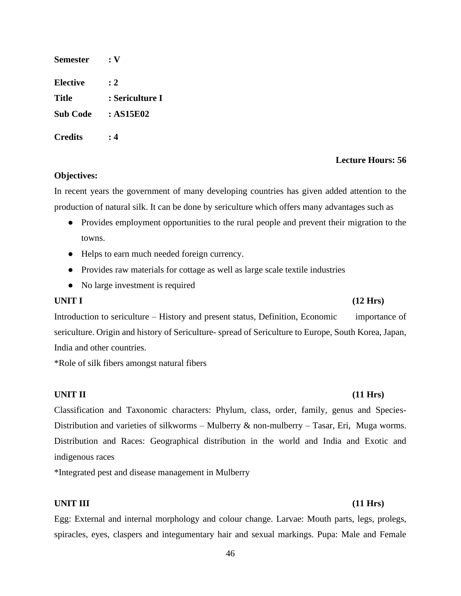| Semester        | $: \mathbf{V}$  |
|-----------------|-----------------|
| Elective        | : 2             |
| Title           | : Sericulture I |
| <b>Sub Code</b> | : AS15E02       |
| <b>Credits</b>  | : 4             |

## **Objectives:**

In recent years the government of many developing countries has given added attention to the production of natural silk. It can be done by sericulture which offers many advantages such as

- Provides employment opportunities to the rural people and prevent their migration to the towns.
- Helps to earn much needed foreign currency.
- Provides raw materials for cottage as well as large scale textile industries
- No large investment is required

### **UNIT I (12 Hrs)**

Introduction to sericulture – History and present status, Definition, Economic importance of sericulture. Origin and history of Sericulture- spread of Sericulture to Europe, South Korea, Japan, India and other countries.

\*Role of silk fibers amongst natural fibers

Classification and Taxonomic characters: Phylum, class, order, family, genus and Species-Distribution and varieties of silkworms – Mulberry & non-mulberry – Tasar, Eri, Muga worms. Distribution and Races: Geographical distribution in the world and India and Exotic and indigenous races

\*Integrated pest and disease management in Mulberry

### **UNIT III (11 Hrs)**

Egg: External and internal morphology and colour change. Larvae: Mouth parts, legs, prolegs, spiracles, eyes, claspers and integumentary hair and sexual markings. Pupa: Male and Female

### 46

## **UNIT II (11 Hrs)**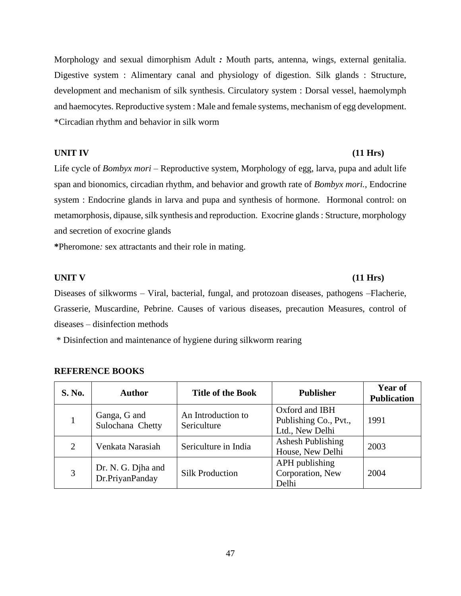Morphology and sexual dimorphism Adult *:* Mouth parts, antenna, wings, external genitalia. Digestive system : Alimentary canal and physiology of digestion. Silk glands : Structure, development and mechanism of silk synthesis. Circulatory system : Dorsal vessel, haemolymph and haemocytes. Reproductive system : Male and female systems, mechanism of egg development. \*Circadian rhythm and behavior in silk worm

## **UNIT IV (11 Hrs)**

Life cycle of *Bombyx mori* – Reproductive system, Morphology of egg, larva, pupa and adult life span and bionomics, circadian rhythm, and behavior and growth rate of *Bombyx mori.*, Endocrine system : Endocrine glands in larva and pupa and synthesis of hormone. Hormonal control: on metamorphosis, dipause, silk synthesis and reproduction. Exocrine glands : Structure, morphology and secretion of exocrine glands

**\***Pheromone*:* sex attractants and their role in mating.

## **UNIT V (11 Hrs)**

Diseases of silkworms – Viral, bacterial, fungal, and protozoan diseases, pathogens –Flacherie, Grasserie, Muscardine, Pebrine. Causes of various diseases, precaution Measures, control of diseases – disinfection methods

\* Disinfection and maintenance of hygiene during silkworm rearing

| <b>S. No.</b> | <b>Author</b>                         | <b>Title of the Book</b>          | <b>Publisher</b>                                           | Year of<br><b>Publication</b> |
|---------------|---------------------------------------|-----------------------------------|------------------------------------------------------------|-------------------------------|
|               | Ganga, G and<br>Sulochana Chetty      | An Introduction to<br>Sericulture | Oxford and IBH<br>Publishing Co., Pvt.,<br>Ltd., New Delhi | 1991                          |
| 2             | Venkata Narasiah                      | Sericulture in India              | <b>Ashesh Publishing</b><br>House, New Delhi               | 2003                          |
| 3             | Dr. N. G. Djha and<br>Dr.PriyanPanday | <b>Silk Production</b>            | APH publishing<br>Corporation, New<br>Delhi                | 2004                          |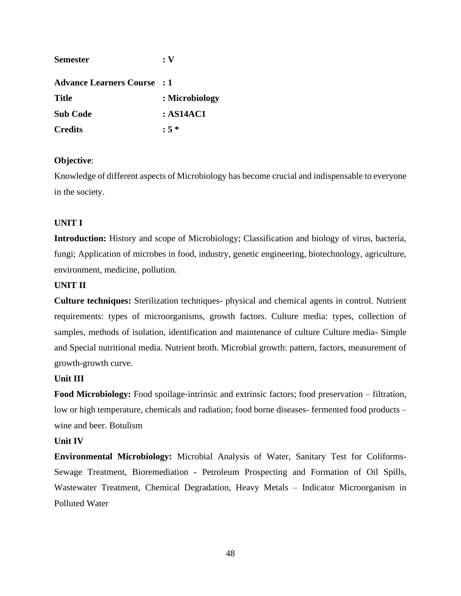| <b>Semester</b>                    | :V             |
|------------------------------------|----------------|
| <b>Advance Learners Course : 1</b> |                |
| <b>Title</b>                       | : Microbiology |
| <b>Sub Code</b>                    | : AS14AC1      |
| <b>Credits</b>                     | $: 5 *$        |

## **Objective**:

Knowledge of different aspects of Microbiology has become crucial and indispensable to everyone in the society.

## **UNIT I**

**Introduction:** History and scope of Microbiology; Classification and biology of virus, bacteria, fungi; Application of microbes in food, industry, genetic engineering, biotechnology, agriculture, environment, medicine, pollution.

## **UNIT II**

**Culture techniques:** Sterilization techniques- physical and chemical agents in control. Nutrient requirements: types of microorganisms, growth factors. Culture media: types, collection of samples, methods of isolation, identification and maintenance of culture Culture media- Simple and Special nutritional media. Nutrient broth. Microbial growth: pattern, factors, measurement of growth-growth curve.

## **Unit III**

**Food Microbiology:** Food spoilage-intrinsic and extrinsic factors; food preservation – filtration, low or high temperature, chemicals and radiation; food borne diseases- fermented food products – wine and beer. Botulism

## **Unit IV**

**Environmental Microbiology:** Microbial Analysis of Water, Sanitary Test for Coliforms-Sewage Treatment, Bioremediation - Petroleum Prospecting and Formation of Oil Spills, Wastewater Treatment, Chemical Degradation, Heavy Metals – Indicator Microorganism in Polluted Water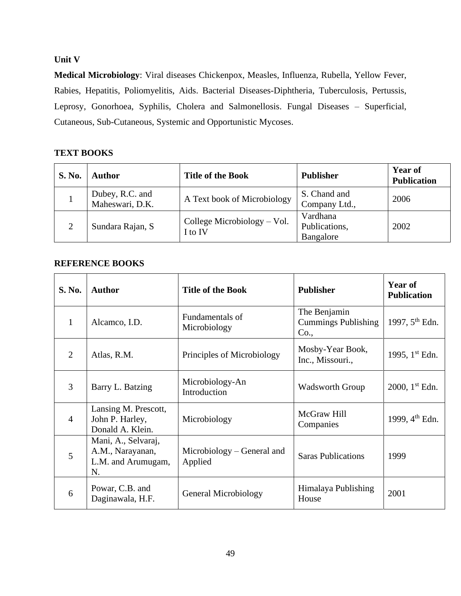## **Unit V**

**Medical Microbiology**: Viral diseases Chickenpox, Measles, Influenza, Rubella, Yellow Fever, Rabies, Hepatitis, Poliomyelitis, Aids. Bacterial Diseases-Diphtheria, Tuberculosis, Pertussis, Leprosy, Gonorhoea, Syphilis, Cholera and Salmonellosis. Fungal Diseases – Superficial, Cutaneous, Sub-Cutaneous, Systemic and Opportunistic Mycoses.

## **TEXT BOOKS**

| <b>S. No.</b> | <b>Author</b>                      | <b>Title of the Book</b>               | <b>Publisher</b>                       | <b>Year of</b><br><b>Publication</b> |
|---------------|------------------------------------|----------------------------------------|----------------------------------------|--------------------------------------|
|               | Dubey, R.C. and<br>Maheswari, D.K. | A Text book of Microbiology            | S. Chand and<br>Company Ltd.,          | 2006                                 |
| 2             | Sundara Rajan, S                   | College Microbiology – Vol.<br>I to IV | Vardhana<br>Publications,<br>Bangalore | 2002                                 |

| S. No.         | <b>Author</b>                                                       | <b>Title of the Book</b>              | <b>Publisher</b>                                   | <b>Year of</b><br><b>Publication</b> |
|----------------|---------------------------------------------------------------------|---------------------------------------|----------------------------------------------------|--------------------------------------|
| $\mathbf{1}$   | Alcamco, I.D.                                                       | Fundamentals of<br>Microbiology       | The Benjamin<br><b>Cummings Publishing</b><br>Co., | 1997, $5^{th}$ Edn.                  |
| $\overline{2}$ | Atlas, R.M.                                                         | Principles of Microbiology            | Mosby-Year Book,<br>Inc., Missouri.,               | 1995, 1 <sup>st</sup> Edn.           |
| 3              | Barry L. Batzing                                                    | Microbiology-An<br>Introduction       | <b>Wadsworth Group</b>                             | 2000, $1^{st}$ Edn.                  |
| $\overline{4}$ | Lansing M. Prescott,<br>John P. Harley,<br>Donald A. Klein.         | Microbiology                          | McGraw Hill<br>Companies                           | 1999, 4 <sup>th</sup> Edn.           |
| 5              | Mani, A., Selvaraj,<br>A.M., Narayanan,<br>L.M. and Arumugam,<br>N. | Microbiology – General and<br>Applied | <b>Saras Publications</b>                          | 1999                                 |
| 6              | Powar, C.B. and<br>Daginawala, H.F.                                 | General Microbiology                  | Himalaya Publishing<br>House                       | 2001                                 |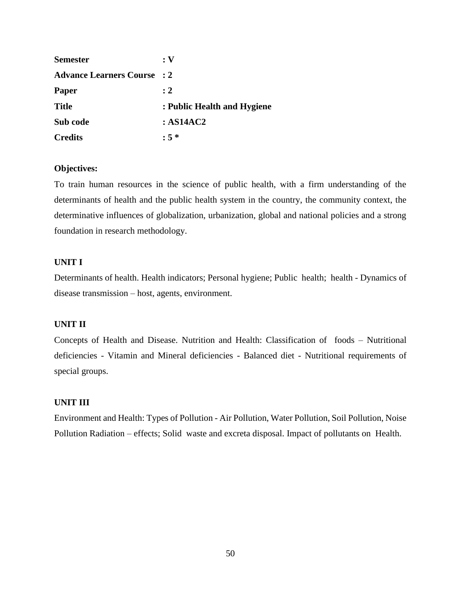| <b>Semester</b>                    | :V                          |
|------------------------------------|-----------------------------|
| <b>Advance Learners Course : 2</b> |                             |
| <b>Paper</b>                       | $\cdot$ 2                   |
| <b>Title</b>                       | : Public Health and Hygiene |
| Sub code                           | :AS14AC2                    |
| <b>Credits</b>                     | $: 5 *$                     |

## **Objectives:**

To train human resources in the science of public health, with a firm understanding of the determinants of health and the public health system in the country, the community context, the determinative influences of globalization, urbanization, global and national policies and a strong foundation in research methodology.

## **UNIT I**

Determinants of health. Health indicators; Personal hygiene; Public health; health - Dynamics of disease transmission – host, agents, environment.

## **UNIT II**

Concepts of Health and Disease. Nutrition and Health: Classification of foods – Nutritional deficiencies - Vitamin and Mineral deficiencies - Balanced diet - Nutritional requirements of special groups.

## **UNIT III**

Environment and Health: Types of Pollution - Air Pollution, Water Pollution, Soil Pollution, Noise Pollution Radiation – effects; Solid waste and excreta disposal. Impact of pollutants on Health.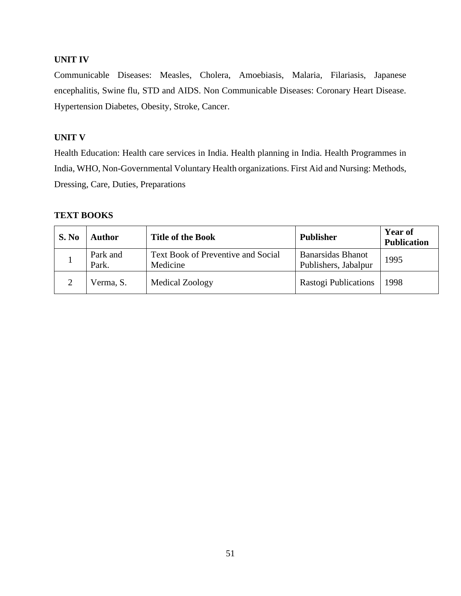## **UNIT IV**

Communicable Diseases: Measles, Cholera, Amoebiasis, Malaria, Filariasis, Japanese encephalitis, Swine flu, STD and AIDS. Non Communicable Diseases: Coronary Heart Disease. Hypertension Diabetes, Obesity, Stroke, Cancer.

## **UNIT V**

Health Education: Health care services in India. Health planning in India. Health Programmes in India, WHO, Non-Governmental Voluntary Health organizations. First Aid and Nursing: Methods, Dressing, Care, Duties, Preparations

## **TEXT BOOKS**

| S. No | Author            | <b>Title of the Book</b>                       | <b>Publisher</b>                                 | <b>Year of</b><br><b>Publication</b> |
|-------|-------------------|------------------------------------------------|--------------------------------------------------|--------------------------------------|
|       | Park and<br>Park. | Text Book of Preventive and Social<br>Medicine | <b>Banarsidas Bhanot</b><br>Publishers, Jabalpur | 1995                                 |
|       | Verma, S.         | Medical Zoology                                | <b>Rastogi Publications</b>                      | 1998                                 |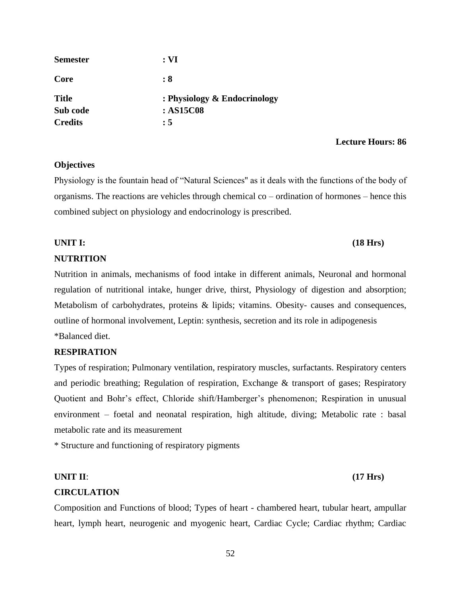| <b>Semester</b> | : <b>VI</b>                  |
|-----------------|------------------------------|
| Core            | : 8                          |
| <b>Title</b>    | : Physiology & Endocrinology |
| Sub code        | : AS15C08                    |
| <b>Credits</b>  | : 5                          |

## **Objectives**

Physiology is the fountain head of "Natural Sciences'' as it deals with the functions of the body of organisms. The reactions are vehicles through chemical co – ordination of hormones – hence this combined subject on physiology and endocrinology is prescribed.

# **UNIT I: (18 Hrs)**

## **NUTRITION**

Nutrition in animals, mechanisms of food intake in different animals, Neuronal and hormonal regulation of nutritional intake, hunger drive, thirst, Physiology of digestion and absorption; Metabolism of carbohydrates, proteins & lipids; vitamins. Obesity- causes and consequences, outline of hormonal involvement, Leptin: synthesis, secretion and its role in adipogenesis \*Balanced diet.

## **RESPIRATION**

Types of respiration; Pulmonary ventilation, respiratory muscles, surfactants. Respiratory centers and periodic breathing; Regulation of respiration, Exchange & transport of gases; Respiratory Quotient and Bohr's effect, Chloride shift/Hamberger's phenomenon; Respiration in unusual environment – foetal and neonatal respiration, high altitude, diving; Metabolic rate : basal metabolic rate and its measurement

\* Structure and functioning of respiratory pigments

## **UNIT II**: **(17 Hrs)**

## **CIRCULATION**

Composition and Functions of blood; Types of heart - chambered heart, tubular heart, ampullar heart, lymph heart, neurogenic and myogenic heart, Cardiac Cycle; Cardiac rhythm; Cardiac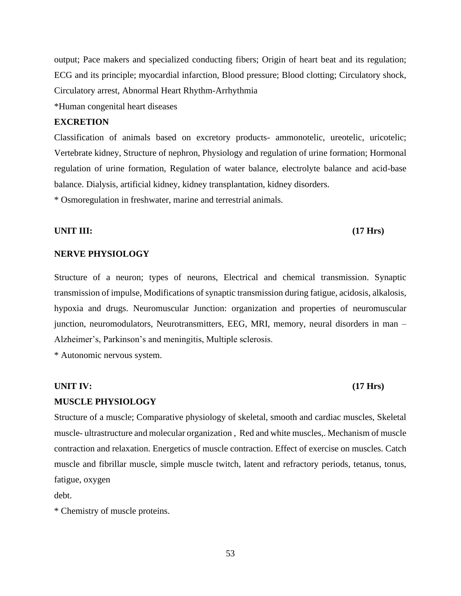output; Pace makers and specialized conducting fibers; Origin of heart beat and its regulation; ECG and its principle; myocardial infarction, Blood pressure; Blood clotting; Circulatory shock, Circulatory arrest, Abnormal Heart Rhythm-Arrhythmia

\*Human congenital heart diseases

## **EXCRETION**

Classification of animals based on excretory products- ammonotelic, ureotelic, uricotelic; Vertebrate kidney, Structure of nephron, Physiology and regulation of urine formation; Hormonal regulation of urine formation, Regulation of water balance, electrolyte balance and acid-base balance. Dialysis, artificial kidney, kidney transplantation, kidney disorders*.*

\* Osmoregulation in freshwater, marine and terrestrial animals.

### **UNIT III: (17 Hrs)**

## **NERVE PHYSIOLOGY**

Structure of a neuron; types of neurons, Electrical and chemical transmission. Synaptic transmission of impulse, Modifications of synaptic transmission during fatigue, acidosis, alkalosis, hypoxia and drugs. Neuromuscular Junction: organization and properties of neuromuscular junction, neuromodulators, Neurotransmitters, EEG, MRI, memory, neural disorders in man – Alzheimer's, Parkinson's and meningitis, Multiple sclerosis.

\* Autonomic nervous system.

## **UNIT IV: (17 Hrs)**

## **MUSCLE PHYSIOLOGY**

Structure of a muscle; Comparative physiology of skeletal, smooth and cardiac muscles, Skeletal muscle- ultrastructure and molecular organization , Red and white muscles,. Mechanism of muscle contraction and relaxation. Energetics of muscle contraction. Effect of exercise on muscles. Catch muscle and fibrillar muscle, simple muscle twitch, latent and refractory periods, tetanus, tonus, fatigue, oxygen

debt.

\* Chemistry of muscle proteins.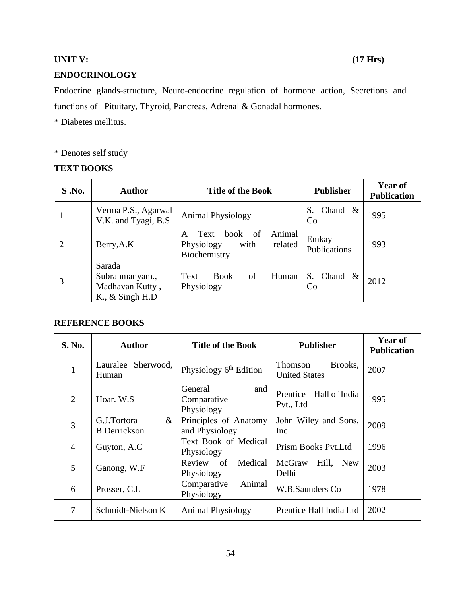## **UNIT V: (17 Hrs)**

## **ENDOCRINOLOGY**

Endocrine glands-structure, Neuro-endocrine regulation of hormone action, Secretions and functions of– Pituitary, Thyroid, Pancreas, Adrenal & Gonadal hormones.

\* Diabetes mellitus.

\* Denotes self study

## **TEXT BOOKS**

| S.No.          | <b>Author</b>                                                    | <b>Title of the Book</b>                                                                      | <b>Publisher</b>                      | Year of<br><b>Publication</b> |
|----------------|------------------------------------------------------------------|-----------------------------------------------------------------------------------------------|---------------------------------------|-------------------------------|
|                | Verma P.S., Agarwal<br>V.K. and Tyagi, B.S.                      | <b>Animal Physiology</b>                                                                      | Chand $\&$<br>S.<br>Co.               | 1995                          |
| $\overline{2}$ | Berry, A.K                                                       | Animal<br>Text<br>book<br><sub>of</sub><br>A<br>Physiology<br>with<br>related<br>Biochemistry | Emkay<br>Publications                 | 1993                          |
| 3              | Sarada<br>Subrahmanyam.,<br>Madhavan Kutty,<br>K., $&$ Singh H.D | of<br>Human<br>Text<br><b>Book</b><br>Physiology                                              | S.<br>Chand<br>$\&$<br>C <sub>0</sub> | 2012                          |

| <b>S. No.</b>  | <b>Author</b>                              | <b>Title of the Book</b>                    | <b>Publisher</b>                           | Year of<br><b>Publication</b> |
|----------------|--------------------------------------------|---------------------------------------------|--------------------------------------------|-------------------------------|
| $\mathbf{1}$   | Lauralee Sherwood,<br>Human                | Physiology $6th$ Edition                    | Brooks,<br>Thomson<br><b>United States</b> | 2007                          |
| $\overline{2}$ | Hoar. W.S.                                 | General<br>and<br>Comparative<br>Physiology | Prentice – Hall of India<br>Pvt., Ltd      | 1995                          |
| 3              | $\&$<br>G.J.Tortora<br><b>B.Derrickson</b> | Principles of Anatomy<br>and Physiology     | John Wiley and Sons,<br>Inc                | 2009                          |
| $\overline{4}$ | Guyton, A.C.                               | Text Book of Medical<br>Physiology          | Prism Books Pvt. Ltd                       | 1996                          |
| 5              | Ganong, W.F                                | Review<br>of<br>Medical<br>Physiology       | McGraw<br>Hill,<br><b>New</b><br>Delhi     | 2003                          |
| 6              | Prosser, C.L.                              | Animal<br>Comparative<br>Physiology         | W.B.Saunders Co.                           | 1978                          |
| 7              | Schmidt-Nielson K                          | <b>Animal Physiology</b>                    | Prentice Hall India Ltd                    | 2002                          |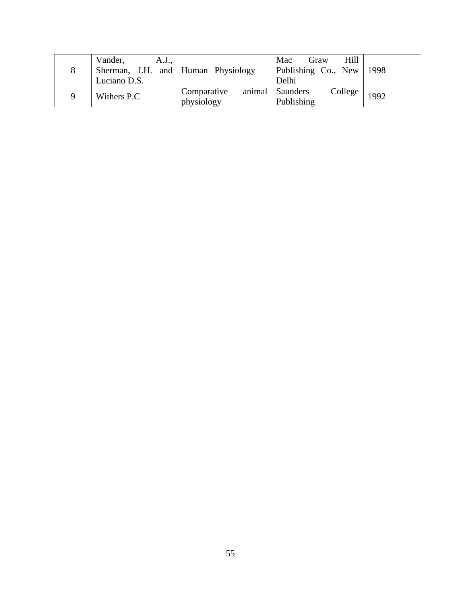| 8        | Vander,<br>A.J.,<br>Sherman, J.H. and Human Physiology<br>Luciano D.S. |                           | Hill<br>Mac<br>Graw<br>Publishing Co., New<br>Delhi | 1998 |
|----------|------------------------------------------------------------------------|---------------------------|-----------------------------------------------------|------|
| $\Omega$ | Withers P.C                                                            | Comparative<br>physiology | animal   Saunders<br>College<br>Publishing          | 1992 |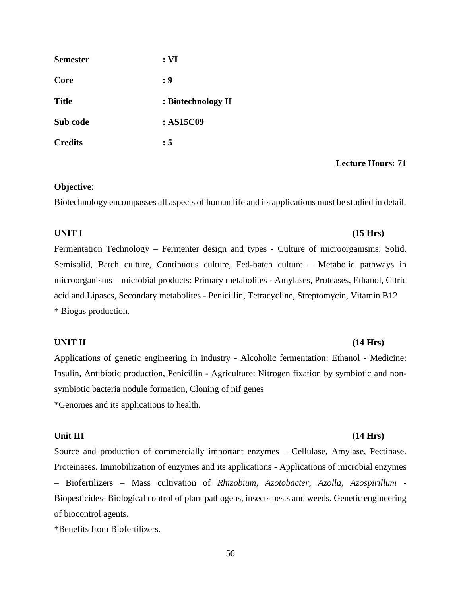| <b>Semester</b> | : <b>VI</b>        |
|-----------------|--------------------|
| Core            | : 9                |
| <b>Title</b>    | : Biotechnology II |
| Sub code        | : AS15C09          |
| <b>Credits</b>  | : 5                |

## **Objective**:

Biotechnology encompasses all aspects of human life and its applications must be studied in detail.

## **UNIT I (15 Hrs)**

Fermentation Technology – Fermenter design and types - Culture of microorganisms: Solid, Semisolid, Batch culture, Continuous culture, Fed-batch culture – Metabolic pathways in microorganisms – microbial products: Primary metabolites - Amylases, Proteases, Ethanol, Citric acid and Lipases, Secondary metabolites - Penicillin, Tetracycline, Streptomycin, Vitamin B12 \* Biogas production.

## **UNIT II (14 Hrs)**

Applications of genetic engineering in industry - Alcoholic fermentation: Ethanol - Medicine: Insulin, Antibiotic production, Penicillin - Agriculture: Nitrogen fixation by symbiotic and nonsymbiotic bacteria nodule formation, Cloning of nif genes \*Genomes and its applications to health.

### Unit III (14 Hrs)

Source and production of commercially important enzymes – Cellulase, Amylase, Pectinase. Proteinases. Immobilization of enzymes and its applications - Applications of microbial enzymes

– Biofertilizers – Mass cultivation of *Rhizobium, Azotobacter, Azolla, Azospirillum -* Biopesticides- Biological control of plant pathogens, insects pests and weeds. Genetic engineering of biocontrol agents.

\*Benefits from Biofertilizers.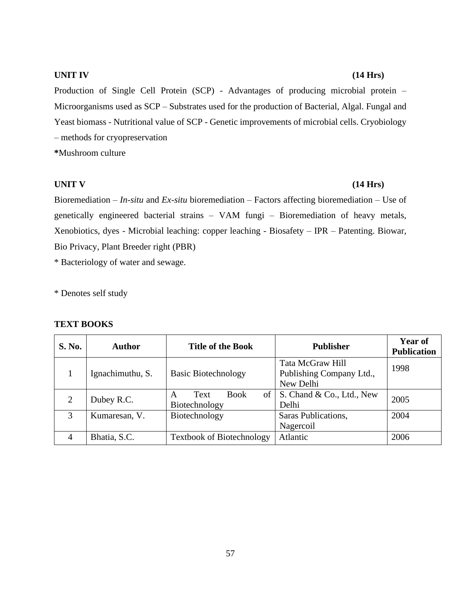## **UNIT IV (14 Hrs)**

Production of Single Cell Protein (SCP) - Advantages of producing microbial protein – Microorganisms used as SCP – Substrates used for the production of Bacterial, Algal. Fungal and Yeast biomass - Nutritional value of SCP - Genetic improvements of microbial cells. Cryobiology – methods for cryopreservation

**\***Mushroom culture

## **UNIT V (14 Hrs)**

Bioremediation – *In-situ* and *Ex-situ* bioremediation – Factors affecting bioremediation – Use of genetically engineered bacterial strains – VAM fungi – Bioremediation of heavy metals, Xenobiotics, dyes - Microbial leaching: copper leaching - Biosafety – IPR – Patenting. Biowar, Bio Privacy, Plant Breeder right (PBR)

\* Bacteriology of water and sewage.

\* Denotes self study

| <b>S. No.</b>  | <b>Author</b>    | <b>Title of the Book</b>                  | <b>Publisher</b>                                          | Year of<br><b>Publication</b> |
|----------------|------------------|-------------------------------------------|-----------------------------------------------------------|-------------------------------|
|                | Ignachimuthu, S. | <b>Basic Biotechnology</b>                | Tata McGraw Hill<br>Publishing Company Ltd.,<br>New Delhi | 1998                          |
| $\overline{2}$ | Dubey R.C.       | <b>Book</b><br>Text<br>A<br>Biotechnology | of $\vert$ S. Chand & Co., Ltd., New<br>Delhi             | 2005                          |
| 3              | Kumaresan, V.    | Biotechnology                             | Saras Publications,<br>Nagercoil                          | 2004                          |
| 4              | Bhatia, S.C.     | <b>Textbook of Biotechnology</b>          | Atlantic                                                  | 2006                          |

## **TEXT BOOKS**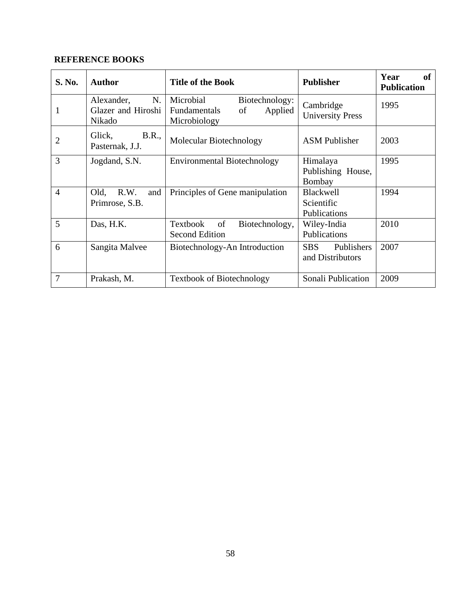| S. No.         | <b>Author</b>                                    | <b>Title of the Book</b>                                                     | <b>Publisher</b>                             | Year<br><b>of</b><br><b>Publication</b> |
|----------------|--------------------------------------------------|------------------------------------------------------------------------------|----------------------------------------------|-----------------------------------------|
| 1              | Alexander,<br>N.<br>Glazer and Hiroshi<br>Nikado | Microbial<br>Biotechnology:<br>Applied<br>Fundamentals<br>of<br>Microbiology | Cambridge<br><b>University Press</b>         | 1995                                    |
| $\overline{2}$ | Glick,<br>B.R.,<br>Pasternak, J.J.               | Molecular Biotechnology                                                      | <b>ASM</b> Publisher                         | 2003                                    |
| 3              | Jogdand, S.N.                                    | <b>Environmental Biotechnology</b>                                           | Himalaya<br>Publishing House,<br>Bombay      | 1995                                    |
| 4              | R.W.<br>Old,<br>and<br>Primrose, S.B.            | Principles of Gene manipulation                                              | Blackwell<br>Scientific<br>Publications      | 1994                                    |
| 5              | Das, H.K.                                        | of<br>Textbook<br>Biotechnology,<br><b>Second Edition</b>                    | Wiley-India<br>Publications                  | 2010                                    |
| 6              | Sangita Malvee                                   | Biotechnology-An Introduction                                                | <b>SBS</b><br>Publishers<br>and Distributors | 2007                                    |
| 7              | Prakash, M.                                      | <b>Textbook of Biotechnology</b>                                             | Sonali Publication                           | 2009                                    |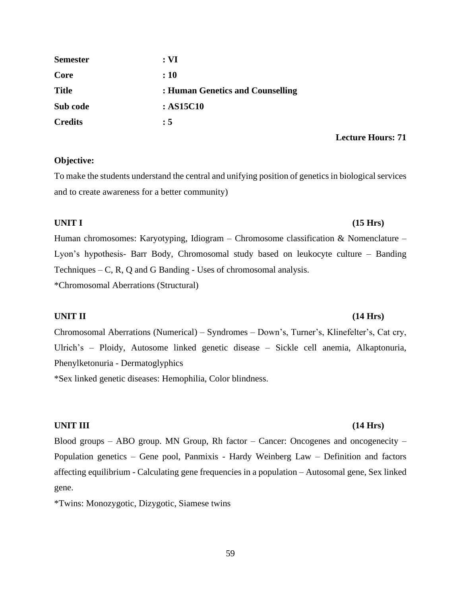| <b>Semester</b> | : <b>VI</b>                      |
|-----------------|----------------------------------|
| Core            | : 10                             |
| <b>Title</b>    | : Human Genetics and Counselling |
| Sub code        | : AS15C10                        |
| <b>Credits</b>  | : 5                              |

## **Objective:**

To make the students understand the central and unifying position of genetics in biological services and to create awareness for a better community)

Human chromosomes: Karyotyping, Idiogram – Chromosome classification & Nomenclature – Lyon's hypothesis- Barr Body, Chromosomal study based on leukocyte culture – Banding Techniques – C, R, Q and G Banding - Uses of chromosomal analysis. \*Chromosomal Aberrations (Structural)

## **UNIT II (14 Hrs)**

Chromosomal Aberrations (Numerical) – Syndromes – Down's, Turner's, Klinefelter's, Cat cry, Ulrich's – Ploidy, Autosome linked genetic disease – Sickle cell anemia, Alkaptonuria, Phenylketonuria - Dermatoglyphics

\*Sex linked genetic diseases: Hemophilia, Color blindness.

## **UNIT III (14 Hrs)**

Blood groups – ABO group. MN Group, Rh factor – Cancer: Oncogenes and oncogenecity – Population genetics – Gene pool, Panmixis - Hardy Weinberg Law – Definition and factors affecting equilibrium - Calculating gene frequencies in a population – Autosomal gene, Sex linked gene.

\*Twins: Monozygotic, Dizygotic, Siamese twins

# **UNIT I (15 Hrs)**

**Lecture Hours: 71**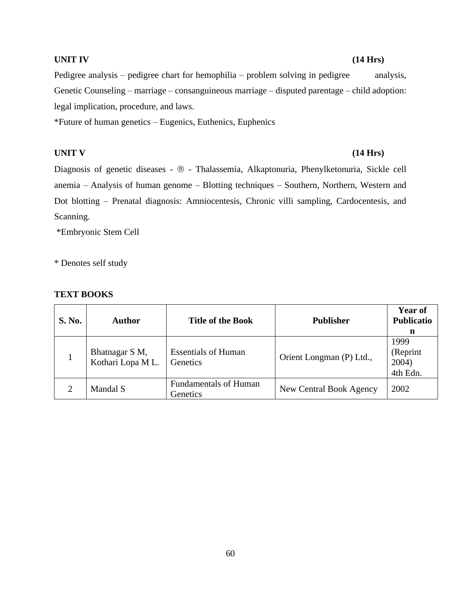## **UNIT IV (14 Hrs)**

Pedigree analysis – pedigree chart for hemophilia – problem solving in pedigree analysis, Genetic Counseling – marriage – consanguineous marriage – disputed parentage – child adoption: legal implication, procedure, and laws.

\*Future of human genetics – Eugenics, Euthenics, Euphenics

## **UNIT V (14 Hrs)**

Diagnosis of genetic diseases -  $\circledast$  - Thalassemia, Alkaptonuria, Phenylketonuria, Sickle cell anemia – Analysis of human genome – Blotting techniques – Southern, Northern, Western and Dot blotting – Prenatal diagnosis: Amniocentesis, Chronic villi sampling, Cardocentesis, and Scanning.

\*Embryonic Stem Cell

\* Denotes self study

## **TEXT BOOKS**

| <b>S. No.</b> | <b>Author</b>                      | <b>Title of the Book</b>                 | <b>Publisher</b>         | <b>Year of</b><br><b>Publicatio</b><br>n |
|---------------|------------------------------------|------------------------------------------|--------------------------|------------------------------------------|
|               | Bhatnagar S M,<br>Kothari Lopa ML. | <b>Essentials of Human</b><br>Genetics   | Orient Longman (P) Ltd., | 1999<br>(Reprint<br>2004)<br>4th Edn.    |
|               | Mandal S                           | <b>Fundamentals of Human</b><br>Genetics | New Central Book Agency  | 2002                                     |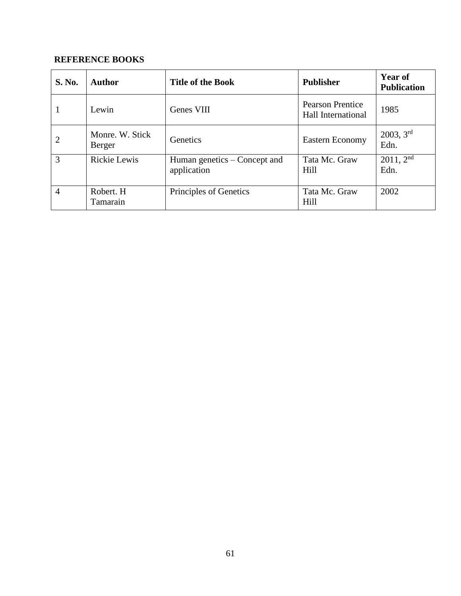| <b>S. No.</b>  | <b>Author</b>             | <b>Title of the Book</b>                    | <b>Publisher</b>                                     | <b>Year of</b><br><b>Publication</b> |
|----------------|---------------------------|---------------------------------------------|------------------------------------------------------|--------------------------------------|
| 1              | Lewin                     | Genes VIII                                  | <b>Pearson Prentice</b><br><b>Hall International</b> | 1985                                 |
| $\overline{2}$ | Monre. W. Stick<br>Berger | <b>Genetics</b>                             | <b>Eastern Economy</b>                               | 2003, 3 <sup>rd</sup><br>Edn.        |
| 3              | Rickie Lewis              | Human genetics – Concept and<br>application | Tata Mc. Graw<br>Hill                                | $2011, 2^{nd}$<br>Edn.               |
| $\overline{4}$ | Robert. H<br>Tamarain     | Principles of Genetics                      | Tata Mc. Graw<br>Hill                                | 2002                                 |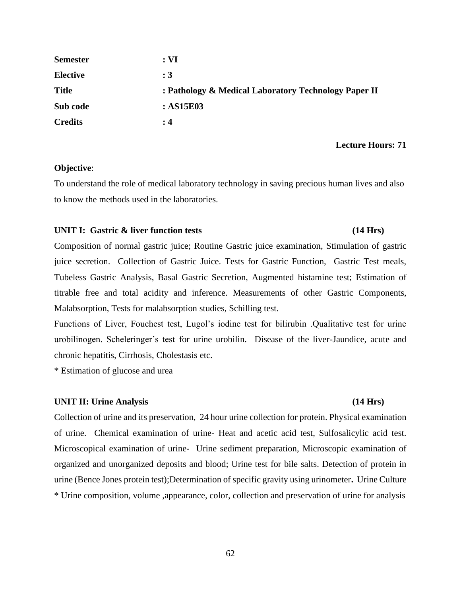| <b>Semester</b> | : <b>VI</b>                                          |
|-----------------|------------------------------------------------------|
| <b>Elective</b> | $\div 3$                                             |
| <b>Title</b>    | : Pathology & Medical Laboratory Technology Paper II |
| Sub code        | : ASI5E03                                            |
| <b>Credits</b>  | : 4                                                  |

### **Objective**:

To understand the role of medical laboratory technology in saving precious human lives and also to know the methods used in the laboratories.

### **UNIT I: Gastric & liver function tests (14 Hrs)**

# Composition of normal gastric juice; Routine Gastric juice examination, Stimulation of gastric juice secretion. Collection of Gastric Juice. Tests for Gastric Function, Gastric Test meals, Tubeless Gastric Analysis, Basal Gastric Secretion, Augmented histamine test; Estimation of titrable free and total acidity and inference. Measurements of other Gastric Components, Malabsorption, Tests for malabsorption studies, Schilling test.

Functions of Liver, Fouchest test, Lugol's iodine test for bilirubin .Qualitative test for urine urobilinogen. Scheleringer's test for urine urobilin. Disease of the liver-Jaundice, acute and chronic hepatitis, Cirrhosis, Cholestasis etc.

\* Estimation of glucose and urea

### UNIT II: Urine Analysis (14 Hrs)

Collection of urine and its preservation, 24 hour urine collection for protein. Physical examination of urine. Chemical examination of urine- Heat and acetic acid test, Sulfosalicylic acid test. Microscopical examination of urine- Urine sediment preparation, Microscopic examination of organized and unorganized deposits and blood; Urine test for bile salts. Detection of protein in urine (Bence Jones protein test);Determination of specific gravity using urinometer**.** Urine Culture \* Urine composition, volume ,appearance, color, collection and preservation of urine for analysis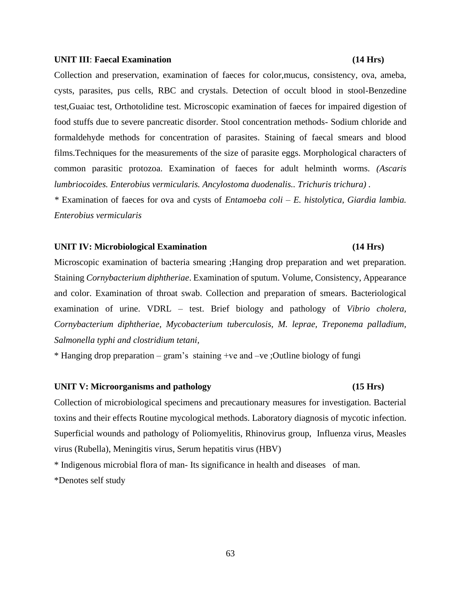### **UNIT III**: **Faecal Examination (14 Hrs)**

Collection and preservation, examination of faeces for color,mucus, consistency, ova, ameba, cysts, parasites, pus cells, RBC and crystals. Detection of occult blood in stool-Benzedine test,Guaiac test, Orthotolidine test. Microscopic examination of faeces for impaired digestion of food stuffs due to severe pancreatic disorder. Stool concentration methods- Sodium chloride and formaldehyde methods for concentration of parasites. Staining of faecal smears and blood films.Techniques for the measurements of the size of parasite eggs. Morphological characters of common parasitic protozoa. Examination of faeces for adult helminth worms. *(Ascaris lumbriocoides. Enterobius vermicularis. Ancylostoma duodenalis.. Trichuris trichura) .*

*\** Examination of faeces for ova and cysts of *Entamoeba coli – E. histolytica, Giardia lambia. Enterobius vermicularis* 

## **UNIT IV: Microbiological Examination (14 Hrs)**

Microscopic examination of bacteria smearing ;Hanging drop preparation and wet preparation. Staining *Cornybacterium diphtheriae*. Examination of sputum. Volume, Consistency, Appearance and color. Examination of throat swab. Collection and preparation of smears. Bacteriological examination of urine. VDRL – test. Brief biology and pathology of *Vibrio cholera, Cornybacterium diphtheriae, Mycobacterium tuberculosis, M. leprae, Treponema palladium, Salmonella typhi and clostridium tetani,*

\* Hanging drop preparation – gram's staining +ve and –ve ;Outline biology of fungi

### UNIT V: Microorganisms and pathology (15 Hrs)

Collection of microbiological specimens and precautionary measures for investigation. Bacterial toxins and their effects Routine mycological methods. Laboratory diagnosis of mycotic infection. Superficial wounds and pathology of Poliomyelitis, Rhinovirus group, Influenza virus, Measles virus (Rubella), Meningitis virus, Serum hepatitis virus (HBV)

\* Indigenous microbial flora of man- Its significance in health and diseases of man. \*Denotes self study

### 63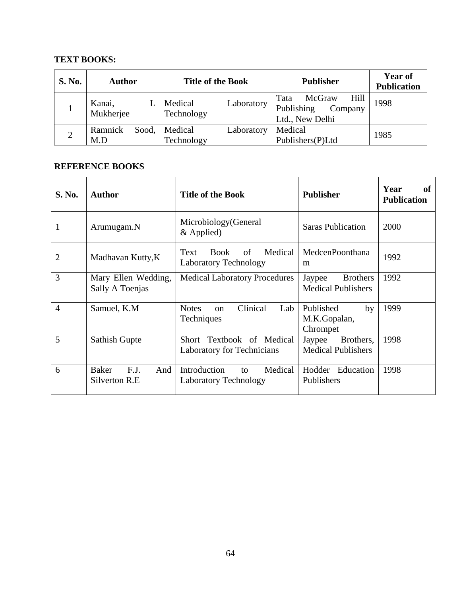## **TEXT BOOKS:**

| <b>S. No.</b>  | <b>Author</b>           | <b>Title of the Book</b>            | <b>Publisher</b>                                                   | <b>Year of</b><br><b>Publication</b> |
|----------------|-------------------------|-------------------------------------|--------------------------------------------------------------------|--------------------------------------|
|                | Kanai,<br>Mukherjee     | Medical<br>Laboratory<br>Technology | Hill<br>McGraw<br>Tata<br>Publishing<br>Company<br>Ltd., New Delhi | 1998                                 |
| $\overline{2}$ | Ramnick<br>Sood,<br>M.D | Medical<br>Laboratory<br>Technology | Medical<br>Publishers(P)Ltd                                        | 1985                                 |

| S. No. | <b>Author</b>                                | <b>Title of the Book</b>                                             | <b>Publisher</b>                                       | Year<br>of<br><b>Publication</b> |
|--------|----------------------------------------------|----------------------------------------------------------------------|--------------------------------------------------------|----------------------------------|
|        | Arumugam.N                                   | Microbiology (General<br>$&$ Applied)                                | <b>Saras Publication</b>                               | 2000                             |
| 2      | Madhavan Kutty, K                            | Medical<br><b>Book</b><br>of<br>Text<br><b>Laboratory Technology</b> | MedcenPoonthana<br>m                                   | 1992                             |
| 3      | Mary Ellen Wedding,<br>Sally A Toenjas       | <b>Medical Laboratory Procedures</b>                                 | <b>Brothers</b><br>Jaypee<br><b>Medical Publishers</b> | 1992                             |
| 4      | Samuel, K.M                                  | Clinical<br>Lab<br><b>Notes</b><br>$\alpha$<br>Techniques            | Published<br>by<br>M.K.Gopalan,<br>Chrompet            | 1999                             |
| 5      | <b>Sathish Gupte</b>                         | Short Textbook of Medical<br>Laboratory for Technicians              | Brothers,<br>Jaypee<br><b>Medical Publishers</b>       | 1998                             |
| 6      | <b>Baker</b><br>F.J.<br>And<br>Silverton R.E | Introduction<br>Medical<br>to<br><b>Laboratory Technology</b>        | Hodder Education<br>Publishers                         | 1998                             |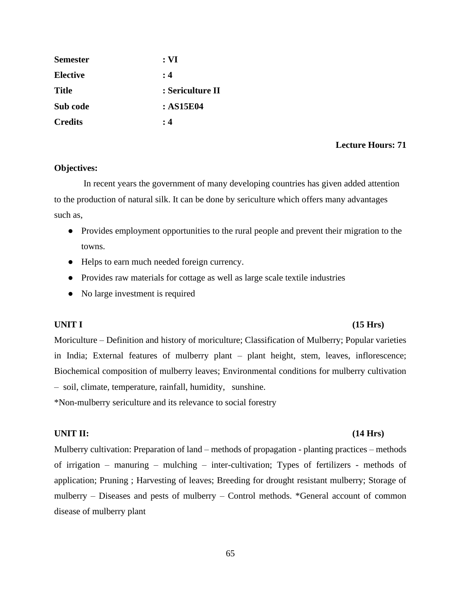| <b>Semester</b> | $: \mathbf{VI}$  |
|-----------------|------------------|
| <b>Elective</b> | : 4              |
| <b>Title</b>    | : Sericulture II |
| Sub code        | : AS15E04        |
| <b>Credits</b>  | : 4              |

## **Objectives:**

 In recent years the government of many developing countries has given added attention to the production of natural silk. It can be done by sericulture which offers many advantages such as,

- Provides employment opportunities to the rural people and prevent their migration to the towns.
- Helps to earn much needed foreign currency.
- Provides raw materials for cottage as well as large scale textile industries
- No large investment is required

## **UNIT I (15 Hrs)**

Moriculture – Definition and history of moriculture; Classification of Mulberry; Popular varieties in India; External features of mulberry plant – plant height, stem, leaves, inflorescence; Biochemical composition of mulberry leaves; Environmental conditions for mulberry cultivation – soil, climate, temperature, rainfall, humidity, sunshine.

\*Non-mulberry sericulture and its relevance to social forestry

## **UNIT II: (14 Hrs)**

Mulberry cultivation: Preparation of land – methods of propagation - planting practices – methods of irrigation – manuring – mulching – inter-cultivation; Types of fertilizers - methods of application; Pruning ; Harvesting of leaves; Breeding for drought resistant mulberry; Storage of mulberry – Diseases and pests of mulberry – Control methods. \*General account of common disease of mulberry plant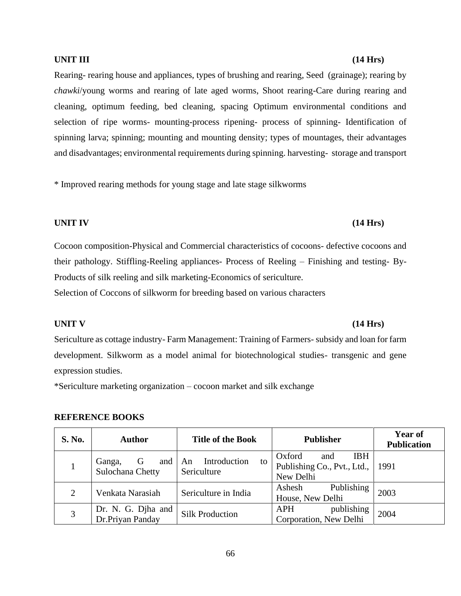Rearing- rearing house and appliances, types of brushing and rearing, Seed (grainage); rearing by *chawki*/young worms and rearing of late aged worms, Shoot rearing-Care during rearing and cleaning, optimum feeding, bed cleaning, spacing Optimum environmental conditions and selection of ripe worms- mounting-process ripening- process of spinning- Identification of spinning larva; spinning; mounting and mounting density; types of mountages, their advantages and disadvantages; environmental requirements during spinning. harvesting- storage and transport

\* Improved rearing methods for young stage and late stage silkworms

## **UNIT IV (14 Hrs)**

Cocoon composition-Physical and Commercial characteristics of cocoons- defective cocoons and their pathology. Stiffling-Reeling appliances- Process of Reeling – Finishing and testing- By-Products of silk reeling and silk marketing-Economics of sericulture.

Selection of Coccons of silkworm for breeding based on various characters

## **UNIT V (14 Hrs)**

Sericulture as cottage industry- Farm Management: Training of Farmers- subsidy and loan for farm development. Silkworm as a model animal for biotechnological studies- transgenic and gene expression studies.

\*Sericulture marketing organization – cocoon market and silk exchange

## **REFERENCE BOOKS**

| <b>S. No.</b> | <b>Author</b>                          | <b>Title of the Book</b>                | <b>Publisher</b>                                           | <b>Year of</b><br><b>Publication</b> |
|---------------|----------------------------------------|-----------------------------------------|------------------------------------------------------------|--------------------------------------|
|               | and<br>G<br>Ganga,<br>Sulochana Chetty | Introduction<br>An<br>to<br>Sericulture | Oxford<br><b>IBH</b><br>and<br>Publishing Co., Pvt., Ltd., | 1991                                 |
|               |                                        |                                         | New Delhi                                                  |                                      |
| 2             | Venkata Narasiah                       | Sericulture in India                    | Publishing<br>Ashesh                                       | 2003                                 |
|               |                                        |                                         | House, New Delhi                                           |                                      |
| 3             | Dr. N. G. Djha and                     |                                         | publishing<br><b>APH</b>                                   |                                      |
|               | Dr.Priyan Panday                       | <b>Silk Production</b>                  | Corporation, New Delhi                                     | 2004                                 |

## **UNIT III (14 Hrs)**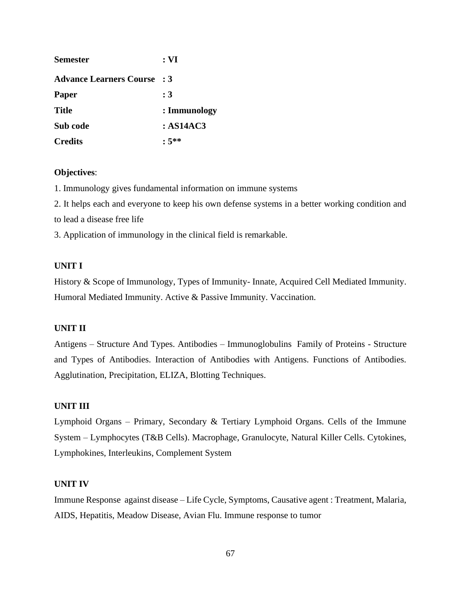| <b>Semester</b>                    | : <b>VI</b>  |
|------------------------------------|--------------|
| <b>Advance Learners Course : 3</b> |              |
| <b>Paper</b>                       | :3           |
| <b>Title</b>                       | : Immunology |
| Sub code                           | :AS14AC3     |
| <b>Credits</b>                     | $: 5^{**}$   |

## **Objectives**:

1. Immunology gives fundamental information on immune systems

2. It helps each and everyone to keep his own defense systems in a better working condition and to lead a disease free life

3. Application of immunology in the clinical field is remarkable.

## **UNIT I**

History & Scope of Immunology, Types of Immunity- Innate, Acquired Cell Mediated Immunity. Humoral Mediated Immunity. Active & Passive Immunity. Vaccination.

## **UNIT II**

Antigens – Structure And Types. Antibodies – Immunoglobulins Family of Proteins - Structure and Types of Antibodies. Interaction of Antibodies with Antigens. Functions of Antibodies. Agglutination, Precipitation, ELIZA, Blotting Techniques.

## **UNIT III**

Lymphoid Organs – Primary, Secondary & Tertiary Lymphoid Organs. Cells of the Immune System – Lymphocytes (T&B Cells). Macrophage, Granulocyte, Natural Killer Cells. Cytokines, Lymphokines, Interleukins, Complement System

## **UNIT IV**

Immune Response against disease – Life Cycle, Symptoms, Causative agent : Treatment, Malaria, AIDS, Hepatitis, Meadow Disease, Avian Flu. Immune response to tumor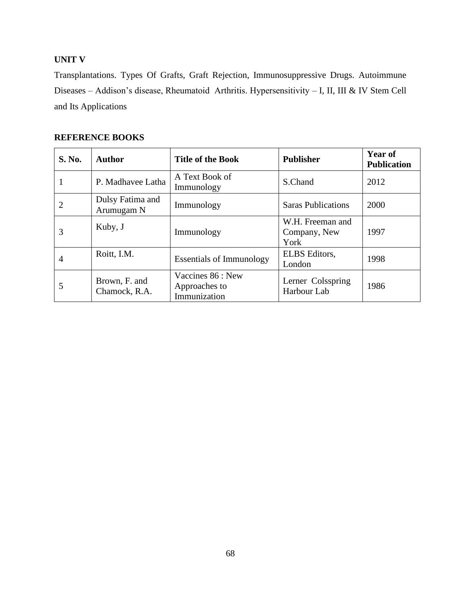## **UNIT V**

Transplantations. Types Of Grafts, Graft Rejection, Immunosuppressive Drugs. Autoimmune Diseases – Addison's disease, Rheumatoid Arthritis. Hypersensitivity – I, II, III & IV Stem Cell and Its Applications

| <b>S. No.</b>  | <b>Author</b>                  | <b>Title of the Book</b>                           | <b>Publisher</b>                         | Year of<br><b>Publication</b> |
|----------------|--------------------------------|----------------------------------------------------|------------------------------------------|-------------------------------|
|                | P. Madhavee Latha              | A Text Book of<br>Immunology                       | S.Chand                                  | 2012                          |
| $\overline{2}$ | Dulsy Fatima and<br>Arumugam N | Immunology                                         | <b>Saras Publications</b>                | 2000                          |
| 3              | Kuby, J                        | Immunology                                         | W.H. Freeman and<br>Company, New<br>York | 1997                          |
| 4              | Roitt, I.M.                    | <b>Essentials of Immunology</b>                    | <b>ELBS</b> Editors,<br>London           | 1998                          |
| 5              | Brown, F. and<br>Chamock, R.A. | Vaccines 86 : New<br>Approaches to<br>Immunization | Lerner Colsspring<br>Harbour Lab         | 1986                          |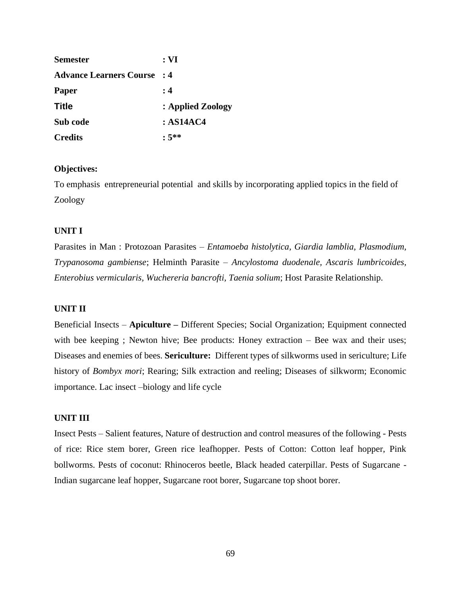| <b>Semester</b>                | : <b>VI</b>       |
|--------------------------------|-------------------|
| <b>Advance Learners Course</b> | $\cdot$ 4         |
| <b>Paper</b>                   | : 4               |
| <b>Title</b>                   | : Applied Zoology |
| Sub code                       | : ASI4AC4         |
| <b>Credits</b>                 | $:5^{**}$         |

## **Objectives:**

To emphasis entrepreneurial potential and skills by incorporating applied topics in the field of Zoology

## **UNIT I**

Parasites in Man : Protozoan Parasites – *Entamoeba histolytica, Giardia lamblia, Plasmodium, Trypanosoma gambiense*; Helminth Parasite – *Ancylostoma duodenale, Ascaris lumbricoides, Enterobius vermicularis, Wuchereria bancrofti, Taenia solium*; Host Parasite Relationship.

## **UNIT II**

Beneficial Insects – **Apiculture –** Different Species; Social Organization; Equipment connected with bee keeping ; Newton hive; Bee products: Honey extraction – Bee wax and their uses; Diseases and enemies of bees. **Sericulture:** Different types of silkworms used in sericulture; Life history of *Bombyx mori*; Rearing; Silk extraction and reeling; Diseases of silkworm; Economic importance. Lac insect –biology and life cycle

## **UNIT III**

Insect Pests – Salient features, Nature of destruction and control measures of the following - Pests of rice: Rice stem borer, Green rice leafhopper. Pests of Cotton: Cotton leaf hopper, Pink bollworms. Pests of coconut: Rhinoceros beetle, Black headed caterpillar. Pests of Sugarcane - Indian sugarcane leaf hopper, Sugarcane root borer, Sugarcane top shoot borer.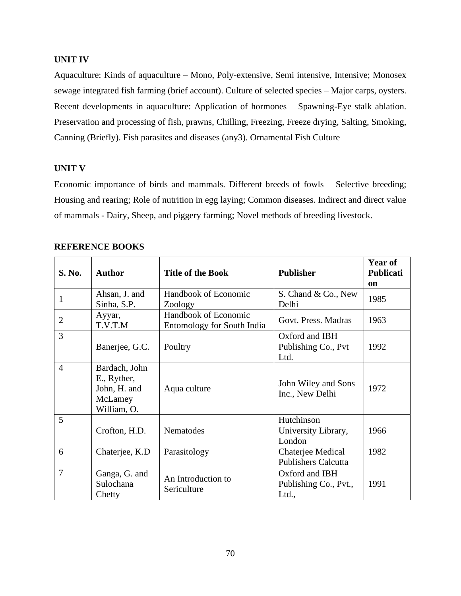## **UNIT IV**

Aquaculture: Kinds of aquaculture – Mono, Poly-extensive, Semi intensive, Intensive; Monosex sewage integrated fish farming (brief account). Culture of selected species – Major carps, oysters. Recent developments in aquaculture: Application of hormones – Spawning-Eye stalk ablation. Preservation and processing of fish, prawns, Chilling, Freezing, Freeze drying, Salting, Smoking, Canning (Briefly). Fish parasites and diseases (any3). Ornamental Fish Culture

## **UNIT V**

Economic importance of birds and mammals. Different breeds of fowls – Selective breeding; Housing and rearing; Role of nutrition in egg laying; Common diseases. Indirect and direct value of mammals - Dairy, Sheep, and piggery farming; Novel methods of breeding livestock.

| S. No.         | <b>Author</b>                                                          | <b>Title of the Book</b>                                  | <b>Publisher</b>                                 | Year of<br><b>Publicati</b><br>on |
|----------------|------------------------------------------------------------------------|-----------------------------------------------------------|--------------------------------------------------|-----------------------------------|
| 1              | Ahsan, J. and<br>Sinha, S.P.                                           | Handbook of Economic<br>Zoology                           | S. Chand & Co., New<br>Delhi                     | 1985                              |
| $\overline{2}$ | Ayyar,<br>T.V.T.M                                                      | Handbook of Economic<br><b>Entomology for South India</b> | Govt. Press. Madras                              | 1963                              |
| 3              | Banerjee, G.C.                                                         | Poultry                                                   | Oxford and IBH<br>Publishing Co., Pvt<br>Ltd.    | 1992                              |
| $\overline{4}$ | Bardach, John<br>E., Ryther,<br>John, H. and<br>McLamey<br>William, O. | Aqua culture                                              | John Wiley and Sons<br>Inc., New Delhi           | 1972                              |
| 5              | Crofton, H.D.                                                          | Nematodes                                                 | Hutchinson<br>University Library,<br>London      | 1966                              |
| 6              | Chaterjee, K.D                                                         | Parasitology                                              | Chaterjee Medical<br><b>Publishers Calcutta</b>  | 1982                              |
| $\overline{7}$ | Ganga, G. and<br>Sulochana<br>Chetty                                   | An Introduction to<br>Sericulture                         | Oxford and IBH<br>Publishing Co., Pvt.,<br>Ltd., | 1991                              |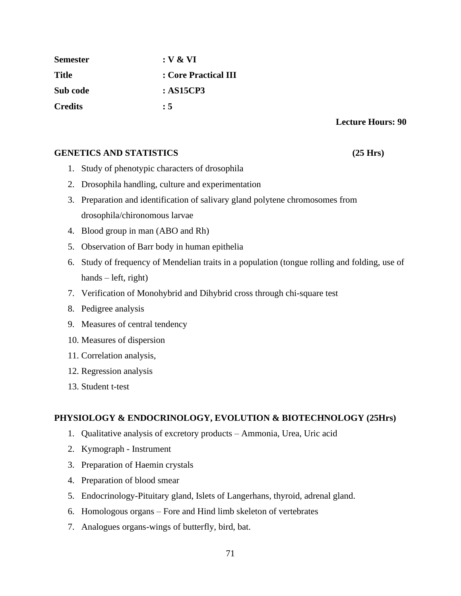| <b>Semester</b> | : V & V              |
|-----------------|----------------------|
| <b>Title</b>    | : Core Practical III |
| Sub code        | : AS15CP3            |
| <b>Credits</b>  | : 5                  |

## **GENETICS AND STATISTICS (25 Hrs)**

- 1. Study of phenotypic characters of drosophila
- 2. Drosophila handling, culture and experimentation
- 3. Preparation and identification of salivary gland polytene chromosomes from drosophila/chironomous larvae
- 4. Blood group in man (ABO and Rh)
- 5. Observation of Barr body in human epithelia
- 6. Study of frequency of Mendelian traits in a population (tongue rolling and folding, use of hands – left, right)
- 7. Verification of Monohybrid and Dihybrid cross through chi-square test
- 8. Pedigree analysis
- 9. Measures of central tendency
- 10. Measures of dispersion
- 11. Correlation analysis,
- 12. Regression analysis
- 13. Student t-test

## **PHYSIOLOGY & ENDOCRINOLOGY, EVOLUTION & BIOTECHNOLOGY (25Hrs)**

- 1. Qualitative analysis of excretory products Ammonia, Urea, Uric acid
- 2. Kymograph Instrument
- 3. Preparation of Haemin crystals
- 4. Preparation of blood smear
- 5. Endocrinology-Pituitary gland, Islets of Langerhans, thyroid, adrenal gland.
- 6. Homologous organs Fore and Hind limb skeleton of vertebrates
- 7. Analogues organs-wings of butterfly, bird, bat.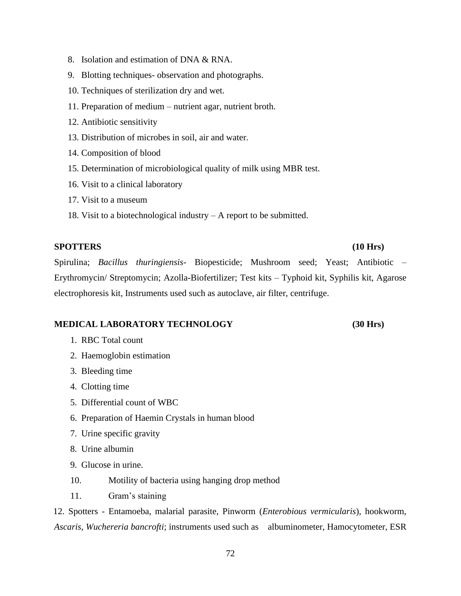- 8. Isolation and estimation of DNA & RNA.
- 9. Blotting techniques- observation and photographs.
- 10. Techniques of sterilization dry and wet.
- 11. Preparation of medium nutrient agar, nutrient broth.
- 12. Antibiotic sensitivity
- 13. Distribution of microbes in soil, air and water.
- 14. Composition of blood
- 15. Determination of microbiological quality of milk using MBR test.
- 16. Visit to a clinical laboratory
- 17. Visit to a museum
- 18. Visit to a biotechnological industry A report to be submitted.

## **SPOTTERS (10 Hrs)**

Spirulina; *Bacillus thuringiensis*- Biopesticide; Mushroom seed; Yeast; Antibiotic – Erythromycin/ Streptomycin; Azolla-Biofertilizer; Test kits – Typhoid kit, Syphilis kit, Agarose electrophoresis kit, Instruments used such as autoclave, air filter, centrifuge.

## **MEDICAL LABORATORY TECHNOLOGY (30 Hrs)**

- 1. RBC Total count
- 2. Haemoglobin estimation
- 3. Bleeding time
- 4. Clotting time
- 5. Differential count of WBC
- 6. Preparation of Haemin Crystals in human blood
- 7. Urine specific gravity
- 8. Urine albumin
- 9. Glucose in urine.
- 10. Motility of bacteria using hanging drop method
- 11. Gram's staining

12. Spotters - Entamoeba, malarial parasite, Pinworm (*Enterobious vermicularis*), hookworm, *Ascaris*, *Wuchereria bancrofti*; instruments used such as albuminometer, Hamocytometer, ESR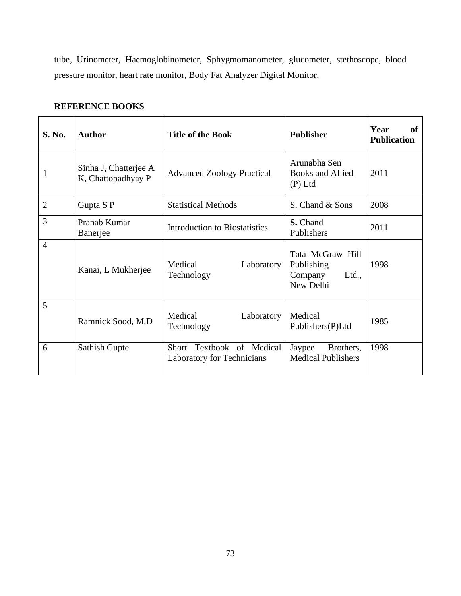tube, Urinometer, Haemoglobinometer, Sphygmomanometer, glucometer, stethoscope, blood pressure monitor, heart rate monitor, Body Fat Analyzer Digital Monitor,

| <b>S. No.</b>  | <b>Author</b>                               | <b>Title of the Book</b>                                | <b>Publisher</b>                                                | Year<br>of<br><b>Publication</b> |
|----------------|---------------------------------------------|---------------------------------------------------------|-----------------------------------------------------------------|----------------------------------|
| 1              | Sinha J, Chatterjee A<br>K, Chattopadhyay P | <b>Advanced Zoology Practical</b>                       | Arunabha Sen<br><b>Books and Allied</b><br>$(P)$ Ltd            | 2011                             |
| $\overline{2}$ | Gupta S P                                   | <b>Statistical Methods</b>                              | S. Chand & Sons                                                 | 2008                             |
| 3              | Pranab Kumar<br>Banerjee                    | Introduction to Biostatistics                           | S. Chand<br>Publishers                                          | 2011                             |
| $\overline{4}$ | Kanai, L Mukherjee                          | Medical<br>Laboratory<br>Technology                     | Tata McGraw Hill<br>Publishing<br>Company<br>Ltd.,<br>New Delhi | 1998                             |
| 5              | Ramnick Sood, M.D.                          | Medical<br>Laboratory<br>Technology                     | Medical<br>Publishers(P)Ltd                                     | 1985                             |
| 6              | Sathish Gupte                               | Short Textbook of Medical<br>Laboratory for Technicians | Jaypee<br>Brothers,<br><b>Medical Publishers</b>                | 1998                             |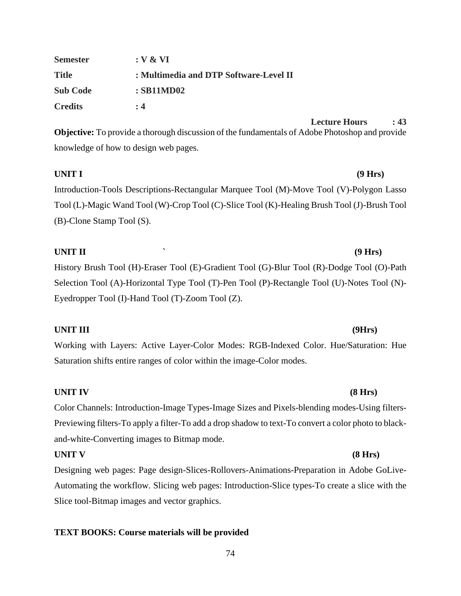| <b>Semester</b> | : V & V                                |
|-----------------|----------------------------------------|
| <b>Title</b>    | : Multimedia and DTP Software-Level II |
| <b>Sub Code</b> | $:$ SB11MD02                           |
| <b>Credits</b>  | : 4                                    |

**Lecture Hours : 43**

**Objective:** To provide a thorough discussion of the fundamentals of Adobe Photoshop and provide knowledge of how to design web pages.

**UNIT I (9 Hrs)** Introduction-Tools Descriptions-Rectangular Marquee Tool (M)-Move Tool (V)-Polygon Lasso Tool (L)-Magic Wand Tool (W)-Crop Tool (C)-Slice Tool (K)-Healing Brush Tool (J)-Brush Tool (B)-Clone Stamp Tool (S).

## **UNIT II ` (9 Hrs)**

History Brush Tool (H)-Eraser Tool (E)-Gradient Tool (G)-Blur Tool (R)-Dodge Tool (O)-Path Selection Tool (A)-Horizontal Type Tool (T)-Pen Tool (P)-Rectangle Tool (U)-Notes Tool (N)- Eyedropper Tool (I)-Hand Tool (T)-Zoom Tool (Z).

## **UNIT III (9Hrs)**

Working with Layers: Active Layer-Color Modes: RGB-Indexed Color. Hue/Saturation: Hue Saturation shifts entire ranges of color within the image-Color modes.

### **UNIT IV (8 Hrs)**

Color Channels: Introduction-Image Types-Image Sizes and Pixels-blending modes-Using filters-Previewing filters-To apply a filter-To add a drop shadow to text-To convert a color photo to blackand-white-Converting images to Bitmap mode.

### **UNIT V (8 Hrs)**

Designing web pages: Page design-Slices-Rollovers-Animations-Preparation in Adobe GoLive-Automating the workflow. Slicing web pages: Introduction-Slice types-To create a slice with the Slice tool-Bitmap images and vector graphics.

### **TEXT BOOKS: Course materials will be provided**

### 74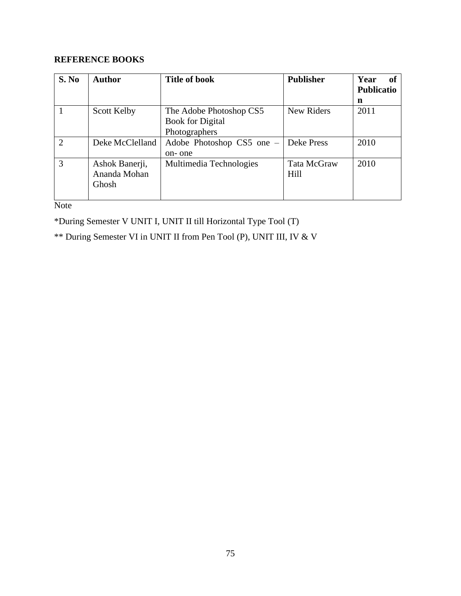## **REFERENCE BOOKS**

| S. No          | <b>Author</b>      | <b>Title of book</b>      | <b>Publisher</b> | Year<br>of        |
|----------------|--------------------|---------------------------|------------------|-------------------|
|                |                    |                           |                  | <b>Publicatio</b> |
|                |                    |                           |                  | n                 |
|                | <b>Scott Kelby</b> | The Adobe Photoshop CS5   | New Riders       | 2011              |
|                |                    | <b>Book for Digital</b>   |                  |                   |
|                |                    | Photographers             |                  |                   |
| $\overline{2}$ | Deke McClelland    | Adobe Photoshop CS5 one – | Deke Press       | 2010              |
|                |                    | on-one                    |                  |                   |
| 3              | Ashok Banerji,     | Multimedia Technologies   | Tata McGraw      | 2010              |
|                | Ananda Mohan       |                           | Hill             |                   |
|                | Ghosh              |                           |                  |                   |
|                |                    |                           |                  |                   |

Note

\*During Semester V UNIT I, UNIT II till Horizontal Type Tool (T)

\*\* During Semester VI in UNIT II from Pen Tool (P), UNIT III, IV & V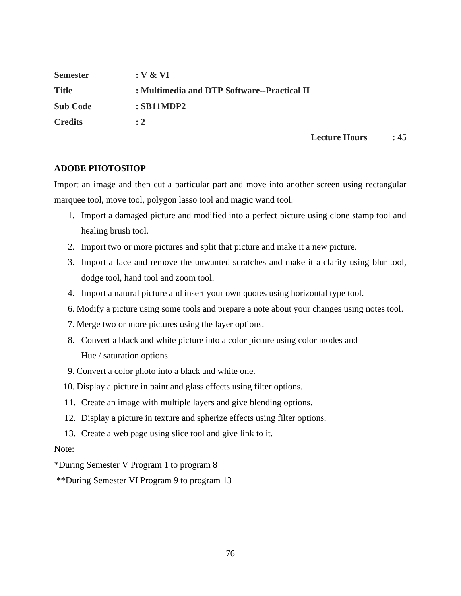| <b>Semester</b> | $: V \& VI$                                 |
|-----------------|---------------------------------------------|
| <b>Title</b>    | : Multimedia and DTP Software--Practical II |
| <b>Sub Code</b> | $:$ SB11MDP2                                |
| <b>Credits</b>  | $\div 2$                                    |

## **Lecture Hours : 45**

## **ADOBE PHOTOSHOP**

Import an image and then cut a particular part and move into another screen using rectangular marquee tool, move tool, polygon lasso tool and magic wand tool.

- 1. Import a damaged picture and modified into a perfect picture using clone stamp tool and healing brush tool.
- 2. Import two or more pictures and split that picture and make it a new picture.
- 3. Import a face and remove the unwanted scratches and make it a clarity using blur tool, dodge tool, hand tool and zoom tool.
- 4. Import a natural picture and insert your own quotes using horizontal type tool.
- 6. Modify a picture using some tools and prepare a note about your changes using notes tool.
- 7. Merge two or more pictures using the layer options.
- 8. Convert a black and white picture into a color picture using color modes and Hue / saturation options.
- 9. Convert a color photo into a black and white one.
- 10. Display a picture in paint and glass effects using filter options.
- 11. Create an image with multiple layers and give blending options.
- 12. Display a picture in texture and spherize effects using filter options.
- 13. Create a web page using slice tool and give link to it.

### Note:

\*During Semester V Program 1 to program 8

\*\*During Semester VI Program 9 to program 13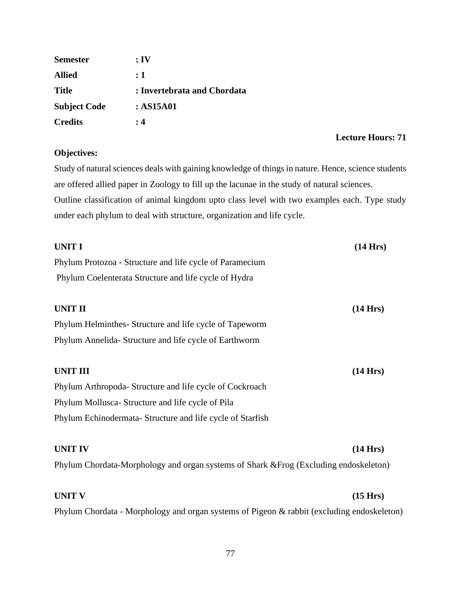| <b>Semester</b>     | $:$ IV                      |
|---------------------|-----------------------------|
| <b>Allied</b>       | : 1                         |
| <b>Title</b>        | : Invertebrata and Chordata |
| <b>Subject Code</b> | : AS15A01                   |
| <b>Credits</b>      | : 4                         |

## **Lecture Hours: 71**

## **Objectives:**

Study of natural sciences deals with gaining knowledge of things in nature. Hence, science students are offered allied paper in Zoology to fill up the lacunae in the study of natural sciences. Outline classification of animal kingdom upto class level with two examples each. Type study under each phylum to deal with structure, organization and life cycle.

| <b>UNIT I</b>                                                                              | (14 Hrs)           |
|--------------------------------------------------------------------------------------------|--------------------|
| Phylum Protozoa - Structure and life cycle of Paramecium                                   |                    |
| Phylum Coelenterata Structure and life cycle of Hydra                                      |                    |
|                                                                                            |                    |
| <b>UNIT II</b>                                                                             | $(14 \text{ Hrs})$ |
| Phylum Helminthes-Structure and life cycle of Tapeworm                                     |                    |
| Phylum Annelida-Structure and life cycle of Earthworm                                      |                    |
| <b>UNIT III</b>                                                                            | $(14 \text{ Hrs})$ |
| Phylum Arthropoda-Structure and life cycle of Cockroach                                    |                    |
| Phylum Mollusca- Structure and life cycle of Pila                                          |                    |
| Phylum Echinodermata- Structure and life cycle of Starfish                                 |                    |
| <b>UNIT IV</b>                                                                             | (14 Hrs)           |
| Phylum Chordata-Morphology and organ systems of Shark & Frog (Excluding endoskeleton)      |                    |
| <b>UNIT V</b>                                                                              | $(15 \text{ Hrs})$ |
| Phylum Chordata - Morphology and organ systems of Pigeon & rabbit (excluding endoskeleton) |                    |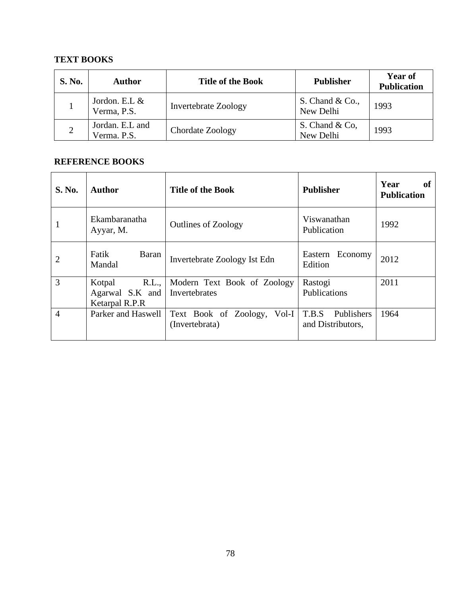## **TEXT BOOKS**

| <b>S. No.</b> | <b>Author</b>                  | <b>Title of the Book</b>    | <b>Publisher</b>               | <b>Year of</b><br><b>Publication</b> |
|---------------|--------------------------------|-----------------------------|--------------------------------|--------------------------------------|
|               | Jordon. E.L &<br>Verma, P.S.   | <b>Invertebrate Zoology</b> | S. Chand $& Co.,$<br>New Delhi | 1993                                 |
|               | Jordan. E.L and<br>Verma. P.S. | Chordate Zoology            | S. Chand & Co.<br>New Delhi    | 1993                                 |

| S. No.         | <b>Author</b>                                        | <b>Title of the Book</b>                      | <b>Publisher</b>                         | Year<br>of<br><b>Publication</b> |
|----------------|------------------------------------------------------|-----------------------------------------------|------------------------------------------|----------------------------------|
| 1              | Ekambaranatha<br>Ayyar, M.                           | <b>Outlines of Zoology</b>                    | Viswanathan<br>Publication               | 1992                             |
| $\overline{2}$ | Fatik<br>Baran<br>Mandal                             | Invertebrate Zoology Ist Edn                  | Eastern Economy<br>Edition               | 2012                             |
| $\overline{3}$ | R.L.,<br>Kotpal<br>Agarwal S.K and<br>Ketarpal R.P.R | Modern Text Book of Zoology<br>Invertebrates  | Rastogi<br>Publications                  | 2011                             |
| $\overline{4}$ | Parker and Haswell                                   | Text Book of Zoology, Vol-I<br>(Invertebrata) | T.B.S<br>Publishers<br>and Distributors, | 1964                             |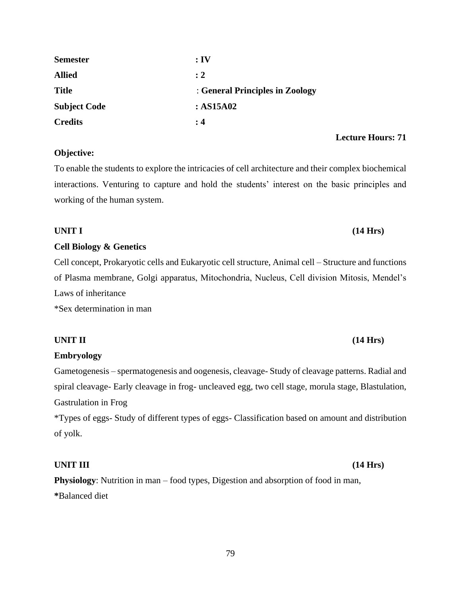| 79 |  |
|----|--|

| <b>Physiology:</b> Nutrition in man – food types, Digestion and absorption of food in man, |  |
|--------------------------------------------------------------------------------------------|--|
| *Balanced diet                                                                             |  |

\*Types of eggs- Study of different types of eggs- Classification based on amount and distribution of yolk.

Gametogenesis – spermatogenesis and oogenesis, cleavage- Study of cleavage patterns. Radial and spiral cleavage- Early cleavage in frog- uncleaved egg, two cell stage, morula stage, Blastulation,

**Embryology** 

Gastrulation in Frog

of Plasma membrane, Golgi apparatus, Mitochondria, Nucleus, Cell division Mitosis, Mendel's Laws of inheritance

\*Sex determination in man

## **Cell Biology & Genetics**

Cell concept, Prokaryotic cells and Eukaryotic cell structure, Animal cell – Structure and functions

working of the human system.

**Semester : IV Allied : 2**

**Subject Code : AS15A02**

**Credits : 4 Lecture Hours: 71 Objective:**

To enable the students to explore the intricacies of cell architecture and their complex biochemical

interactions. Venturing to capture and hold the students' interest on the basic principles and

**Title** : **General Principles in Zoology**

## **UNIT II (14 Hrs)**

# **UNIT III (14 Hrs)**

# **UNIT I (14 Hrs)**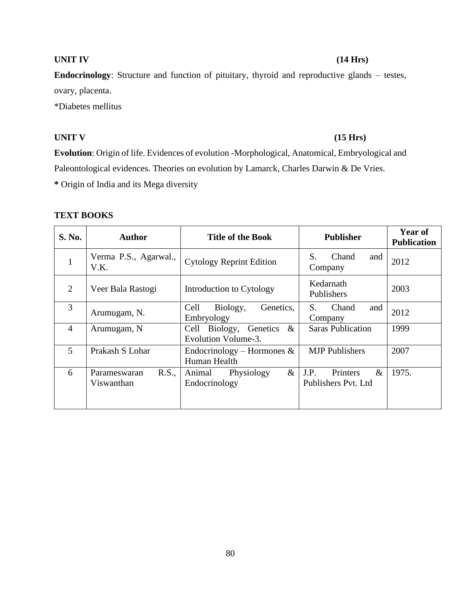## **UNIT IV (14 Hrs)**

**Endocrinology**: Structure and function of pituitary, thyroid and reproductive glands – testes, ovary, placenta.

\*Diabetes mellitus

## **UNIT V (15 Hrs)**

**Evolution**: Origin of life. Evidences of evolution -Morphological, Anatomical, Embryological and Paleontological evidences. Theories on evolution by Lamarck, Charles Darwin & De Vries. **\*** Origin of India and its Mega diversity

## **TEXT BOOKS**

| S. No.         | <b>Author</b>                       | <b>Title of the Book</b>                              | <b>Publisher</b>                                | <b>Year of</b><br><b>Publication</b> |
|----------------|-------------------------------------|-------------------------------------------------------|-------------------------------------------------|--------------------------------------|
| $\mathbf{1}$   | Verma P.S., Agarwal.,<br>V.K.       | <b>Cytology Reprint Edition</b>                       | Chand<br>S.<br>and<br>Company                   | 2012                                 |
| 2              | Veer Bala Rastogi                   | Introduction to Cytology                              | Kedarnath<br>Publishers                         | 2003                                 |
| 3              | Arumugam, N.                        | Cell<br>Genetics,<br>Biology,<br>Embryology           | Chand<br>S.<br>and<br>Company                   | 2012                                 |
| $\overline{4}$ | Arumugam, N                         | Cell Biology, Genetics<br>$\&$<br>Evolution Volume-3. | <b>Saras Publication</b>                        | 1999                                 |
| 5              | Prakash S Lohar                     | Endocrinology – Hormones $\&$<br>Human Health         | <b>MJP</b> Publishers                           | 2007                                 |
| 6              | R.S.,<br>Parameswaran<br>Viswanthan | $\&$<br>Physiology<br>Animal<br>Endocrinology         | J.P.<br>Printers<br>$\&$<br>Publishers Pvt. Ltd | 1975.                                |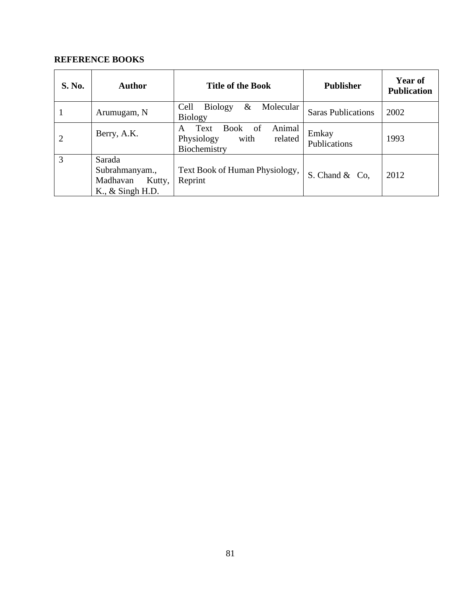| S. No.         | Author                                                                          | <b>Title of the Book</b>                                                                  | <b>Publisher</b>          | <b>Year of</b><br><b>Publication</b> |
|----------------|---------------------------------------------------------------------------------|-------------------------------------------------------------------------------------------|---------------------------|--------------------------------------|
|                | Arumugam, N                                                                     | Cell<br><b>Biology</b><br>$\&$<br>Molecular<br><b>Biology</b>                             | <b>Saras Publications</b> | 2002                                 |
| $\overline{2}$ | Berry, A.K.                                                                     | of<br><b>Book</b><br>Animal<br>Text<br>A<br>with<br>Physiology<br>related<br>Biochemistry | Emkay<br>Publications     | 1993                                 |
| 3              | Sarada<br>Subrahmanyam.,<br>Madhavan<br>Kutty,<br>$K_{\cdot}$ , $\&$ Singh H.D. | Text Book of Human Physiology,<br>Reprint                                                 | S. Chand & Co,            | 2012                                 |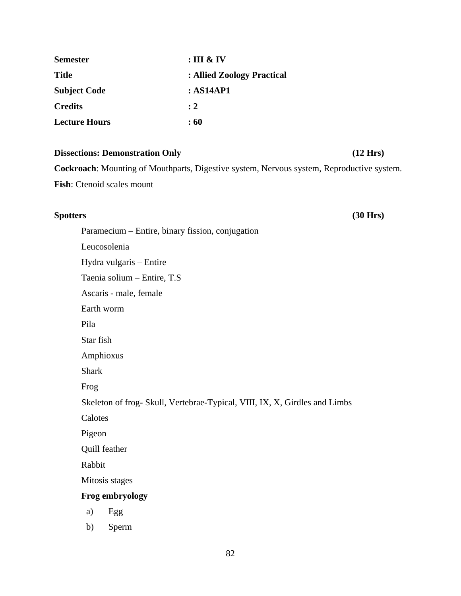| <b>Semester</b>      | $:$ III & IV               |
|----------------------|----------------------------|
| <b>Title</b>         | : Allied Zoology Practical |
| <b>Subject Code</b>  | : AS14AP1                  |
| <b>Credits</b>       | $\cdot$ 2                  |
| <b>Lecture Hours</b> | :60                        |

### **Dissections: Demonstration Only** (12 Hrs)

**Cockroach**: Mounting of Mouthparts, Digestive system, Nervous system, Reproductive system. **Fish**: Ctenoid scales mount

## **Spotters (30 Hrs)**

Paramecium – Entire, binary fission, conjugation Leucosolenia Hydra vulgaris – Entire Taenia solium – Entire, T.S Ascaris - male, female Earth worm Pila Star fish Amphioxus Shark Frog Skeleton of frog- Skull, Vertebrae-Typical, VIII, IX, X, Girdles and Limbs Calotes Pigeon Quill feather Rabbit Mitosis stages **Frog embryology** a) Egg

b) Sperm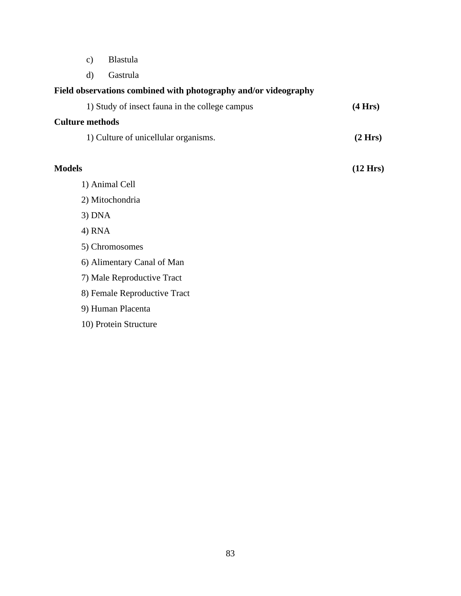- c) Blastula
- d) Gastrula

## **Field observations combined with photography and/or videography**

| 1) Study of insect fauna in the college campus | (4 Hrs)            |  |
|------------------------------------------------|--------------------|--|
| <b>Culture methods</b>                         |                    |  |
| 1) Culture of unicellular organisms.           | (2 Hrs)            |  |
|                                                |                    |  |
| <b>Models</b>                                  | $(12 \text{ Hrs})$ |  |
| 1) Animal Cell                                 |                    |  |
| 2) Mitochondria                                |                    |  |
| $3)$ DNA                                       |                    |  |
| 4) RNA                                         |                    |  |
| 5) Chromosomes                                 |                    |  |
|                                                |                    |  |

- 6) Alimentary Canal of Man
- 7) Male Reproductive Tract
- 8) Female Reproductive Tract
- 9) Human Placenta
- 10) Protein Structure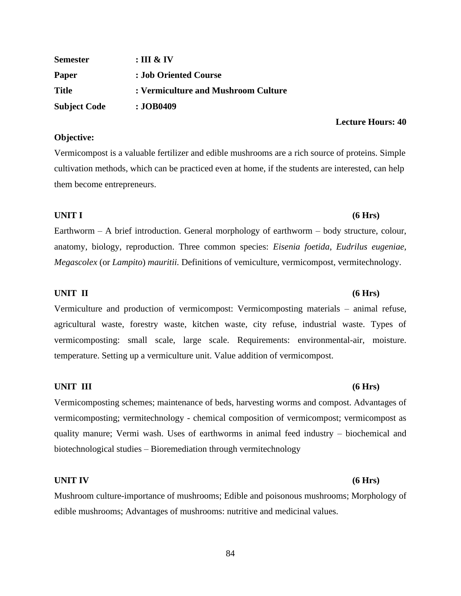| Semester            | : III & IV                          |
|---------------------|-------------------------------------|
| Paper               | : Job Oriented Course               |
| Title               | : Vermiculture and Mushroom Culture |
| <b>Subject Code</b> | : JOB0409                           |

### **Objective:**

Vermicompost is a valuable fertilizer and edible mushrooms are a rich source of proteins. Simple cultivation methods, which can be practiced even at home, if the students are interested, can help them become entrepreneurs.

### **UNIT I (6 Hrs)**

Earthworm – A brief introduction. General morphology of earthworm – body structure, colour, anatomy, biology, reproduction. Three common species: *Eisenia foetida*, *Eudrilus eugeniae, Megascolex* (or *Lampito*) *mauritii.* Definitions of vemiculture, vermicompost, vermitechnology.

### **UNIT II (6 Hrs)**

Vermiculture and production of vermicompost: Vermicomposting materials – animal refuse, agricultural waste, forestry waste, kitchen waste, city refuse, industrial waste. Types of vermicomposting: small scale, large scale. Requirements: environmental-air, moisture. temperature. Setting up a vermiculture unit. Value addition of vermicompost.

### **UNIT III (6 Hrs)**

Vermicomposting schemes; maintenance of beds, harvesting worms and compost. Advantages of vermicomposting; vermitechnology - chemical composition of vermicompost; vermicompost as quality manure; Vermi wash. Uses of earthworms in animal feed industry – biochemical and biotechnological studies – Bioremediation through vermitechnology

### **UNIT IV (6 Hrs)**

Mushroom culture-importance of mushrooms; Edible and poisonous mushrooms; Morphology of edible mushrooms; Advantages of mushrooms: nutritive and medicinal values.

84

# **Lecture Hours: 40**